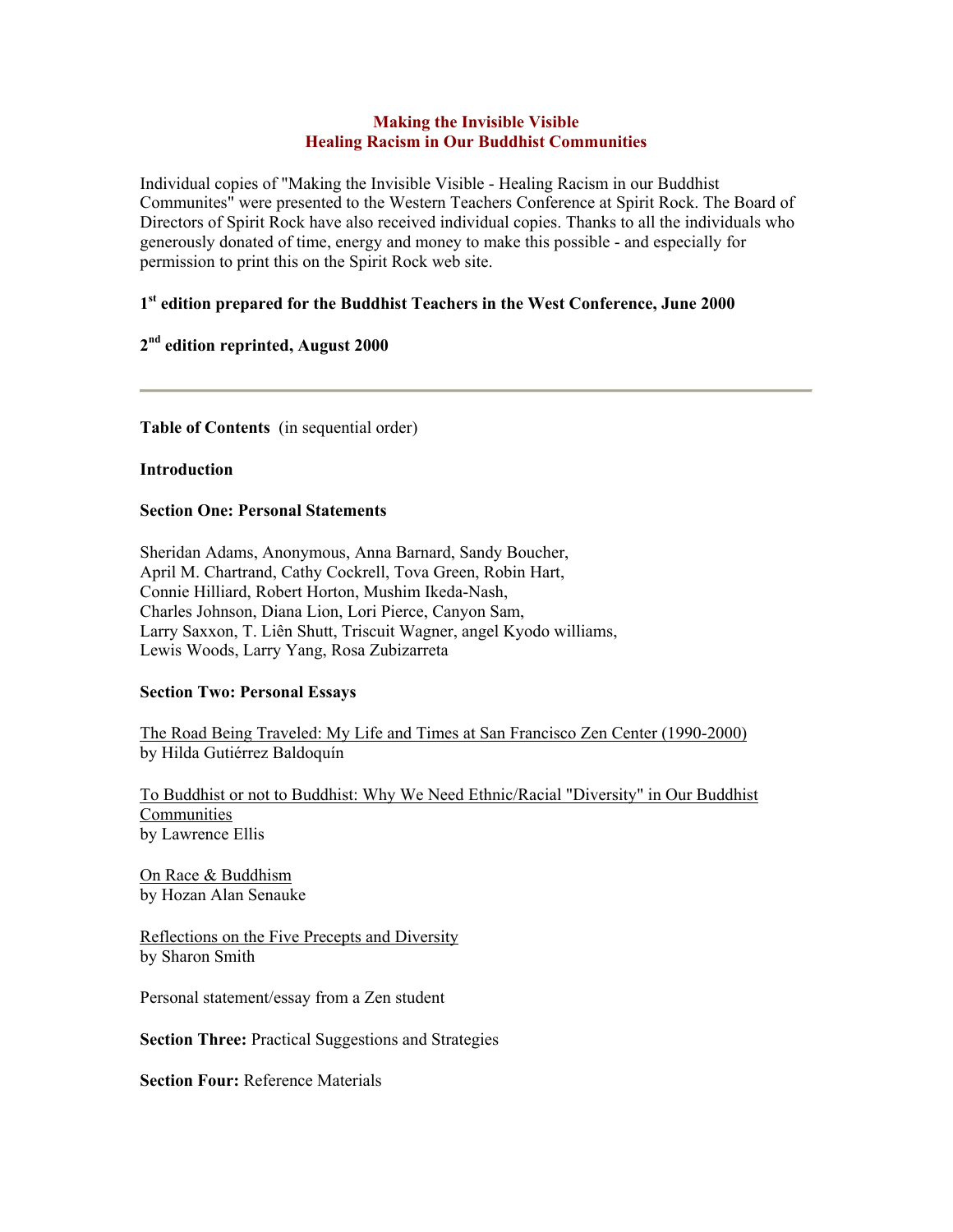## **Making the Invisible Visible Healing Racism in Our Buddhist Communities**

Individual copies of "Making the Invisible Visible - Healing Racism in our Buddhist Communites" were presented to the Western Teachers Conference at Spirit Rock. The Board of Directors of Spirit Rock have also received individual copies. Thanks to all the individuals who generously donated of time, energy and money to make this possible - and especially for permission to print this on the Spirit Rock web site.

## **1st edition prepared for the Buddhist Teachers in the West Conference, June 2000**

# **2nd edition reprinted, August 2000**

## **Table of Contents** (in sequential order)

### **Introduction**

### **Section One: Personal Statements**

Sheridan Adams, Anonymous, Anna Barnard, Sandy Boucher, April M. Chartrand, Cathy Cockrell, Tova Green, Robin Hart, Connie Hilliard, Robert Horton, Mushim Ikeda-Nash, Charles Johnson, Diana Lion, Lori Pierce, Canyon Sam, Larry Saxxon, T. Liên Shutt, Triscuit Wagner, angel Kyodo williams, Lewis Woods, Larry Yang, Rosa Zubizarreta

## **Section Two: Personal Essays**

The Road Being Traveled: My Life and Times at San Francisco Zen Center (1990-2000) by Hilda Gutiérrez Baldoquín

To Buddhist or not to Buddhist: Why We Need Ethnic/Racial "Diversity" in Our Buddhist Communities by Lawrence Ellis

On Race & Buddhism by Hozan Alan Senauke

Reflections on the Five Precepts and Diversity by Sharon Smith

Personal statement/essay from a Zen student

**Section Three:** Practical Suggestions and Strategies

**Section Four:** Reference Materials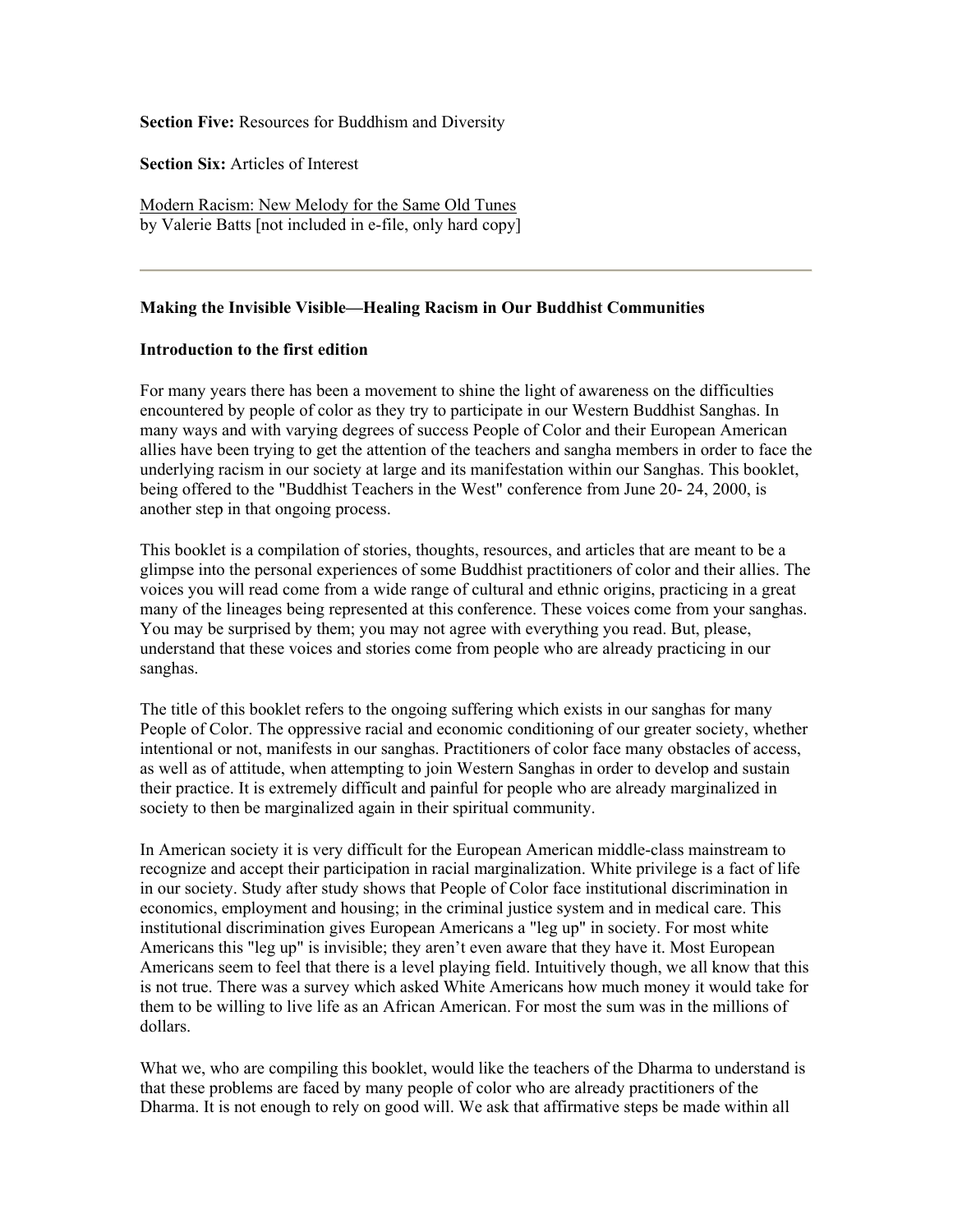**Section Five:** Resources for Buddhism and Diversity

**Section Six:** Articles of Interest

Modern Racism: New Melody for the Same Old Tunes by Valerie Batts [not included in e-file, only hard copy]

#### **Making the Invisible Visible—Healing Racism in Our Buddhist Communities**

#### **Introduction to the first edition**

For many years there has been a movement to shine the light of awareness on the difficulties encountered by people of color as they try to participate in our Western Buddhist Sanghas. In many ways and with varying degrees of success People of Color and their European American allies have been trying to get the attention of the teachers and sangha members in order to face the underlying racism in our society at large and its manifestation within our Sanghas. This booklet, being offered to the "Buddhist Teachers in the West" conference from June 20- 24, 2000, is another step in that ongoing process.

This booklet is a compilation of stories, thoughts, resources, and articles that are meant to be a glimpse into the personal experiences of some Buddhist practitioners of color and their allies. The voices you will read come from a wide range of cultural and ethnic origins, practicing in a great many of the lineages being represented at this conference. These voices come from your sanghas. You may be surprised by them; you may not agree with everything you read. But, please, understand that these voices and stories come from people who are already practicing in our sanghas.

The title of this booklet refers to the ongoing suffering which exists in our sanghas for many People of Color. The oppressive racial and economic conditioning of our greater society, whether intentional or not, manifests in our sanghas. Practitioners of color face many obstacles of access, as well as of attitude, when attempting to join Western Sanghas in order to develop and sustain their practice. It is extremely difficult and painful for people who are already marginalized in society to then be marginalized again in their spiritual community.

In American society it is very difficult for the European American middle-class mainstream to recognize and accept their participation in racial marginalization. White privilege is a fact of life in our society. Study after study shows that People of Color face institutional discrimination in economics, employment and housing; in the criminal justice system and in medical care. This institutional discrimination gives European Americans a "leg up" in society. For most white Americans this "leg up" is invisible; they aren't even aware that they have it. Most European Americans seem to feel that there is a level playing field. Intuitively though, we all know that this is not true. There was a survey which asked White Americans how much money it would take for them to be willing to live life as an African American. For most the sum was in the millions of dollars.

What we, who are compiling this booklet, would like the teachers of the Dharma to understand is that these problems are faced by many people of color who are already practitioners of the Dharma. It is not enough to rely on good will. We ask that affirmative steps be made within all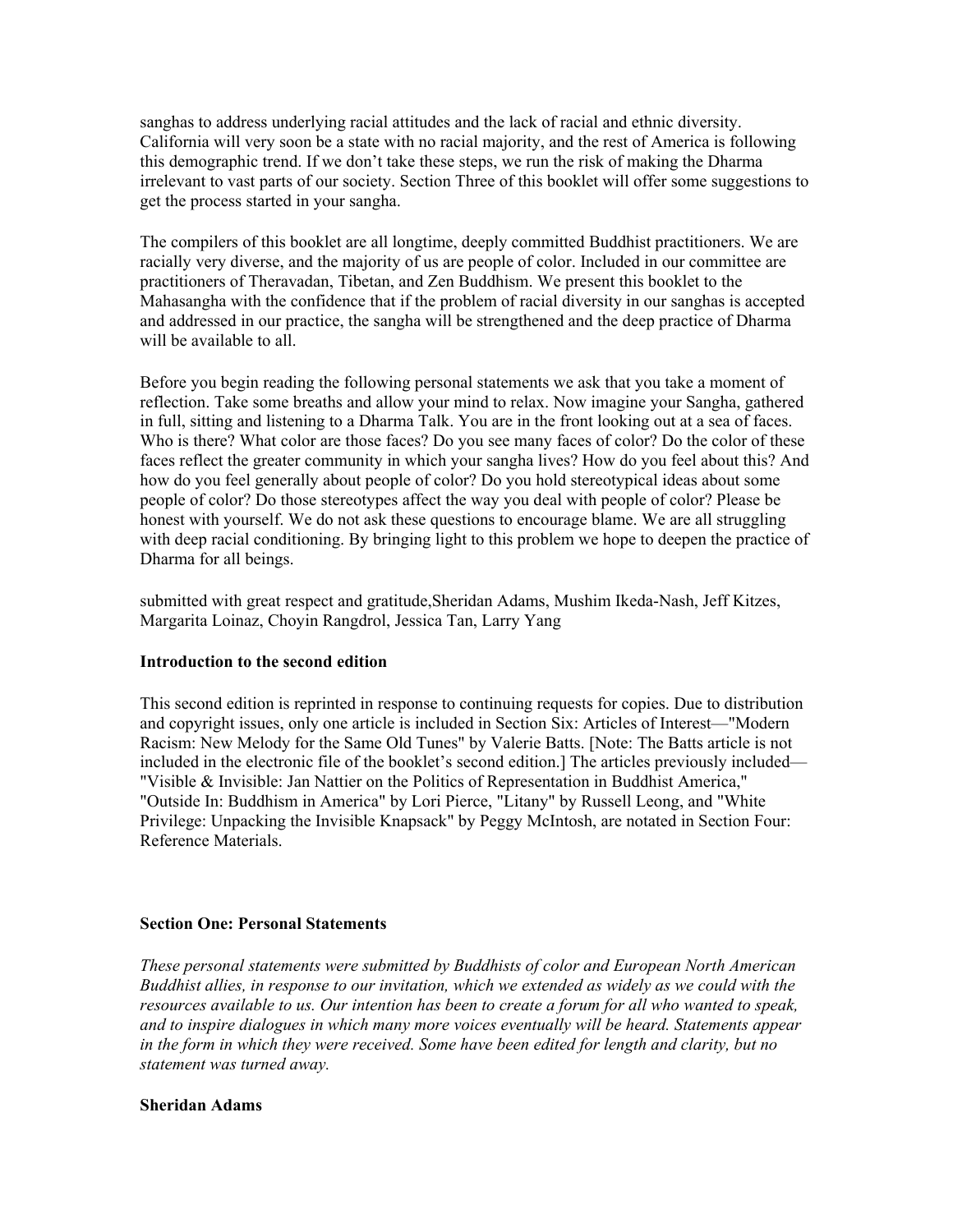sanghas to address underlying racial attitudes and the lack of racial and ethnic diversity. California will very soon be a state with no racial majority, and the rest of America is following this demographic trend. If we don't take these steps, we run the risk of making the Dharma irrelevant to vast parts of our society. Section Three of this booklet will offer some suggestions to get the process started in your sangha.

The compilers of this booklet are all longtime, deeply committed Buddhist practitioners. We are racially very diverse, and the majority of us are people of color. Included in our committee are practitioners of Theravadan, Tibetan, and Zen Buddhism. We present this booklet to the Mahasangha with the confidence that if the problem of racial diversity in our sanghas is accepted and addressed in our practice, the sangha will be strengthened and the deep practice of Dharma will be available to all.

Before you begin reading the following personal statements we ask that you take a moment of reflection. Take some breaths and allow your mind to relax. Now imagine your Sangha, gathered in full, sitting and listening to a Dharma Talk. You are in the front looking out at a sea of faces. Who is there? What color are those faces? Do you see many faces of color? Do the color of these faces reflect the greater community in which your sangha lives? How do you feel about this? And how do you feel generally about people of color? Do you hold stereotypical ideas about some people of color? Do those stereotypes affect the way you deal with people of color? Please be honest with yourself. We do not ask these questions to encourage blame. We are all struggling with deep racial conditioning. By bringing light to this problem we hope to deepen the practice of Dharma for all beings.

submitted with great respect and gratitude,Sheridan Adams, Mushim Ikeda-Nash, Jeff Kitzes, Margarita Loinaz, Choyin Rangdrol, Jessica Tan, Larry Yang

#### **Introduction to the second edition**

This second edition is reprinted in response to continuing requests for copies. Due to distribution and copyright issues, only one article is included in Section Six: Articles of Interest—"Modern Racism: New Melody for the Same Old Tunes" by Valerie Batts. [Note: The Batts article is not included in the electronic file of the booklet's second edition.] The articles previously included— "Visible & Invisible: Jan Nattier on the Politics of Representation in Buddhist America," "Outside In: Buddhism in America" by Lori Pierce, "Litany" by Russell Leong, and "White Privilege: Unpacking the Invisible Knapsack" by Peggy McIntosh, are notated in Section Four: Reference Materials.

#### **Section One: Personal Statements**

*These personal statements were submitted by Buddhists of color and European North American Buddhist allies, in response to our invitation, which we extended as widely as we could with the resources available to us. Our intention has been to create a forum for all who wanted to speak, and to inspire dialogues in which many more voices eventually will be heard. Statements appear in the form in which they were received. Some have been edited for length and clarity, but no statement was turned away.* 

#### **Sheridan Adams**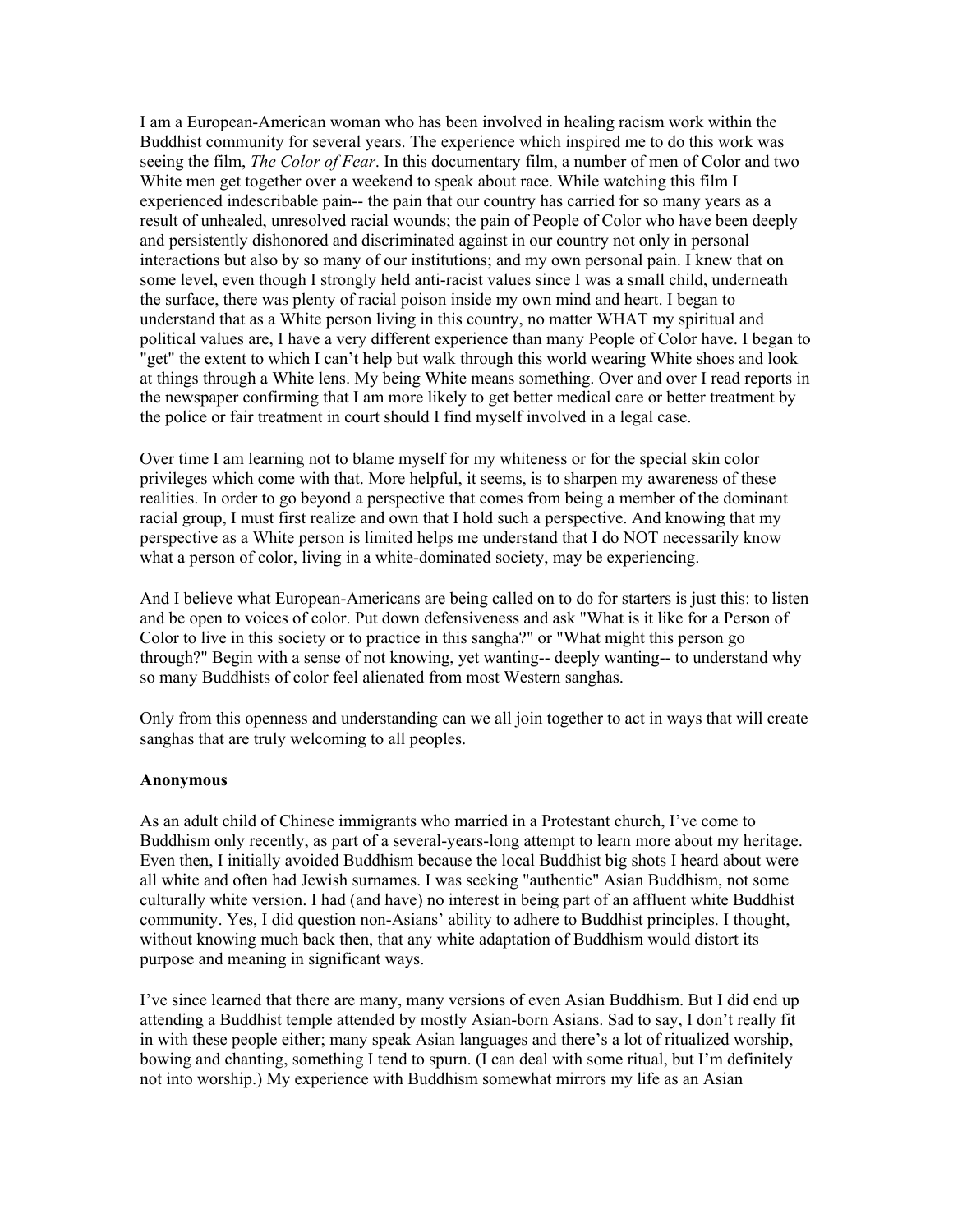I am a European-American woman who has been involved in healing racism work within the Buddhist community for several years. The experience which inspired me to do this work was seeing the film, *The Color of Fear*. In this documentary film, a number of men of Color and two White men get together over a weekend to speak about race. While watching this film I experienced indescribable pain-- the pain that our country has carried for so many years as a result of unhealed, unresolved racial wounds; the pain of People of Color who have been deeply and persistently dishonored and discriminated against in our country not only in personal interactions but also by so many of our institutions; and my own personal pain. I knew that on some level, even though I strongly held anti-racist values since I was a small child, underneath the surface, there was plenty of racial poison inside my own mind and heart. I began to understand that as a White person living in this country, no matter WHAT my spiritual and political values are, I have a very different experience than many People of Color have. I began to "get" the extent to which I can't help but walk through this world wearing White shoes and look at things through a White lens. My being White means something. Over and over I read reports in the newspaper confirming that I am more likely to get better medical care or better treatment by the police or fair treatment in court should I find myself involved in a legal case.

Over time I am learning not to blame myself for my whiteness or for the special skin color privileges which come with that. More helpful, it seems, is to sharpen my awareness of these realities. In order to go beyond a perspective that comes from being a member of the dominant racial group, I must first realize and own that I hold such a perspective. And knowing that my perspective as a White person is limited helps me understand that I do NOT necessarily know what a person of color, living in a white-dominated society, may be experiencing.

And I believe what European-Americans are being called on to do for starters is just this: to listen and be open to voices of color. Put down defensiveness and ask "What is it like for a Person of Color to live in this society or to practice in this sangha?" or "What might this person go through?" Begin with a sense of not knowing, yet wanting-- deeply wanting-- to understand why so many Buddhists of color feel alienated from most Western sanghas.

Only from this openness and understanding can we all join together to act in ways that will create sanghas that are truly welcoming to all peoples.

#### **Anonymous**

As an adult child of Chinese immigrants who married in a Protestant church, I've come to Buddhism only recently, as part of a several-years-long attempt to learn more about my heritage. Even then, I initially avoided Buddhism because the local Buddhist big shots I heard about were all white and often had Jewish surnames. I was seeking "authentic" Asian Buddhism, not some culturally white version. I had (and have) no interest in being part of an affluent white Buddhist community. Yes, I did question non-Asians' ability to adhere to Buddhist principles. I thought, without knowing much back then, that any white adaptation of Buddhism would distort its purpose and meaning in significant ways.

I've since learned that there are many, many versions of even Asian Buddhism. But I did end up attending a Buddhist temple attended by mostly Asian-born Asians. Sad to say, I don't really fit in with these people either; many speak Asian languages and there's a lot of ritualized worship, bowing and chanting, something I tend to spurn. (I can deal with some ritual, but I'm definitely not into worship.) My experience with Buddhism somewhat mirrors my life as an Asian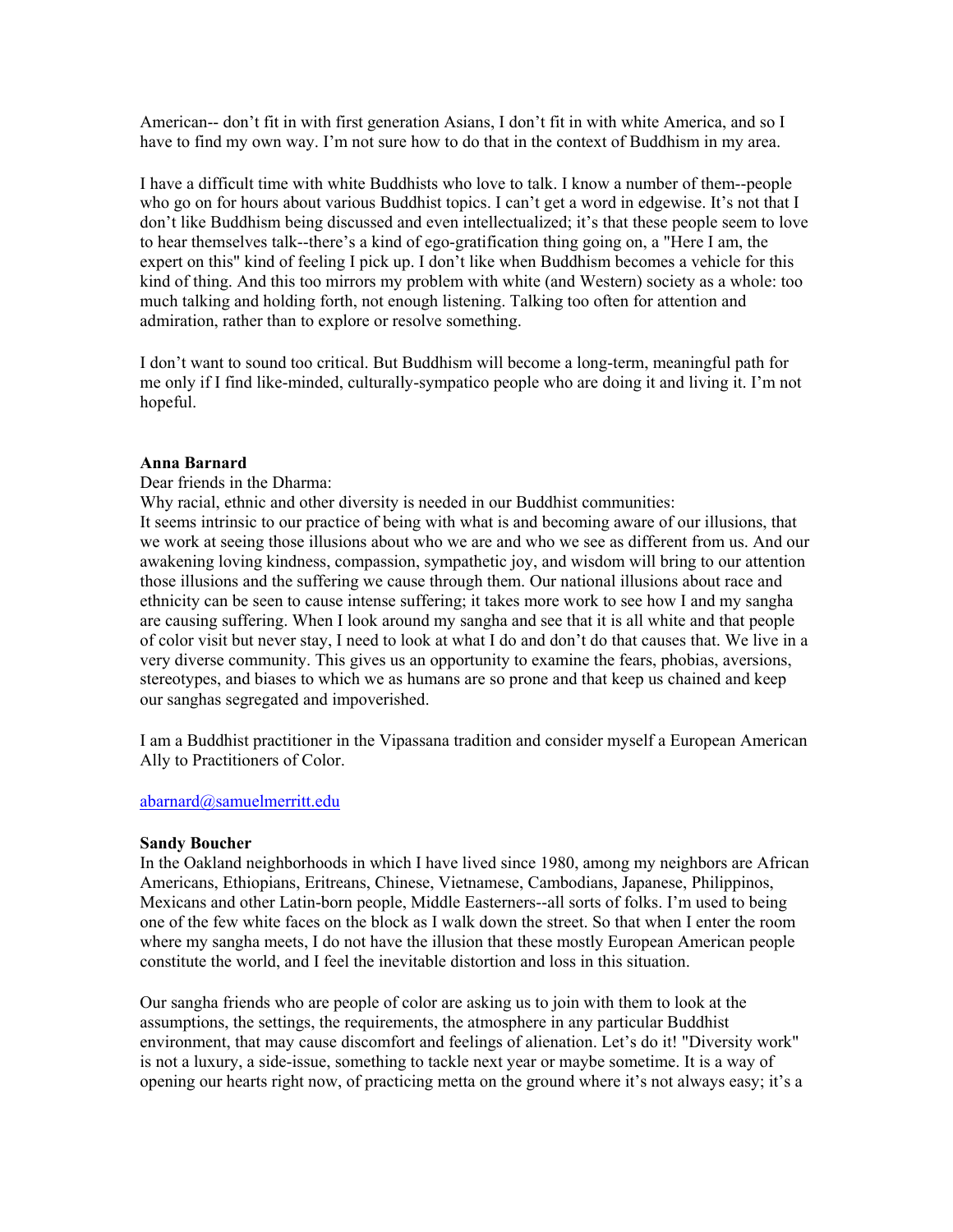American-- don't fit in with first generation Asians, I don't fit in with white America, and so I have to find my own way. I'm not sure how to do that in the context of Buddhism in my area.

I have a difficult time with white Buddhists who love to talk. I know a number of them--people who go on for hours about various Buddhist topics. I can't get a word in edgewise. It's not that I don't like Buddhism being discussed and even intellectualized; it's that these people seem to love to hear themselves talk--there's a kind of ego-gratification thing going on, a "Here I am, the expert on this" kind of feeling I pick up. I don't like when Buddhism becomes a vehicle for this kind of thing. And this too mirrors my problem with white (and Western) society as a whole: too much talking and holding forth, not enough listening. Talking too often for attention and admiration, rather than to explore or resolve something.

I don't want to sound too critical. But Buddhism will become a long-term, meaningful path for me only if I find like-minded, culturally-sympatico people who are doing it and living it. I'm not hopeful.

#### **Anna Barnard**

#### Dear friends in the Dharma:

Why racial, ethnic and other diversity is needed in our Buddhist communities: It seems intrinsic to our practice of being with what is and becoming aware of our illusions, that we work at seeing those illusions about who we are and who we see as different from us. And our awakening loving kindness, compassion, sympathetic joy, and wisdom will bring to our attention those illusions and the suffering we cause through them. Our national illusions about race and ethnicity can be seen to cause intense suffering; it takes more work to see how I and my sangha are causing suffering. When I look around my sangha and see that it is all white and that people of color visit but never stay, I need to look at what I do and don't do that causes that. We live in a very diverse community. This gives us an opportunity to examine the fears, phobias, aversions, stereotypes, and biases to which we as humans are so prone and that keep us chained and keep our sanghas segregated and impoverished.

I am a Buddhist practitioner in the Vipassana tradition and consider myself a European American Ally to Practitioners of Color.

#### abarnard@samuelmerritt.edu

#### **Sandy Boucher**

In the Oakland neighborhoods in which I have lived since 1980, among my neighbors are African Americans, Ethiopians, Eritreans, Chinese, Vietnamese, Cambodians, Japanese, Philippinos, Mexicans and other Latin-born people, Middle Easterners--all sorts of folks. I'm used to being one of the few white faces on the block as I walk down the street. So that when I enter the room where my sangha meets, I do not have the illusion that these mostly European American people constitute the world, and I feel the inevitable distortion and loss in this situation.

Our sangha friends who are people of color are asking us to join with them to look at the assumptions, the settings, the requirements, the atmosphere in any particular Buddhist environment, that may cause discomfort and feelings of alienation. Let's do it! "Diversity work" is not a luxury, a side-issue, something to tackle next year or maybe sometime. It is a way of opening our hearts right now, of practicing metta on the ground where it's not always easy; it's a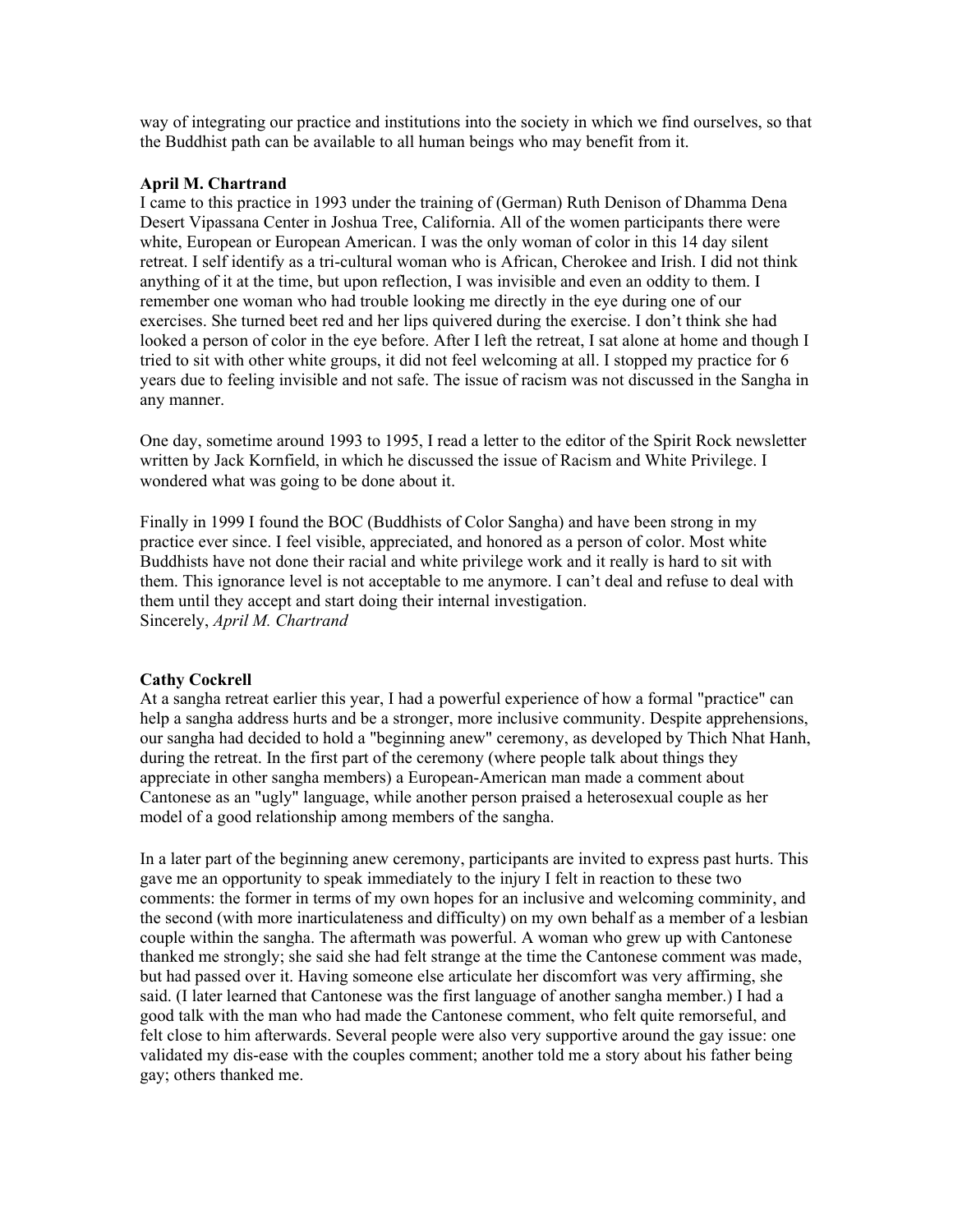way of integrating our practice and institutions into the society in which we find ourselves, so that the Buddhist path can be available to all human beings who may benefit from it.

### **April M. Chartrand**

I came to this practice in 1993 under the training of (German) Ruth Denison of Dhamma Dena Desert Vipassana Center in Joshua Tree, California. All of the women participants there were white, European or European American. I was the only woman of color in this 14 day silent retreat. I self identify as a tri-cultural woman who is African, Cherokee and Irish. I did not think anything of it at the time, but upon reflection, I was invisible and even an oddity to them. I remember one woman who had trouble looking me directly in the eye during one of our exercises. She turned beet red and her lips quivered during the exercise. I don't think she had looked a person of color in the eye before. After I left the retreat, I sat alone at home and though I tried to sit with other white groups, it did not feel welcoming at all. I stopped my practice for 6 years due to feeling invisible and not safe. The issue of racism was not discussed in the Sangha in any manner.

One day, sometime around 1993 to 1995, I read a letter to the editor of the Spirit Rock newsletter written by Jack Kornfield, in which he discussed the issue of Racism and White Privilege. I wondered what was going to be done about it.

Finally in 1999 I found the BOC (Buddhists of Color Sangha) and have been strong in my practice ever since. I feel visible, appreciated, and honored as a person of color. Most white Buddhists have not done their racial and white privilege work and it really is hard to sit with them. This ignorance level is not acceptable to me anymore. I can't deal and refuse to deal with them until they accept and start doing their internal investigation. Sincerely, *April M. Chartrand*

#### **Cathy Cockrell**

At a sangha retreat earlier this year, I had a powerful experience of how a formal "practice" can help a sangha address hurts and be a stronger, more inclusive community. Despite apprehensions, our sangha had decided to hold a "beginning anew" ceremony, as developed by Thich Nhat Hanh, during the retreat. In the first part of the ceremony (where people talk about things they appreciate in other sangha members) a European-American man made a comment about Cantonese as an "ugly" language, while another person praised a heterosexual couple as her model of a good relationship among members of the sangha.

In a later part of the beginning anew ceremony, participants are invited to express past hurts. This gave me an opportunity to speak immediately to the injury I felt in reaction to these two comments: the former in terms of my own hopes for an inclusive and welcoming comminity, and the second (with more inarticulateness and difficulty) on my own behalf as a member of a lesbian couple within the sangha. The aftermath was powerful. A woman who grew up with Cantonese thanked me strongly; she said she had felt strange at the time the Cantonese comment was made, but had passed over it. Having someone else articulate her discomfort was very affirming, she said. (I later learned that Cantonese was the first language of another sangha member.) I had a good talk with the man who had made the Cantonese comment, who felt quite remorseful, and felt close to him afterwards. Several people were also very supportive around the gay issue: one validated my dis-ease with the couples comment; another told me a story about his father being gay; others thanked me.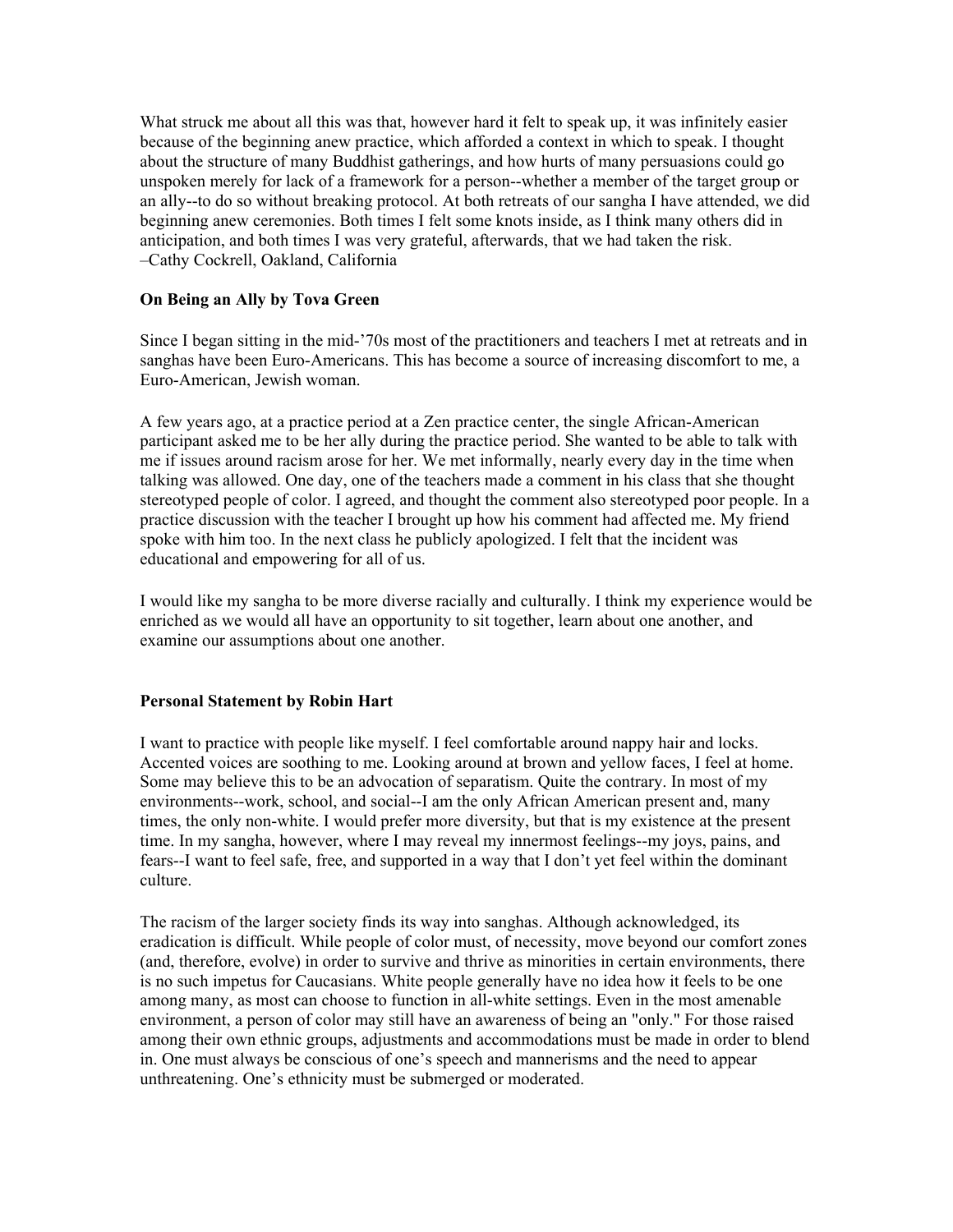What struck me about all this was that, however hard it felt to speak up, it was infinitely easier because of the beginning anew practice, which afforded a context in which to speak. I thought about the structure of many Buddhist gatherings, and how hurts of many persuasions could go unspoken merely for lack of a framework for a person--whether a member of the target group or an ally--to do so without breaking protocol. At both retreats of our sangha I have attended, we did beginning anew ceremonies. Both times I felt some knots inside, as I think many others did in anticipation, and both times I was very grateful, afterwards, that we had taken the risk. –Cathy Cockrell, Oakland, California

## **On Being an Ally by Tova Green**

Since I began sitting in the mid-'70s most of the practitioners and teachers I met at retreats and in sanghas have been Euro-Americans. This has become a source of increasing discomfort to me, a Euro-American, Jewish woman.

A few years ago, at a practice period at a Zen practice center, the single African-American participant asked me to be her ally during the practice period. She wanted to be able to talk with me if issues around racism arose for her. We met informally, nearly every day in the time when talking was allowed. One day, one of the teachers made a comment in his class that she thought stereotyped people of color. I agreed, and thought the comment also stereotyped poor people. In a practice discussion with the teacher I brought up how his comment had affected me. My friend spoke with him too. In the next class he publicly apologized. I felt that the incident was educational and empowering for all of us.

I would like my sangha to be more diverse racially and culturally. I think my experience would be enriched as we would all have an opportunity to sit together, learn about one another, and examine our assumptions about one another.

## **Personal Statement by Robin Hart**

I want to practice with people like myself. I feel comfortable around nappy hair and locks. Accented voices are soothing to me. Looking around at brown and yellow faces, I feel at home. Some may believe this to be an advocation of separatism. Quite the contrary. In most of my environments--work, school, and social--I am the only African American present and, many times, the only non-white. I would prefer more diversity, but that is my existence at the present time. In my sangha, however, where I may reveal my innermost feelings--my joys, pains, and fears--I want to feel safe, free, and supported in a way that I don't yet feel within the dominant culture.

The racism of the larger society finds its way into sanghas. Although acknowledged, its eradication is difficult. While people of color must, of necessity, move beyond our comfort zones (and, therefore, evolve) in order to survive and thrive as minorities in certain environments, there is no such impetus for Caucasians. White people generally have no idea how it feels to be one among many, as most can choose to function in all-white settings. Even in the most amenable environment, a person of color may still have an awareness of being an "only." For those raised among their own ethnic groups, adjustments and accommodations must be made in order to blend in. One must always be conscious of one's speech and mannerisms and the need to appear unthreatening. One's ethnicity must be submerged or moderated.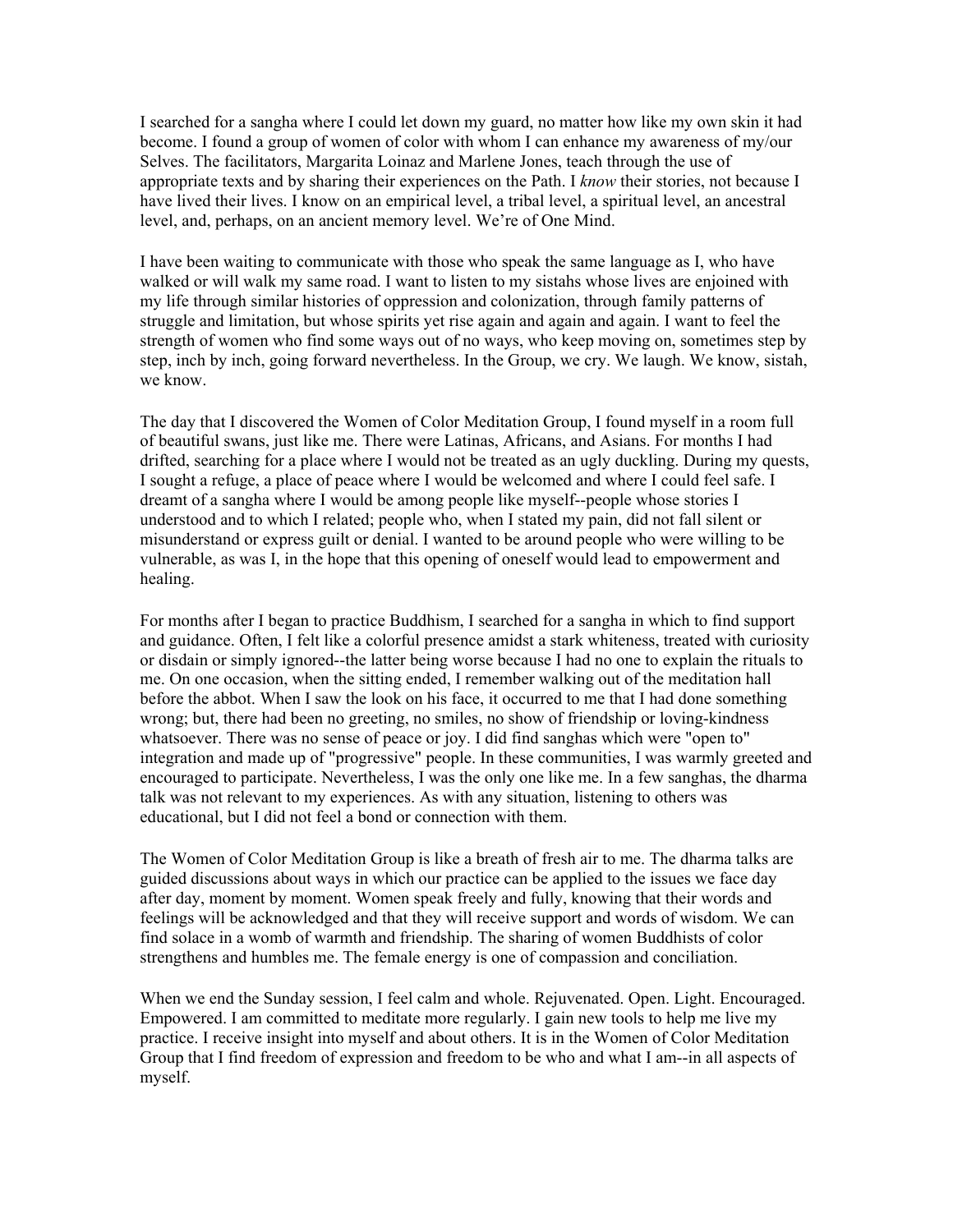I searched for a sangha where I could let down my guard, no matter how like my own skin it had become. I found a group of women of color with whom I can enhance my awareness of my/our Selves. The facilitators, Margarita Loinaz and Marlene Jones, teach through the use of appropriate texts and by sharing their experiences on the Path. I *know* their stories, not because I have lived their lives. I know on an empirical level, a tribal level, a spiritual level, an ancestral level, and, perhaps, on an ancient memory level. We're of One Mind.

I have been waiting to communicate with those who speak the same language as I, who have walked or will walk my same road. I want to listen to my sistahs whose lives are enjoined with my life through similar histories of oppression and colonization, through family patterns of struggle and limitation, but whose spirits yet rise again and again and again. I want to feel the strength of women who find some ways out of no ways, who keep moving on, sometimes step by step, inch by inch, going forward nevertheless. In the Group, we cry. We laugh. We know, sistah, we know.

The day that I discovered the Women of Color Meditation Group, I found myself in a room full of beautiful swans, just like me. There were Latinas, Africans, and Asians. For months I had drifted, searching for a place where I would not be treated as an ugly duckling. During my quests, I sought a refuge, a place of peace where I would be welcomed and where I could feel safe. I dreamt of a sangha where I would be among people like myself--people whose stories I understood and to which I related; people who, when I stated my pain, did not fall silent or misunderstand or express guilt or denial. I wanted to be around people who were willing to be vulnerable, as was I, in the hope that this opening of oneself would lead to empowerment and healing.

For months after I began to practice Buddhism, I searched for a sangha in which to find support and guidance. Often, I felt like a colorful presence amidst a stark whiteness, treated with curiosity or disdain or simply ignored--the latter being worse because I had no one to explain the rituals to me. On one occasion, when the sitting ended, I remember walking out of the meditation hall before the abbot. When I saw the look on his face, it occurred to me that I had done something wrong; but, there had been no greeting, no smiles, no show of friendship or loving-kindness whatsoever. There was no sense of peace or joy. I did find sanghas which were "open to" integration and made up of "progressive" people. In these communities, I was warmly greeted and encouraged to participate. Nevertheless, I was the only one like me. In a few sanghas, the dharma talk was not relevant to my experiences. As with any situation, listening to others was educational, but I did not feel a bond or connection with them.

The Women of Color Meditation Group is like a breath of fresh air to me. The dharma talks are guided discussions about ways in which our practice can be applied to the issues we face day after day, moment by moment. Women speak freely and fully, knowing that their words and feelings will be acknowledged and that they will receive support and words of wisdom. We can find solace in a womb of warmth and friendship. The sharing of women Buddhists of color strengthens and humbles me. The female energy is one of compassion and conciliation.

When we end the Sunday session, I feel calm and whole. Rejuvenated. Open. Light. Encouraged. Empowered. I am committed to meditate more regularly. I gain new tools to help me live my practice. I receive insight into myself and about others. It is in the Women of Color Meditation Group that I find freedom of expression and freedom to be who and what I am--in all aspects of myself.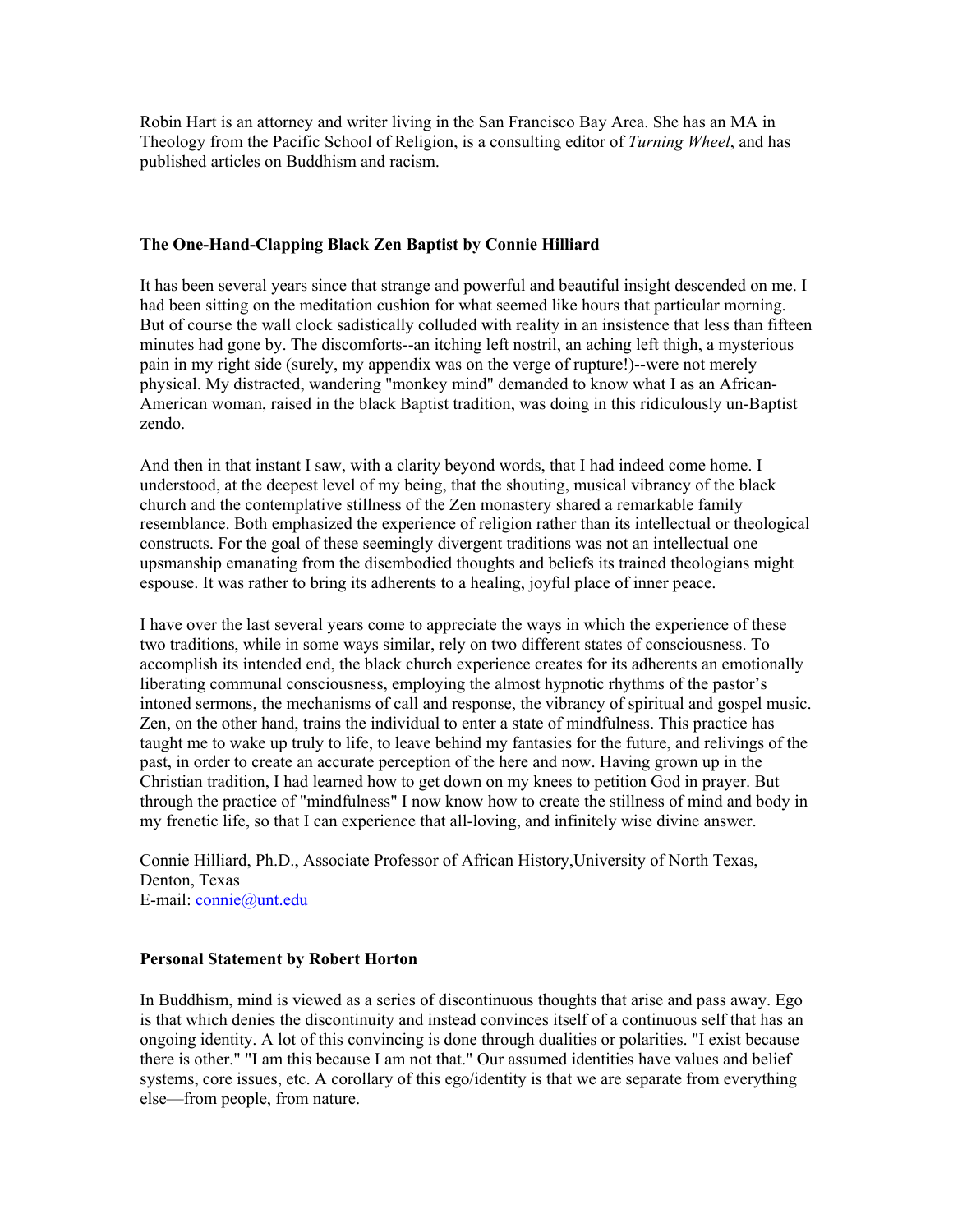Robin Hart is an attorney and writer living in the San Francisco Bay Area. She has an MA in Theology from the Pacific School of Religion, is a consulting editor of *Turning Wheel*, and has published articles on Buddhism and racism.

## **The One-Hand-Clapping Black Zen Baptist by Connie Hilliard**

It has been several years since that strange and powerful and beautiful insight descended on me. I had been sitting on the meditation cushion for what seemed like hours that particular morning. But of course the wall clock sadistically colluded with reality in an insistence that less than fifteen minutes had gone by. The discomforts--an itching left nostril, an aching left thigh, a mysterious pain in my right side (surely, my appendix was on the verge of rupture!)--were not merely physical. My distracted, wandering "monkey mind" demanded to know what I as an African-American woman, raised in the black Baptist tradition, was doing in this ridiculously un-Baptist zendo.

And then in that instant I saw, with a clarity beyond words, that I had indeed come home. I understood, at the deepest level of my being, that the shouting, musical vibrancy of the black church and the contemplative stillness of the Zen monastery shared a remarkable family resemblance. Both emphasized the experience of religion rather than its intellectual or theological constructs. For the goal of these seemingly divergent traditions was not an intellectual one upsmanship emanating from the disembodied thoughts and beliefs its trained theologians might espouse. It was rather to bring its adherents to a healing, joyful place of inner peace.

I have over the last several years come to appreciate the ways in which the experience of these two traditions, while in some ways similar, rely on two different states of consciousness. To accomplish its intended end, the black church experience creates for its adherents an emotionally liberating communal consciousness, employing the almost hypnotic rhythms of the pastor's intoned sermons, the mechanisms of call and response, the vibrancy of spiritual and gospel music. Zen, on the other hand, trains the individual to enter a state of mindfulness. This practice has taught me to wake up truly to life, to leave behind my fantasies for the future, and relivings of the past, in order to create an accurate perception of the here and now. Having grown up in the Christian tradition, I had learned how to get down on my knees to petition God in prayer. But through the practice of "mindfulness" I now know how to create the stillness of mind and body in my frenetic life, so that I can experience that all-loving, and infinitely wise divine answer.

Connie Hilliard, Ph.D., Associate Professor of African History,University of North Texas, Denton, Texas E-mail: connie@unt.edu

## **Personal Statement by Robert Horton**

In Buddhism, mind is viewed as a series of discontinuous thoughts that arise and pass away. Ego is that which denies the discontinuity and instead convinces itself of a continuous self that has an ongoing identity. A lot of this convincing is done through dualities or polarities. "I exist because there is other." "I am this because I am not that." Our assumed identities have values and belief systems, core issues, etc. A corollary of this ego/identity is that we are separate from everything else—from people, from nature.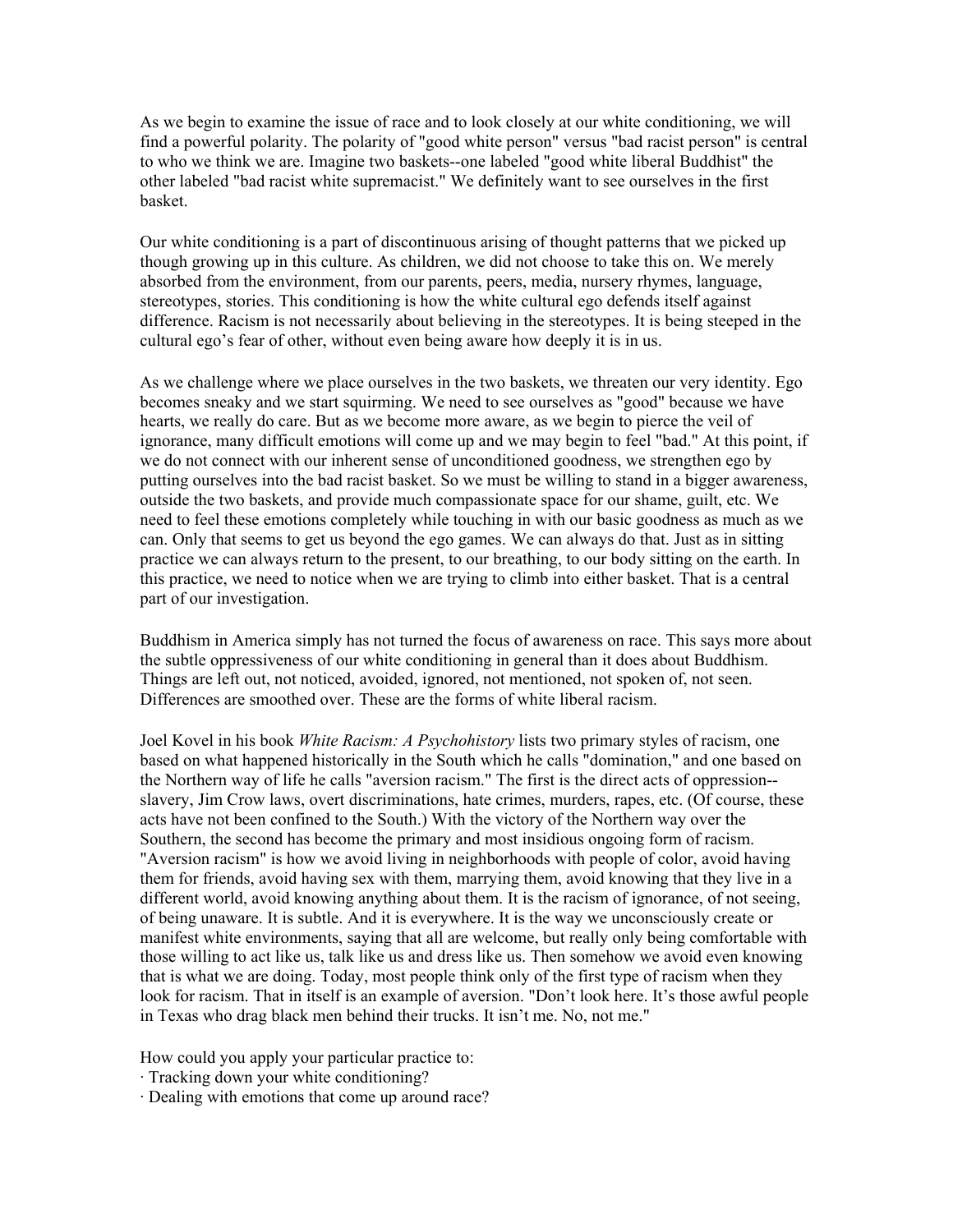As we begin to examine the issue of race and to look closely at our white conditioning, we will find a powerful polarity. The polarity of "good white person" versus "bad racist person" is central to who we think we are. Imagine two baskets--one labeled "good white liberal Buddhist" the other labeled "bad racist white supremacist." We definitely want to see ourselves in the first basket.

Our white conditioning is a part of discontinuous arising of thought patterns that we picked up though growing up in this culture. As children, we did not choose to take this on. We merely absorbed from the environment, from our parents, peers, media, nursery rhymes, language, stereotypes, stories. This conditioning is how the white cultural ego defends itself against difference. Racism is not necessarily about believing in the stereotypes. It is being steeped in the cultural ego's fear of other, without even being aware how deeply it is in us.

As we challenge where we place ourselves in the two baskets, we threaten our very identity. Ego becomes sneaky and we start squirming. We need to see ourselves as "good" because we have hearts, we really do care. But as we become more aware, as we begin to pierce the veil of ignorance, many difficult emotions will come up and we may begin to feel "bad." At this point, if we do not connect with our inherent sense of unconditioned goodness, we strengthen ego by putting ourselves into the bad racist basket. So we must be willing to stand in a bigger awareness, outside the two baskets, and provide much compassionate space for our shame, guilt, etc. We need to feel these emotions completely while touching in with our basic goodness as much as we can. Only that seems to get us beyond the ego games. We can always do that. Just as in sitting practice we can always return to the present, to our breathing, to our body sitting on the earth. In this practice, we need to notice when we are trying to climb into either basket. That is a central part of our investigation.

Buddhism in America simply has not turned the focus of awareness on race. This says more about the subtle oppressiveness of our white conditioning in general than it does about Buddhism. Things are left out, not noticed, avoided, ignored, not mentioned, not spoken of, not seen. Differences are smoothed over. These are the forms of white liberal racism.

Joel Kovel in his book *White Racism: A Psychohistory* lists two primary styles of racism, one based on what happened historically in the South which he calls "domination," and one based on the Northern way of life he calls "aversion racism." The first is the direct acts of oppression- slavery, Jim Crow laws, overt discriminations, hate crimes, murders, rapes, etc. (Of course, these acts have not been confined to the South.) With the victory of the Northern way over the Southern, the second has become the primary and most insidious ongoing form of racism. "Aversion racism" is how we avoid living in neighborhoods with people of color, avoid having them for friends, avoid having sex with them, marrying them, avoid knowing that they live in a different world, avoid knowing anything about them. It is the racism of ignorance, of not seeing, of being unaware. It is subtle. And it is everywhere. It is the way we unconsciously create or manifest white environments, saying that all are welcome, but really only being comfortable with those willing to act like us, talk like us and dress like us. Then somehow we avoid even knowing that is what we are doing. Today, most people think only of the first type of racism when they look for racism. That in itself is an example of aversion. "Don't look here. It's those awful people in Texas who drag black men behind their trucks. It isn't me. No, not me."

How could you apply your particular practice to:

· Tracking down your white conditioning?

· Dealing with emotions that come up around race?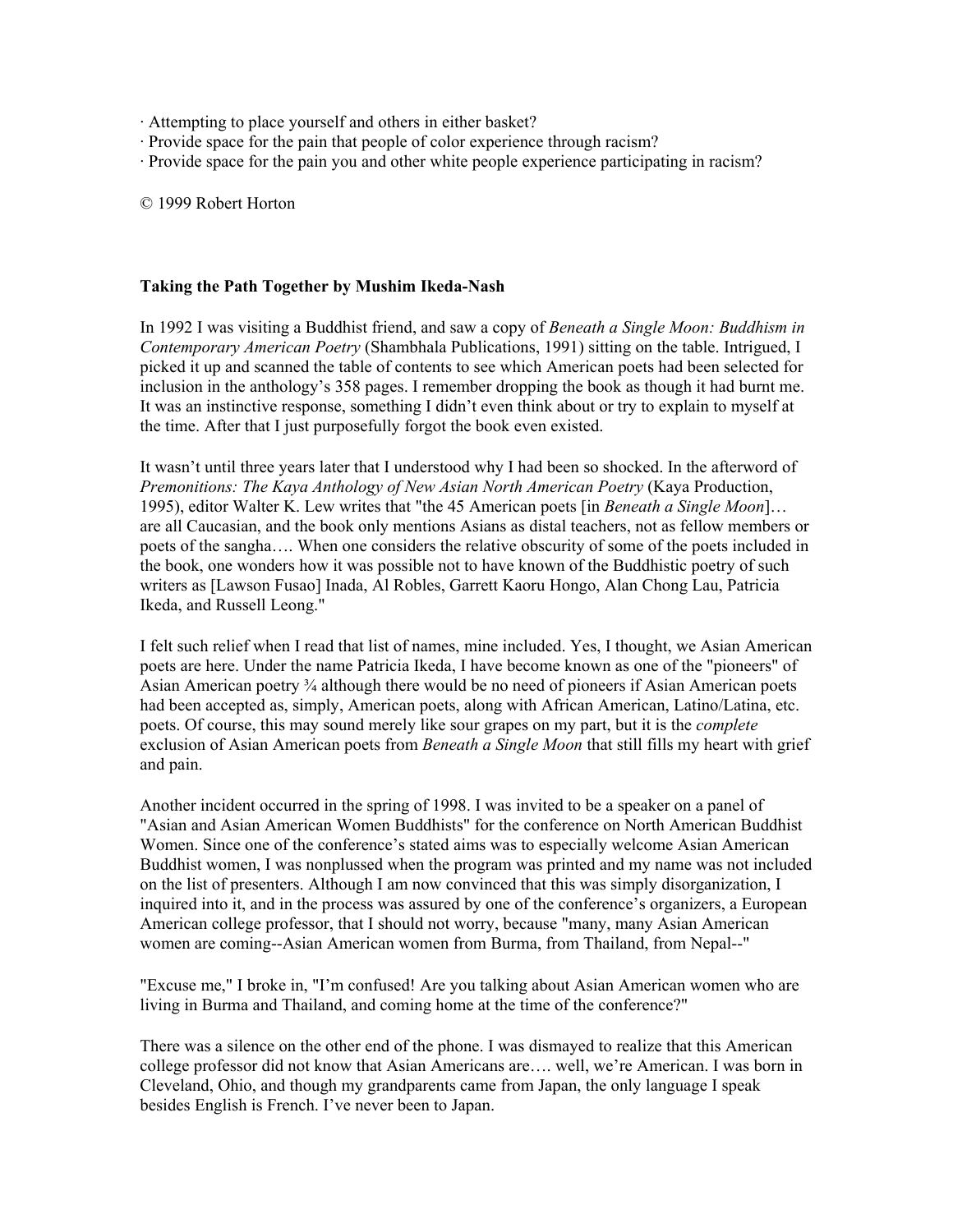· Attempting to place yourself and others in either basket?

· Provide space for the pain that people of color experience through racism?

· Provide space for the pain you and other white people experience participating in racism?

© 1999 Robert Horton

### **Taking the Path Together by Mushim Ikeda-Nash**

In 1992 I was visiting a Buddhist friend, and saw a copy of *Beneath a Single Moon: Buddhism in Contemporary American Poetry* (Shambhala Publications, 1991) sitting on the table. Intrigued, I picked it up and scanned the table of contents to see which American poets had been selected for inclusion in the anthology's 358 pages. I remember dropping the book as though it had burnt me. It was an instinctive response, something I didn't even think about or try to explain to myself at the time. After that I just purposefully forgot the book even existed.

It wasn't until three years later that I understood why I had been so shocked. In the afterword of *Premonitions: The Kaya Anthology of New Asian North American Poetry* (Kaya Production, 1995), editor Walter K. Lew writes that "the 45 American poets [in *Beneath a Single Moon*]… are all Caucasian, and the book only mentions Asians as distal teachers, not as fellow members or poets of the sangha…. When one considers the relative obscurity of some of the poets included in the book, one wonders how it was possible not to have known of the Buddhistic poetry of such writers as [Lawson Fusao] Inada, Al Robles, Garrett Kaoru Hongo, Alan Chong Lau, Patricia Ikeda, and Russell Leong."

I felt such relief when I read that list of names, mine included. Yes, I thought, we Asian American poets are here. Under the name Patricia Ikeda, I have become known as one of the "pioneers" of Asian American poetry ¾ although there would be no need of pioneers if Asian American poets had been accepted as, simply, American poets, along with African American, Latino/Latina, etc. poets. Of course, this may sound merely like sour grapes on my part, but it is the *complete*  exclusion of Asian American poets from *Beneath a Single Moon* that still fills my heart with grief and pain.

Another incident occurred in the spring of 1998. I was invited to be a speaker on a panel of "Asian and Asian American Women Buddhists" for the conference on North American Buddhist Women. Since one of the conference's stated aims was to especially welcome Asian American Buddhist women, I was nonplussed when the program was printed and my name was not included on the list of presenters. Although I am now convinced that this was simply disorganization, I inquired into it, and in the process was assured by one of the conference's organizers, a European American college professor, that I should not worry, because "many, many Asian American women are coming--Asian American women from Burma, from Thailand, from Nepal--"

"Excuse me," I broke in, "I'm confused! Are you talking about Asian American women who are living in Burma and Thailand, and coming home at the time of the conference?"

There was a silence on the other end of the phone. I was dismayed to realize that this American college professor did not know that Asian Americans are…. well, we're American. I was born in Cleveland, Ohio, and though my grandparents came from Japan, the only language I speak besides English is French. I've never been to Japan.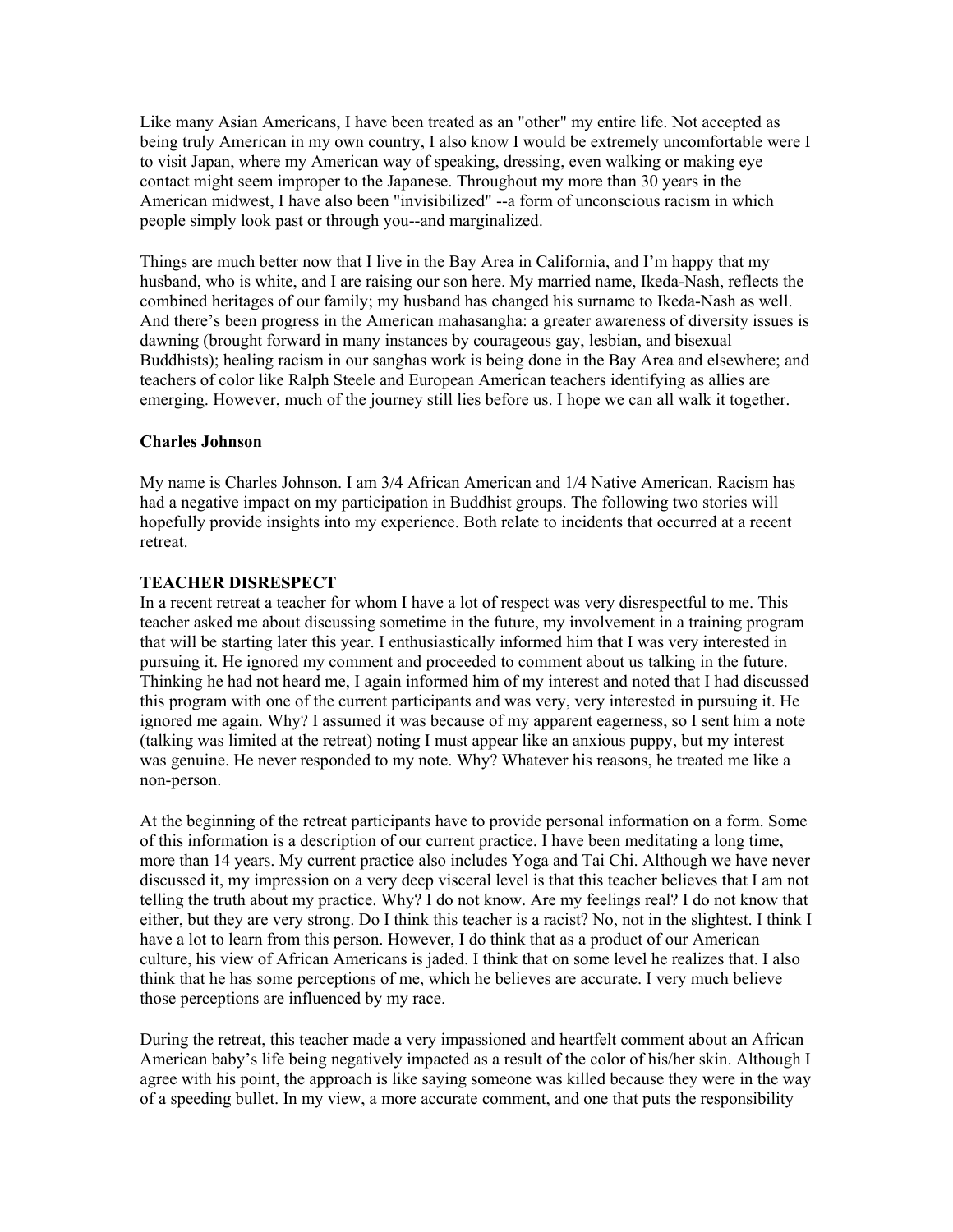Like many Asian Americans, I have been treated as an "other" my entire life. Not accepted as being truly American in my own country, I also know I would be extremely uncomfortable were I to visit Japan, where my American way of speaking, dressing, even walking or making eye contact might seem improper to the Japanese. Throughout my more than 30 years in the American midwest, I have also been "invisibilized" --a form of unconscious racism in which people simply look past or through you--and marginalized.

Things are much better now that I live in the Bay Area in California, and I'm happy that my husband, who is white, and I are raising our son here. My married name, Ikeda-Nash, reflects the combined heritages of our family; my husband has changed his surname to Ikeda-Nash as well. And there's been progress in the American mahasangha: a greater awareness of diversity issues is dawning (brought forward in many instances by courageous gay, lesbian, and bisexual Buddhists); healing racism in our sanghas work is being done in the Bay Area and elsewhere; and teachers of color like Ralph Steele and European American teachers identifying as allies are emerging. However, much of the journey still lies before us. I hope we can all walk it together.

## **Charles Johnson**

My name is Charles Johnson. I am 3/4 African American and 1/4 Native American. Racism has had a negative impact on my participation in Buddhist groups. The following two stories will hopefully provide insights into my experience. Both relate to incidents that occurred at a recent retreat.

### **TEACHER DISRESPECT**

In a recent retreat a teacher for whom I have a lot of respect was very disrespectful to me. This teacher asked me about discussing sometime in the future, my involvement in a training program that will be starting later this year. I enthusiastically informed him that I was very interested in pursuing it. He ignored my comment and proceeded to comment about us talking in the future. Thinking he had not heard me, I again informed him of my interest and noted that I had discussed this program with one of the current participants and was very, very interested in pursuing it. He ignored me again. Why? I assumed it was because of my apparent eagerness, so I sent him a note (talking was limited at the retreat) noting I must appear like an anxious puppy, but my interest was genuine. He never responded to my note. Why? Whatever his reasons, he treated me like a non-person.

At the beginning of the retreat participants have to provide personal information on a form. Some of this information is a description of our current practice. I have been meditating a long time, more than 14 years. My current practice also includes Yoga and Tai Chi. Although we have never discussed it, my impression on a very deep visceral level is that this teacher believes that I am not telling the truth about my practice. Why? I do not know. Are my feelings real? I do not know that either, but they are very strong. Do I think this teacher is a racist? No, not in the slightest. I think I have a lot to learn from this person. However, I do think that as a product of our American culture, his view of African Americans is jaded. I think that on some level he realizes that. I also think that he has some perceptions of me, which he believes are accurate. I very much believe those perceptions are influenced by my race.

During the retreat, this teacher made a very impassioned and heartfelt comment about an African American baby's life being negatively impacted as a result of the color of his/her skin. Although I agree with his point, the approach is like saying someone was killed because they were in the way of a speeding bullet. In my view, a more accurate comment, and one that puts the responsibility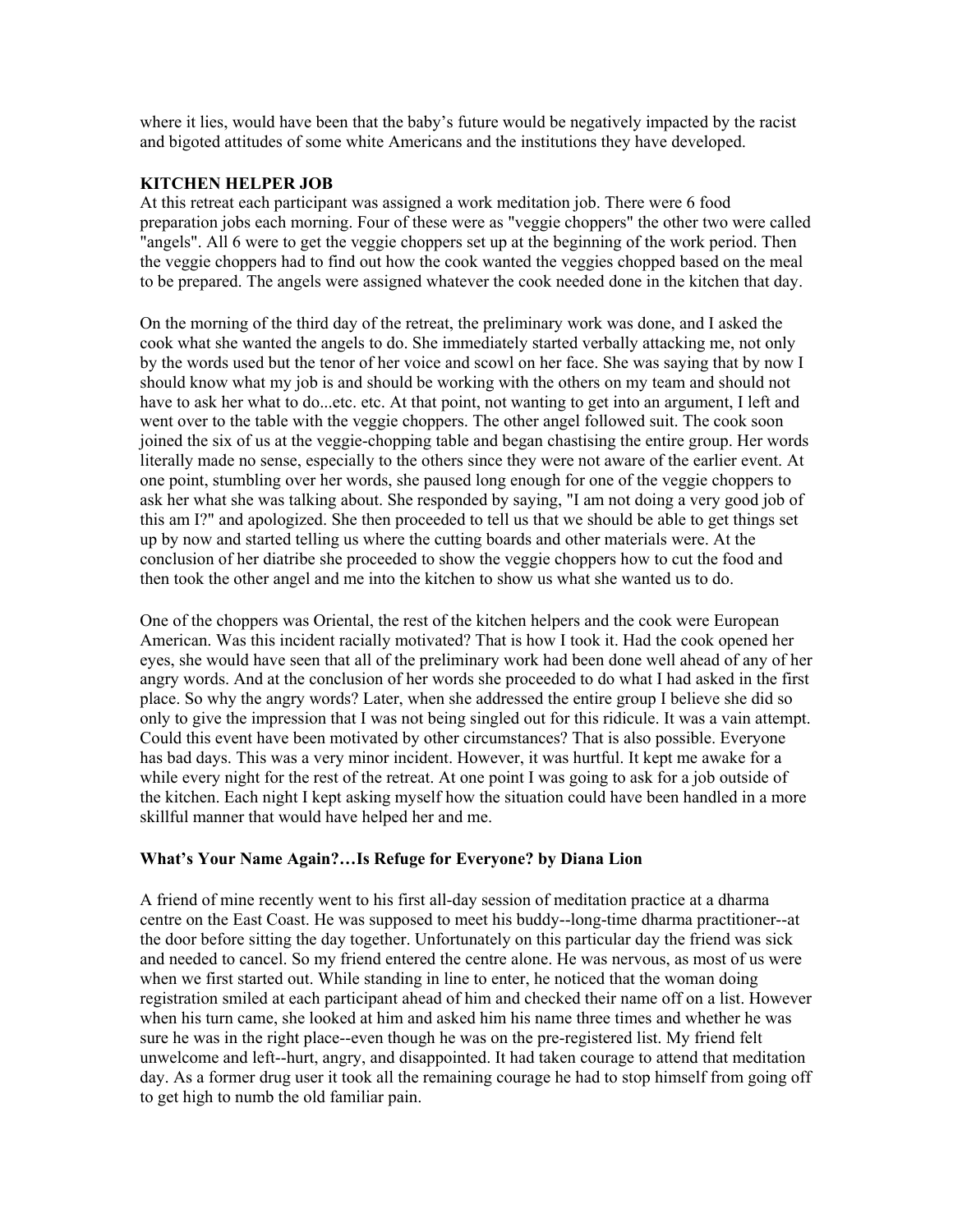where it lies, would have been that the baby's future would be negatively impacted by the racist and bigoted attitudes of some white Americans and the institutions they have developed.

### **KITCHEN HELPER JOB**

At this retreat each participant was assigned a work meditation job. There were 6 food preparation jobs each morning. Four of these were as "veggie choppers" the other two were called "angels". All 6 were to get the veggie choppers set up at the beginning of the work period. Then the veggie choppers had to find out how the cook wanted the veggies chopped based on the meal to be prepared. The angels were assigned whatever the cook needed done in the kitchen that day.

On the morning of the third day of the retreat, the preliminary work was done, and I asked the cook what she wanted the angels to do. She immediately started verbally attacking me, not only by the words used but the tenor of her voice and scowl on her face. She was saying that by now I should know what my job is and should be working with the others on my team and should not have to ask her what to do...etc. etc. At that point, not wanting to get into an argument, I left and went over to the table with the veggie choppers. The other angel followed suit. The cook soon joined the six of us at the veggie-chopping table and began chastising the entire group. Her words literally made no sense, especially to the others since they were not aware of the earlier event. At one point, stumbling over her words, she paused long enough for one of the veggie choppers to ask her what she was talking about. She responded by saying, "I am not doing a very good job of this am I?" and apologized. She then proceeded to tell us that we should be able to get things set up by now and started telling us where the cutting boards and other materials were. At the conclusion of her diatribe she proceeded to show the veggie choppers how to cut the food and then took the other angel and me into the kitchen to show us what she wanted us to do.

One of the choppers was Oriental, the rest of the kitchen helpers and the cook were European American. Was this incident racially motivated? That is how I took it. Had the cook opened her eyes, she would have seen that all of the preliminary work had been done well ahead of any of her angry words. And at the conclusion of her words she proceeded to do what I had asked in the first place. So why the angry words? Later, when she addressed the entire group I believe she did so only to give the impression that I was not being singled out for this ridicule. It was a vain attempt. Could this event have been motivated by other circumstances? That is also possible. Everyone has bad days. This was a very minor incident. However, it was hurtful. It kept me awake for a while every night for the rest of the retreat. At one point I was going to ask for a job outside of the kitchen. Each night I kept asking myself how the situation could have been handled in a more skillful manner that would have helped her and me.

#### **What's Your Name Again?…Is Refuge for Everyone? by Diana Lion**

A friend of mine recently went to his first all-day session of meditation practice at a dharma centre on the East Coast. He was supposed to meet his buddy--long-time dharma practitioner--at the door before sitting the day together. Unfortunately on this particular day the friend was sick and needed to cancel. So my friend entered the centre alone. He was nervous, as most of us were when we first started out. While standing in line to enter, he noticed that the woman doing registration smiled at each participant ahead of him and checked their name off on a list. However when his turn came, she looked at him and asked him his name three times and whether he was sure he was in the right place--even though he was on the pre-registered list. My friend felt unwelcome and left--hurt, angry, and disappointed. It had taken courage to attend that meditation day. As a former drug user it took all the remaining courage he had to stop himself from going off to get high to numb the old familiar pain.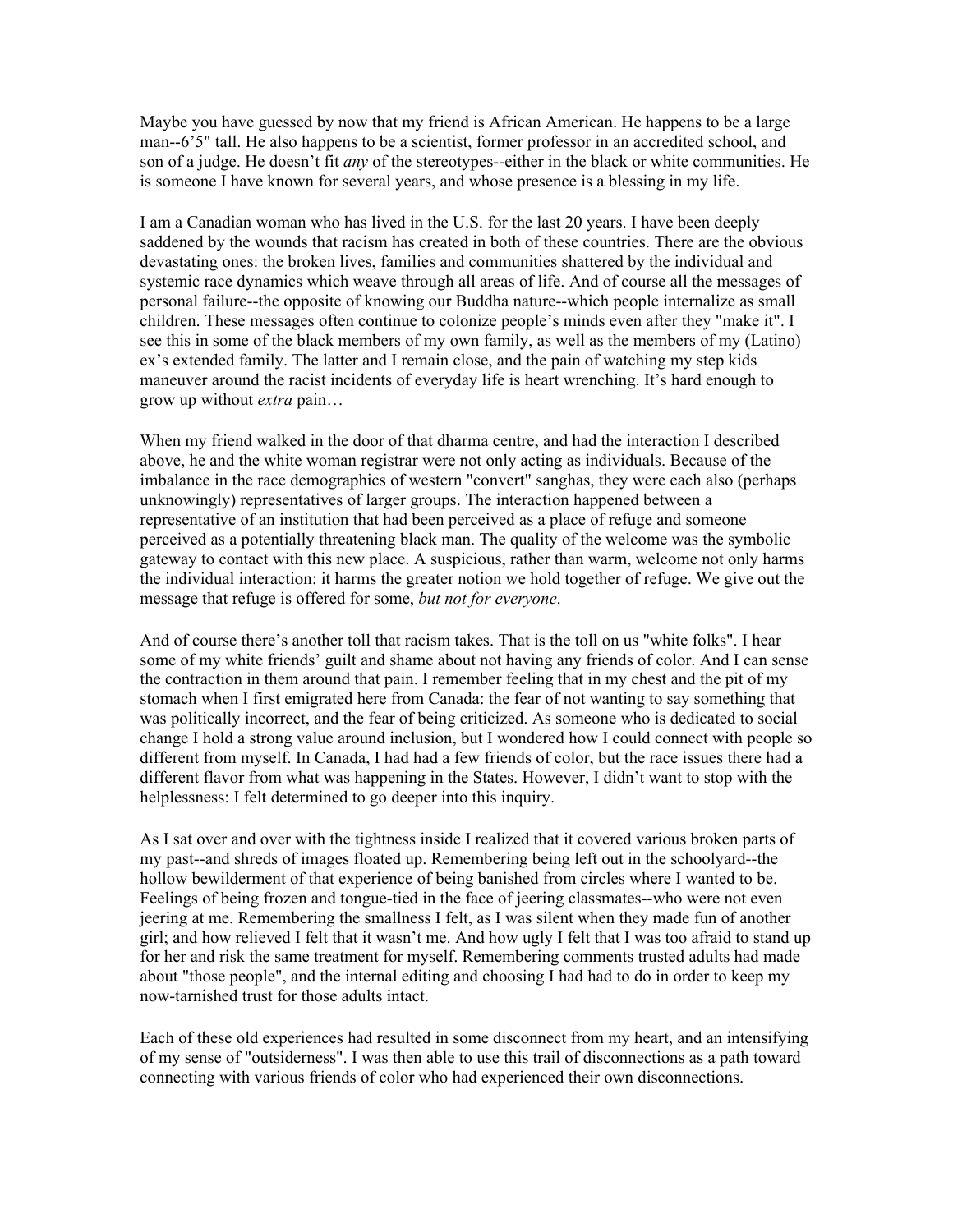Maybe you have guessed by now that my friend is African American. He happens to be a large man--6'5" tall. He also happens to be a scientist, former professor in an accredited school, and son of a judge. He doesn't fit *any* of the stereotypes--either in the black or white communities. He is someone I have known for several years, and whose presence is a blessing in my life.

I am a Canadian woman who has lived in the U.S. for the last 20 years. I have been deeply saddened by the wounds that racism has created in both of these countries. There are the obvious devastating ones: the broken lives, families and communities shattered by the individual and systemic race dynamics which weave through all areas of life. And of course all the messages of personal failure--the opposite of knowing our Buddha nature--which people internalize as small children. These messages often continue to colonize people's minds even after they "make it". I see this in some of the black members of my own family, as well as the members of my (Latino) ex's extended family. The latter and I remain close, and the pain of watching my step kids maneuver around the racist incidents of everyday life is heart wrenching. It's hard enough to grow up without *extra* pain…

When my friend walked in the door of that dharma centre, and had the interaction I described above, he and the white woman registrar were not only acting as individuals. Because of the imbalance in the race demographics of western "convert" sanghas, they were each also (perhaps unknowingly) representatives of larger groups. The interaction happened between a representative of an institution that had been perceived as a place of refuge and someone perceived as a potentially threatening black man. The quality of the welcome was the symbolic gateway to contact with this new place. A suspicious, rather than warm, welcome not only harms the individual interaction: it harms the greater notion we hold together of refuge. We give out the message that refuge is offered for some, *but not for everyone*.

And of course there's another toll that racism takes. That is the toll on us "white folks". I hear some of my white friends' guilt and shame about not having any friends of color. And I can sense the contraction in them around that pain. I remember feeling that in my chest and the pit of my stomach when I first emigrated here from Canada: the fear of not wanting to say something that was politically incorrect, and the fear of being criticized. As someone who is dedicated to social change I hold a strong value around inclusion, but I wondered how I could connect with people so different from myself. In Canada, I had had a few friends of color, but the race issues there had a different flavor from what was happening in the States. However, I didn't want to stop with the helplessness: I felt determined to go deeper into this inquiry.

As I sat over and over with the tightness inside I realized that it covered various broken parts of my past--and shreds of images floated up. Remembering being left out in the schoolyard--the hollow bewilderment of that experience of being banished from circles where I wanted to be. Feelings of being frozen and tongue-tied in the face of jeering classmates--who were not even jeering at me. Remembering the smallness I felt, as I was silent when they made fun of another girl; and how relieved I felt that it wasn't me. And how ugly I felt that I was too afraid to stand up for her and risk the same treatment for myself. Remembering comments trusted adults had made about "those people", and the internal editing and choosing I had had to do in order to keep my now-tarnished trust for those adults intact.

Each of these old experiences had resulted in some disconnect from my heart, and an intensifying of my sense of "outsiderness". I was then able to use this trail of disconnections as a path toward connecting with various friends of color who had experienced their own disconnections.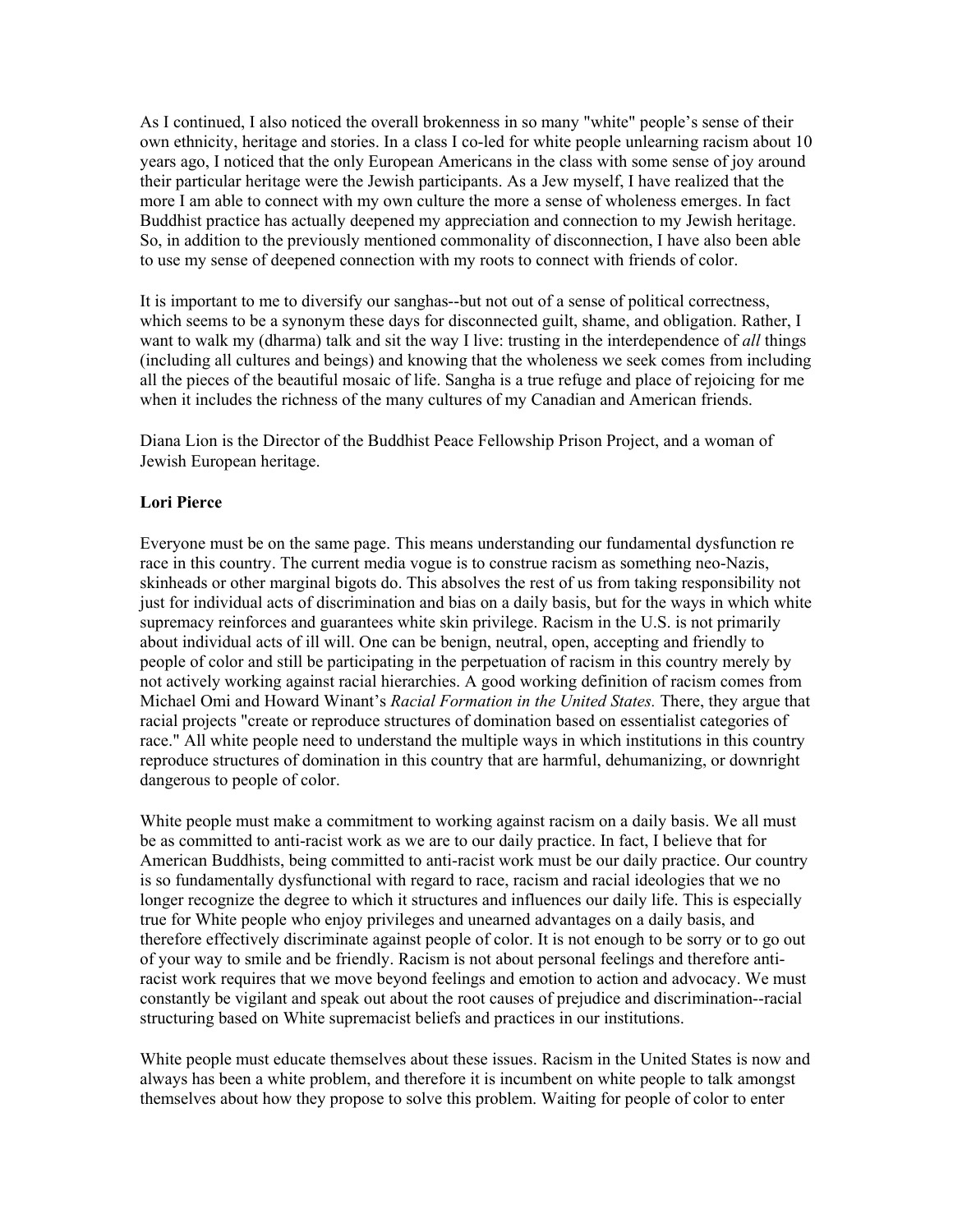As I continued, I also noticed the overall brokenness in so many "white" people's sense of their own ethnicity, heritage and stories. In a class I co-led for white people unlearning racism about 10 years ago, I noticed that the only European Americans in the class with some sense of joy around their particular heritage were the Jewish participants. As a Jew myself, I have realized that the more I am able to connect with my own culture the more a sense of wholeness emerges. In fact Buddhist practice has actually deepened my appreciation and connection to my Jewish heritage. So, in addition to the previously mentioned commonality of disconnection, I have also been able to use my sense of deepened connection with my roots to connect with friends of color.

It is important to me to diversify our sanghas--but not out of a sense of political correctness, which seems to be a synonym these days for disconnected guilt, shame, and obligation. Rather, I want to walk my (dharma) talk and sit the way I live: trusting in the interdependence of *all* things (including all cultures and beings) and knowing that the wholeness we seek comes from including all the pieces of the beautiful mosaic of life. Sangha is a true refuge and place of rejoicing for me when it includes the richness of the many cultures of my Canadian and American friends.

Diana Lion is the Director of the Buddhist Peace Fellowship Prison Project, and a woman of Jewish European heritage.

### **Lori Pierce**

Everyone must be on the same page. This means understanding our fundamental dysfunction re race in this country. The current media vogue is to construe racism as something neo-Nazis, skinheads or other marginal bigots do. This absolves the rest of us from taking responsibility not just for individual acts of discrimination and bias on a daily basis, but for the ways in which white supremacy reinforces and guarantees white skin privilege. Racism in the U.S. is not primarily about individual acts of ill will. One can be benign, neutral, open, accepting and friendly to people of color and still be participating in the perpetuation of racism in this country merely by not actively working against racial hierarchies. A good working definition of racism comes from Michael Omi and Howard Winant's *Racial Formation in the United States.* There, they argue that racial projects "create or reproduce structures of domination based on essentialist categories of race." All white people need to understand the multiple ways in which institutions in this country reproduce structures of domination in this country that are harmful, dehumanizing, or downright dangerous to people of color.

White people must make a commitment to working against racism on a daily basis. We all must be as committed to anti-racist work as we are to our daily practice. In fact, I believe that for American Buddhists, being committed to anti-racist work must be our daily practice. Our country is so fundamentally dysfunctional with regard to race, racism and racial ideologies that we no longer recognize the degree to which it structures and influences our daily life. This is especially true for White people who enjoy privileges and unearned advantages on a daily basis, and therefore effectively discriminate against people of color. It is not enough to be sorry or to go out of your way to smile and be friendly. Racism is not about personal feelings and therefore antiracist work requires that we move beyond feelings and emotion to action and advocacy. We must constantly be vigilant and speak out about the root causes of prejudice and discrimination--racial structuring based on White supremacist beliefs and practices in our institutions.

White people must educate themselves about these issues. Racism in the United States is now and always has been a white problem, and therefore it is incumbent on white people to talk amongst themselves about how they propose to solve this problem. Waiting for people of color to enter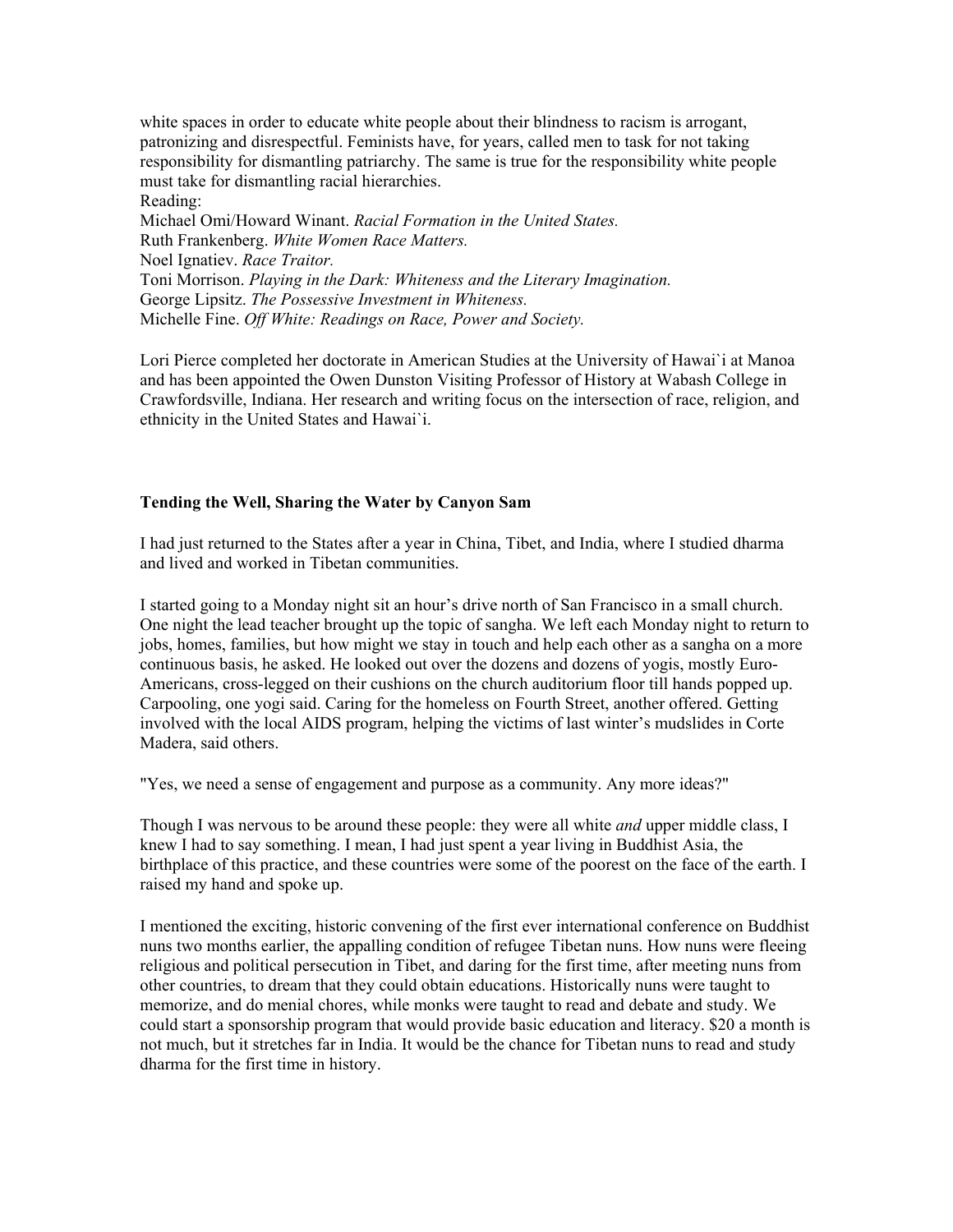white spaces in order to educate white people about their blindness to racism is arrogant, patronizing and disrespectful. Feminists have, for years, called men to task for not taking responsibility for dismantling patriarchy. The same is true for the responsibility white people must take for dismantling racial hierarchies. Reading: Michael Omi/Howard Winant. *Racial Formation in the United States.* Ruth Frankenberg. *White Women Race Matters.* Noel Ignatiev. *Race Traitor.*  Toni Morrison. *Playing in the Dark: Whiteness and the Literary Imagination.*  George Lipsitz. *The Possessive Investment in Whiteness.*  Michelle Fine. *Off White: Readings on Race, Power and Society.* 

Lori Pierce completed her doctorate in American Studies at the University of Hawai`i at Manoa and has been appointed the Owen Dunston Visiting Professor of History at Wabash College in Crawfordsville, Indiana. Her research and writing focus on the intersection of race, religion, and ethnicity in the United States and Hawai`i.

### **Tending the Well, Sharing the Water by Canyon Sam**

I had just returned to the States after a year in China, Tibet, and India, where I studied dharma and lived and worked in Tibetan communities.

I started going to a Monday night sit an hour's drive north of San Francisco in a small church. One night the lead teacher brought up the topic of sangha. We left each Monday night to return to jobs, homes, families, but how might we stay in touch and help each other as a sangha on a more continuous basis, he asked. He looked out over the dozens and dozens of yogis, mostly Euro-Americans, cross-legged on their cushions on the church auditorium floor till hands popped up. Carpooling, one yogi said. Caring for the homeless on Fourth Street, another offered. Getting involved with the local AIDS program, helping the victims of last winter's mudslides in Corte Madera, said others.

"Yes, we need a sense of engagement and purpose as a community. Any more ideas?"

Though I was nervous to be around these people: they were all white *and* upper middle class, I knew I had to say something. I mean, I had just spent a year living in Buddhist Asia, the birthplace of this practice, and these countries were some of the poorest on the face of the earth. I raised my hand and spoke up.

I mentioned the exciting, historic convening of the first ever international conference on Buddhist nuns two months earlier, the appalling condition of refugee Tibetan nuns. How nuns were fleeing religious and political persecution in Tibet, and daring for the first time, after meeting nuns from other countries, to dream that they could obtain educations. Historically nuns were taught to memorize, and do menial chores, while monks were taught to read and debate and study. We could start a sponsorship program that would provide basic education and literacy. \$20 a month is not much, but it stretches far in India. It would be the chance for Tibetan nuns to read and study dharma for the first time in history.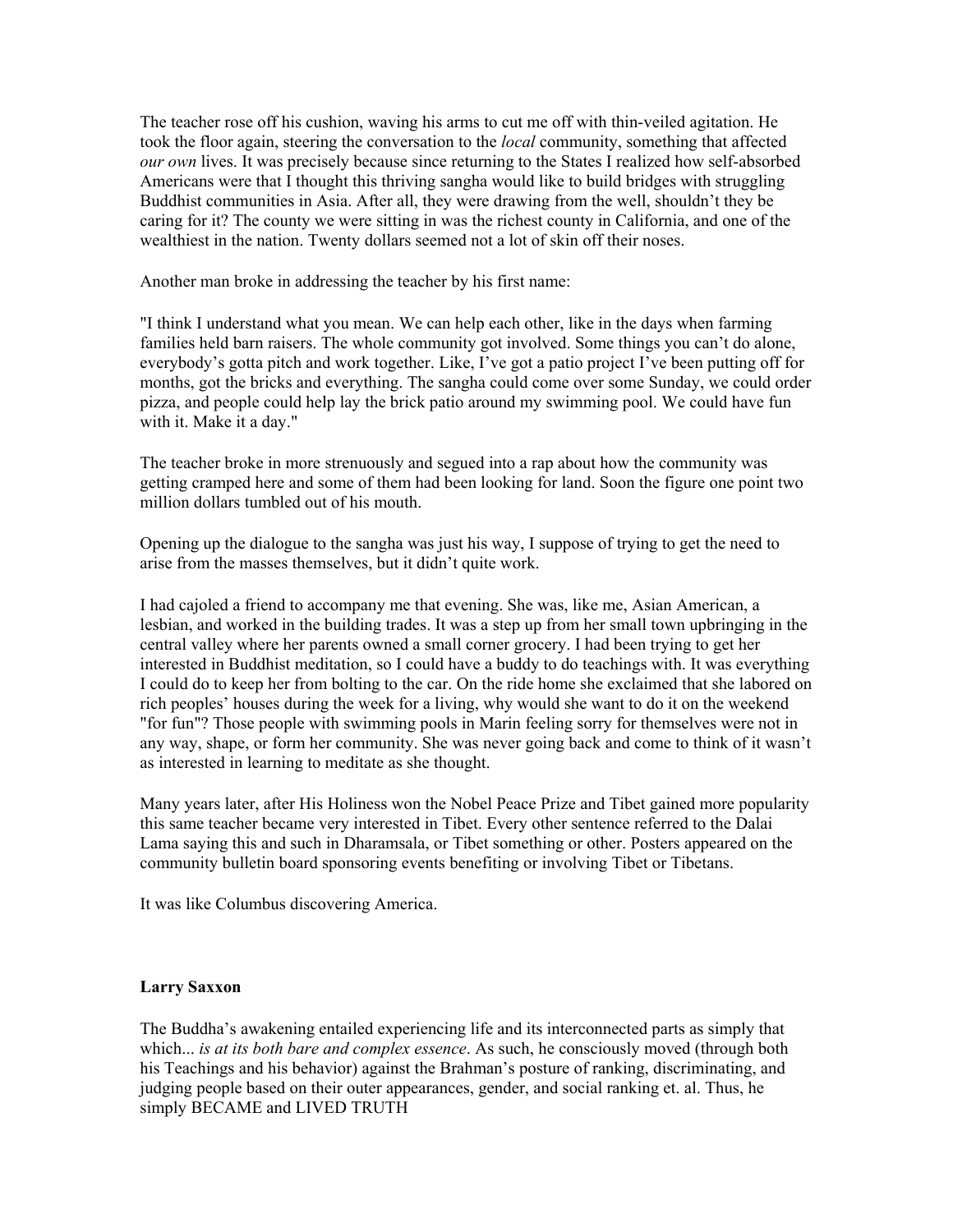The teacher rose off his cushion, waving his arms to cut me off with thin-veiled agitation. He took the floor again, steering the conversation to the *local* community, something that affected *our own* lives. It was precisely because since returning to the States I realized how self-absorbed Americans were that I thought this thriving sangha would like to build bridges with struggling Buddhist communities in Asia. After all, they were drawing from the well, shouldn't they be caring for it? The county we were sitting in was the richest county in California, and one of the wealthiest in the nation. Twenty dollars seemed not a lot of skin off their noses.

Another man broke in addressing the teacher by his first name:

"I think I understand what you mean. We can help each other, like in the days when farming families held barn raisers. The whole community got involved. Some things you can't do alone, everybody's gotta pitch and work together. Like, I've got a patio project I've been putting off for months, got the bricks and everything. The sangha could come over some Sunday, we could order pizza, and people could help lay the brick patio around my swimming pool. We could have fun with it. Make it a day."

The teacher broke in more strenuously and segued into a rap about how the community was getting cramped here and some of them had been looking for land. Soon the figure one point two million dollars tumbled out of his mouth.

Opening up the dialogue to the sangha was just his way, I suppose of trying to get the need to arise from the masses themselves, but it didn't quite work.

I had cajoled a friend to accompany me that evening. She was, like me, Asian American, a lesbian, and worked in the building trades. It was a step up from her small town upbringing in the central valley where her parents owned a small corner grocery. I had been trying to get her interested in Buddhist meditation, so I could have a buddy to do teachings with. It was everything I could do to keep her from bolting to the car. On the ride home she exclaimed that she labored on rich peoples' houses during the week for a living, why would she want to do it on the weekend "for fun"? Those people with swimming pools in Marin feeling sorry for themselves were not in any way, shape, or form her community. She was never going back and come to think of it wasn't as interested in learning to meditate as she thought.

Many years later, after His Holiness won the Nobel Peace Prize and Tibet gained more popularity this same teacher became very interested in Tibet. Every other sentence referred to the Dalai Lama saying this and such in Dharamsala, or Tibet something or other. Posters appeared on the community bulletin board sponsoring events benefiting or involving Tibet or Tibetans.

It was like Columbus discovering America.

#### **Larry Saxxon**

The Buddha's awakening entailed experiencing life and its interconnected parts as simply that which... *is at its both bare and complex essence*. As such, he consciously moved (through both his Teachings and his behavior) against the Brahman's posture of ranking, discriminating, and judging people based on their outer appearances, gender, and social ranking et. al. Thus, he simply BECAME and LIVED TRUTH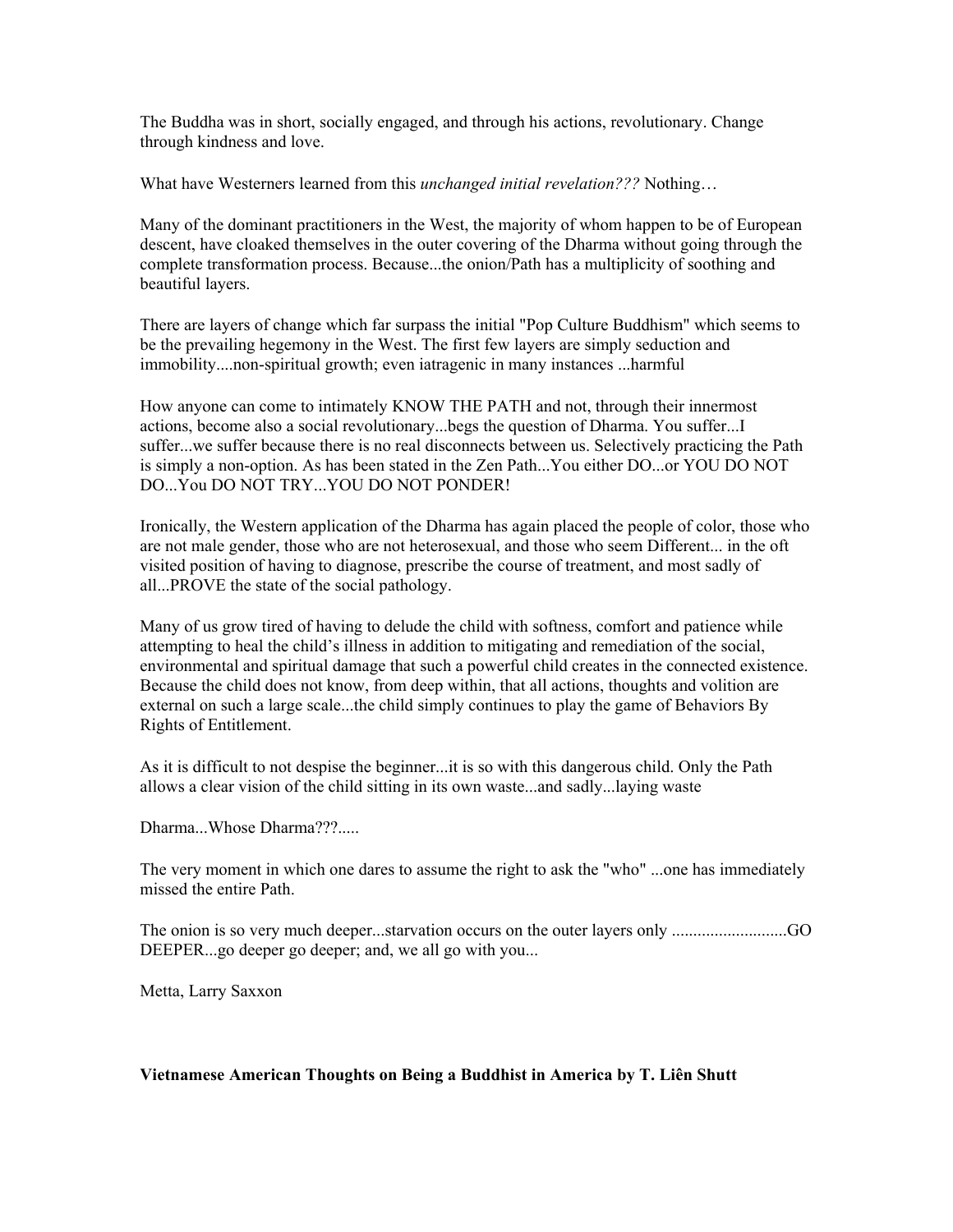The Buddha was in short, socially engaged, and through his actions, revolutionary. Change through kindness and love.

What have Westerners learned from this *unchanged initial revelation???* Nothing…

Many of the dominant practitioners in the West, the majority of whom happen to be of European descent, have cloaked themselves in the outer covering of the Dharma without going through the complete transformation process. Because...the onion/Path has a multiplicity of soothing and beautiful layers.

There are layers of change which far surpass the initial "Pop Culture Buddhism" which seems to be the prevailing hegemony in the West. The first few layers are simply seduction and immobility....non-spiritual growth; even iatragenic in many instances ...harmful

How anyone can come to intimately KNOW THE PATH and not, through their innermost actions, become also a social revolutionary...begs the question of Dharma. You suffer...I suffer...we suffer because there is no real disconnects between us. Selectively practicing the Path is simply a non-option. As has been stated in the Zen Path...You either DO...or YOU DO NOT DO...You DO NOT TRY...YOU DO NOT PONDER!

Ironically, the Western application of the Dharma has again placed the people of color, those who are not male gender, those who are not heterosexual, and those who seem Different... in the oft visited position of having to diagnose, prescribe the course of treatment, and most sadly of all...PROVE the state of the social pathology.

Many of us grow tired of having to delude the child with softness, comfort and patience while attempting to heal the child's illness in addition to mitigating and remediation of the social, environmental and spiritual damage that such a powerful child creates in the connected existence. Because the child does not know, from deep within, that all actions, thoughts and volition are external on such a large scale...the child simply continues to play the game of Behaviors By Rights of Entitlement.

As it is difficult to not despise the beginner...it is so with this dangerous child. Only the Path allows a clear vision of the child sitting in its own waste...and sadly...laying waste

Dharma...Whose Dharma???.....

The very moment in which one dares to assume the right to ask the "who" ...one has immediately missed the entire Path.

The onion is so very much deeper...starvation occurs on the outer layers only ...........................GO DEEPER...go deeper go deeper; and, we all go with you...

Metta, Larry Saxxon

#### **Vietnamese American Thoughts on Being a Buddhist in America by T. Liên Shutt**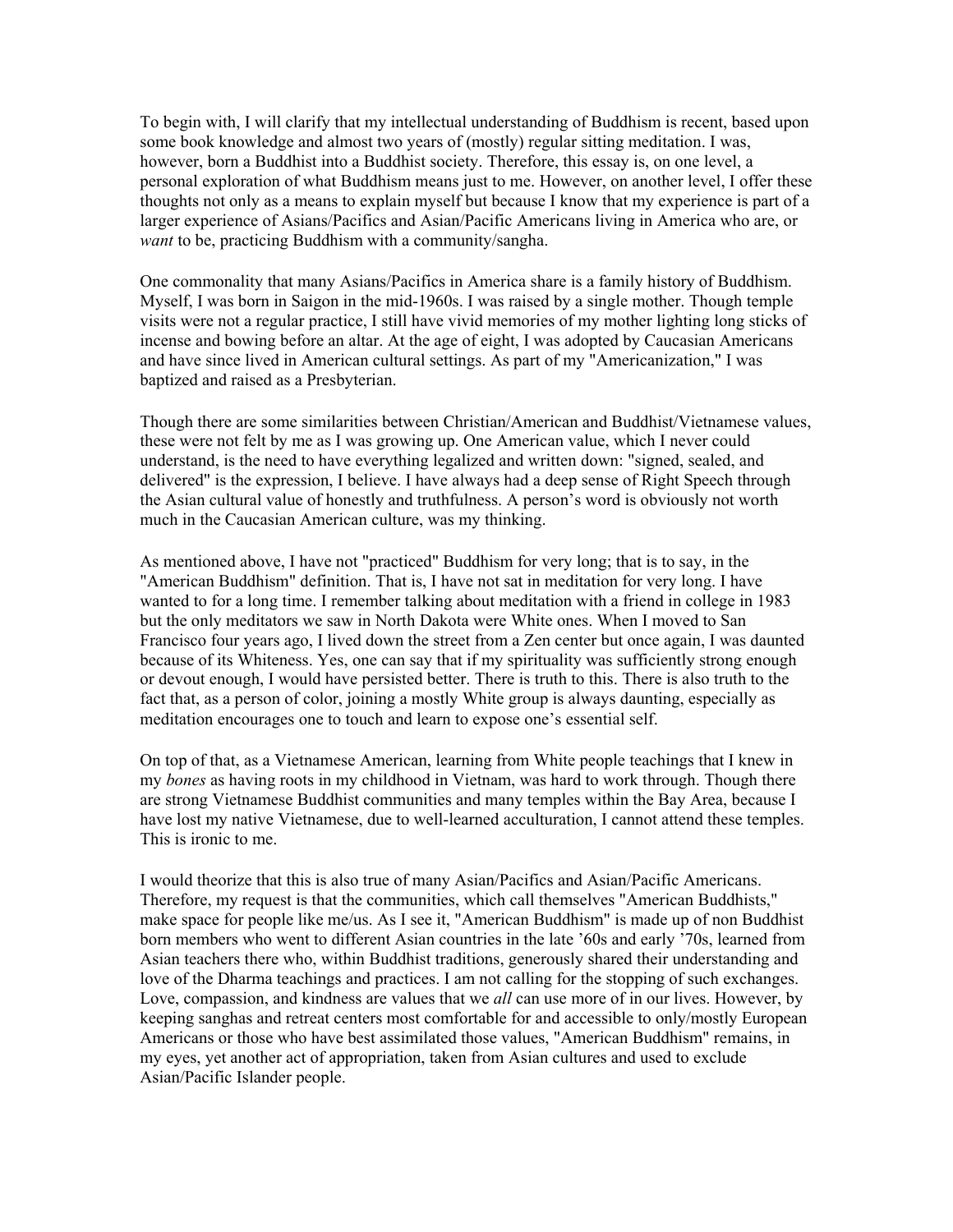To begin with, I will clarify that my intellectual understanding of Buddhism is recent, based upon some book knowledge and almost two years of (mostly) regular sitting meditation. I was, however, born a Buddhist into a Buddhist society. Therefore, this essay is, on one level, a personal exploration of what Buddhism means just to me. However, on another level, I offer these thoughts not only as a means to explain myself but because I know that my experience is part of a larger experience of Asians/Pacifics and Asian/Pacific Americans living in America who are, or *want* to be, practicing Buddhism with a community/sangha.

One commonality that many Asians/Pacifics in America share is a family history of Buddhism. Myself, I was born in Saigon in the mid-1960s. I was raised by a single mother. Though temple visits were not a regular practice, I still have vivid memories of my mother lighting long sticks of incense and bowing before an altar. At the age of eight, I was adopted by Caucasian Americans and have since lived in American cultural settings. As part of my "Americanization," I was baptized and raised as a Presbyterian.

Though there are some similarities between Christian/American and Buddhist/Vietnamese values, these were not felt by me as I was growing up. One American value, which I never could understand, is the need to have everything legalized and written down: "signed, sealed, and delivered" is the expression, I believe. I have always had a deep sense of Right Speech through the Asian cultural value of honestly and truthfulness. A person's word is obviously not worth much in the Caucasian American culture, was my thinking.

As mentioned above, I have not "practiced" Buddhism for very long; that is to say, in the "American Buddhism" definition. That is, I have not sat in meditation for very long. I have wanted to for a long time. I remember talking about meditation with a friend in college in 1983 but the only meditators we saw in North Dakota were White ones. When I moved to San Francisco four years ago, I lived down the street from a Zen center but once again, I was daunted because of its Whiteness. Yes, one can say that if my spirituality was sufficiently strong enough or devout enough, I would have persisted better. There is truth to this. There is also truth to the fact that, as a person of color, joining a mostly White group is always daunting, especially as meditation encourages one to touch and learn to expose one's essential self.

On top of that, as a Vietnamese American, learning from White people teachings that I knew in my *bones* as having roots in my childhood in Vietnam, was hard to work through. Though there are strong Vietnamese Buddhist communities and many temples within the Bay Area, because I have lost my native Vietnamese, due to well-learned acculturation, I cannot attend these temples. This is ironic to me.

I would theorize that this is also true of many Asian/Pacifics and Asian/Pacific Americans. Therefore, my request is that the communities, which call themselves "American Buddhists," make space for people like me/us. As I see it, "American Buddhism" is made up of non Buddhist born members who went to different Asian countries in the late '60s and early '70s, learned from Asian teachers there who, within Buddhist traditions, generously shared their understanding and love of the Dharma teachings and practices. I am not calling for the stopping of such exchanges. Love, compassion, and kindness are values that we *all* can use more of in our lives. However, by keeping sanghas and retreat centers most comfortable for and accessible to only/mostly European Americans or those who have best assimilated those values, "American Buddhism" remains, in my eyes, yet another act of appropriation, taken from Asian cultures and used to exclude Asian/Pacific Islander people.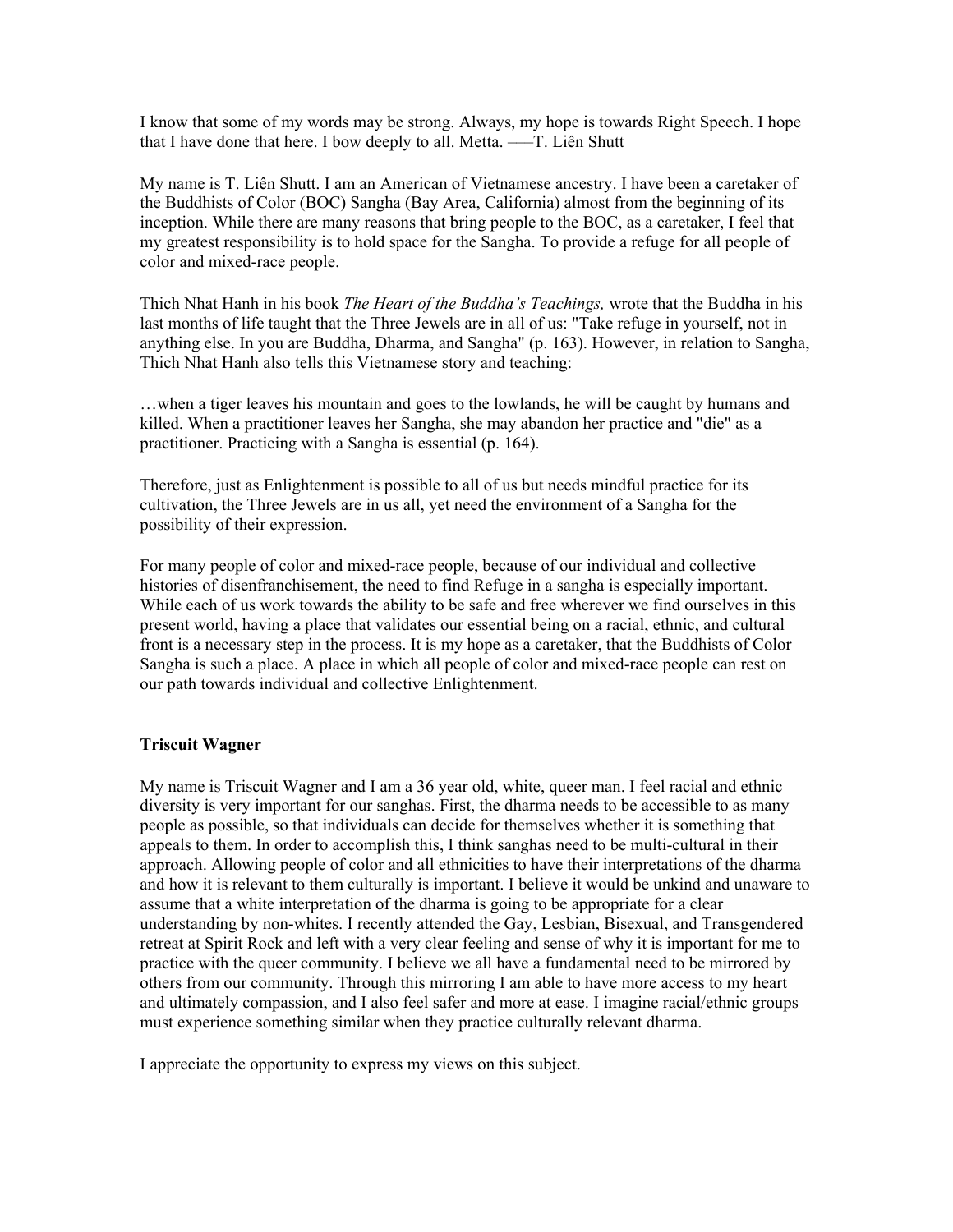I know that some of my words may be strong. Always, my hope is towards Right Speech. I hope that I have done that here. I bow deeply to all. Metta. –––T. Liên Shutt

My name is T. Liên Shutt. I am an American of Vietnamese ancestry. I have been a caretaker of the Buddhists of Color (BOC) Sangha (Bay Area, California) almost from the beginning of its inception. While there are many reasons that bring people to the BOC, as a caretaker, I feel that my greatest responsibility is to hold space for the Sangha. To provide a refuge for all people of color and mixed-race people.

Thich Nhat Hanh in his book *The Heart of the Buddha's Teachings,* wrote that the Buddha in his last months of life taught that the Three Jewels are in all of us: "Take refuge in yourself, not in anything else. In you are Buddha, Dharma, and Sangha" (p. 163). However, in relation to Sangha, Thich Nhat Hanh also tells this Vietnamese story and teaching:

…when a tiger leaves his mountain and goes to the lowlands, he will be caught by humans and killed. When a practitioner leaves her Sangha, she may abandon her practice and "die" as a practitioner. Practicing with a Sangha is essential (p. 164).

Therefore, just as Enlightenment is possible to all of us but needs mindful practice for its cultivation, the Three Jewels are in us all, yet need the environment of a Sangha for the possibility of their expression.

For many people of color and mixed-race people, because of our individual and collective histories of disenfranchisement, the need to find Refuge in a sangha is especially important. While each of us work towards the ability to be safe and free wherever we find ourselves in this present world, having a place that validates our essential being on a racial, ethnic, and cultural front is a necessary step in the process. It is my hope as a caretaker, that the Buddhists of Color Sangha is such a place. A place in which all people of color and mixed-race people can rest on our path towards individual and collective Enlightenment.

## **Triscuit Wagner**

My name is Triscuit Wagner and I am a 36 year old, white, queer man. I feel racial and ethnic diversity is very important for our sanghas. First, the dharma needs to be accessible to as many people as possible, so that individuals can decide for themselves whether it is something that appeals to them. In order to accomplish this, I think sanghas need to be multi-cultural in their approach. Allowing people of color and all ethnicities to have their interpretations of the dharma and how it is relevant to them culturally is important. I believe it would be unkind and unaware to assume that a white interpretation of the dharma is going to be appropriate for a clear understanding by non-whites. I recently attended the Gay, Lesbian, Bisexual, and Transgendered retreat at Spirit Rock and left with a very clear feeling and sense of why it is important for me to practice with the queer community. I believe we all have a fundamental need to be mirrored by others from our community. Through this mirroring I am able to have more access to my heart and ultimately compassion, and I also feel safer and more at ease. I imagine racial/ethnic groups must experience something similar when they practice culturally relevant dharma.

I appreciate the opportunity to express my views on this subject.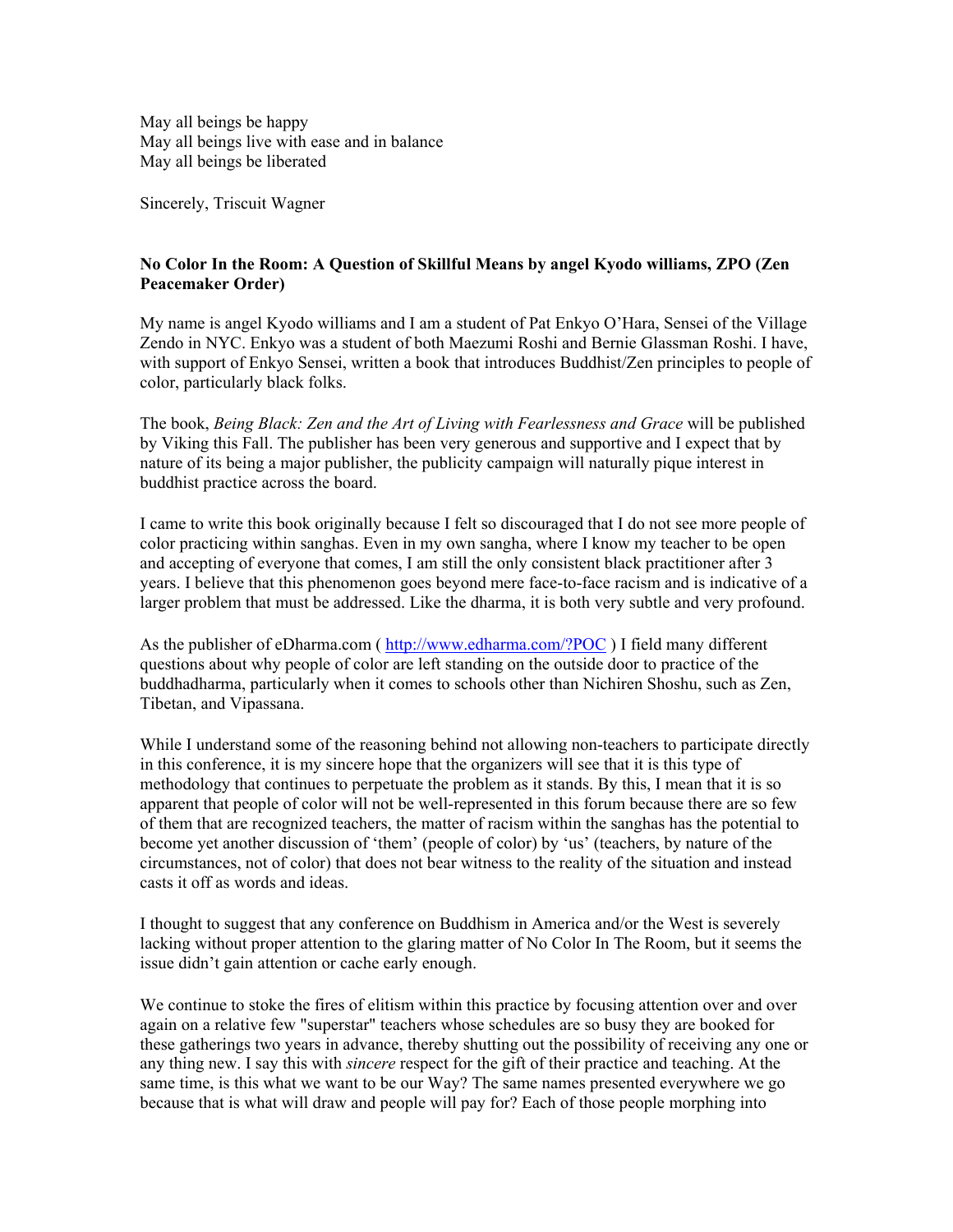May all beings be happy May all beings live with ease and in balance May all beings be liberated

Sincerely, Triscuit Wagner

# **No Color In the Room: A Question of Skillful Means by angel Kyodo williams, ZPO (Zen Peacemaker Order)**

My name is angel Kyodo williams and I am a student of Pat Enkyo O'Hara, Sensei of the Village Zendo in NYC. Enkyo was a student of both Maezumi Roshi and Bernie Glassman Roshi. I have, with support of Enkyo Sensei, written a book that introduces Buddhist/Zen principles to people of color, particularly black folks.

The book, *Being Black: Zen and the Art of Living with Fearlessness and Grace* will be published by Viking this Fall. The publisher has been very generous and supportive and I expect that by nature of its being a major publisher, the publicity campaign will naturally pique interest in buddhist practice across the board.

I came to write this book originally because I felt so discouraged that I do not see more people of color practicing within sanghas. Even in my own sangha, where I know my teacher to be open and accepting of everyone that comes, I am still the only consistent black practitioner after 3 years. I believe that this phenomenon goes beyond mere face-to-face racism and is indicative of a larger problem that must be addressed. Like the dharma, it is both very subtle and very profound.

As the publisher of eDharma.com ( http://www.edharma.com/?POC ) I field many different questions about why people of color are left standing on the outside door to practice of the buddhadharma, particularly when it comes to schools other than Nichiren Shoshu, such as Zen, Tibetan, and Vipassana.

While I understand some of the reasoning behind not allowing non-teachers to participate directly in this conference, it is my sincere hope that the organizers will see that it is this type of methodology that continues to perpetuate the problem as it stands. By this, I mean that it is so apparent that people of color will not be well-represented in this forum because there are so few of them that are recognized teachers, the matter of racism within the sanghas has the potential to become yet another discussion of 'them' (people of color) by 'us' (teachers, by nature of the circumstances, not of color) that does not bear witness to the reality of the situation and instead casts it off as words and ideas.

I thought to suggest that any conference on Buddhism in America and/or the West is severely lacking without proper attention to the glaring matter of No Color In The Room, but it seems the issue didn't gain attention or cache early enough.

We continue to stoke the fires of elitism within this practice by focusing attention over and over again on a relative few "superstar" teachers whose schedules are so busy they are booked for these gatherings two years in advance, thereby shutting out the possibility of receiving any one or any thing new. I say this with *sincere* respect for the gift of their practice and teaching. At the same time, is this what we want to be our Way? The same names presented everywhere we go because that is what will draw and people will pay for? Each of those people morphing into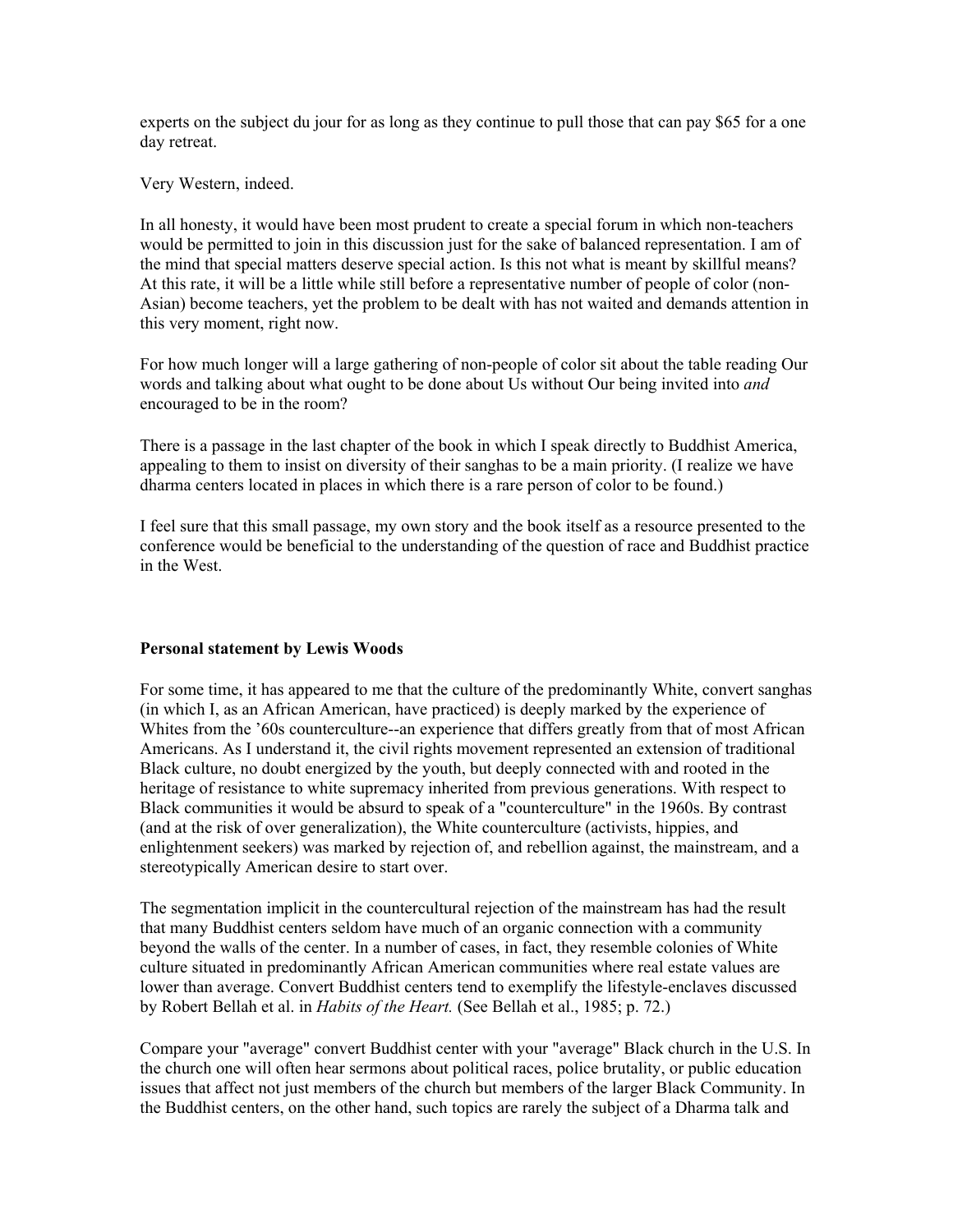experts on the subject du jour for as long as they continue to pull those that can pay \$65 for a one day retreat.

Very Western, indeed.

In all honesty, it would have been most prudent to create a special forum in which non-teachers would be permitted to join in this discussion just for the sake of balanced representation. I am of the mind that special matters deserve special action. Is this not what is meant by skillful means? At this rate, it will be a little while still before a representative number of people of color (non-Asian) become teachers, yet the problem to be dealt with has not waited and demands attention in this very moment, right now.

For how much longer will a large gathering of non-people of color sit about the table reading Our words and talking about what ought to be done about Us without Our being invited into *and* encouraged to be in the room?

There is a passage in the last chapter of the book in which I speak directly to Buddhist America, appealing to them to insist on diversity of their sanghas to be a main priority. (I realize we have dharma centers located in places in which there is a rare person of color to be found.)

I feel sure that this small passage, my own story and the book itself as a resource presented to the conference would be beneficial to the understanding of the question of race and Buddhist practice in the West.

#### **Personal statement by Lewis Woods**

For some time, it has appeared to me that the culture of the predominantly White, convert sanghas (in which I, as an African American, have practiced) is deeply marked by the experience of Whites from the '60s counterculture--an experience that differs greatly from that of most African Americans. As I understand it, the civil rights movement represented an extension of traditional Black culture, no doubt energized by the youth, but deeply connected with and rooted in the heritage of resistance to white supremacy inherited from previous generations. With respect to Black communities it would be absurd to speak of a "counterculture" in the 1960s. By contrast (and at the risk of over generalization), the White counterculture (activists, hippies, and enlightenment seekers) was marked by rejection of, and rebellion against, the mainstream, and a stereotypically American desire to start over.

The segmentation implicit in the countercultural rejection of the mainstream has had the result that many Buddhist centers seldom have much of an organic connection with a community beyond the walls of the center. In a number of cases, in fact, they resemble colonies of White culture situated in predominantly African American communities where real estate values are lower than average. Convert Buddhist centers tend to exemplify the lifestyle-enclaves discussed by Robert Bellah et al. in *Habits of the Heart.* (See Bellah et al., 1985; p. 72.)

Compare your "average" convert Buddhist center with your "average" Black church in the U.S. In the church one will often hear sermons about political races, police brutality, or public education issues that affect not just members of the church but members of the larger Black Community. In the Buddhist centers, on the other hand, such topics are rarely the subject of a Dharma talk and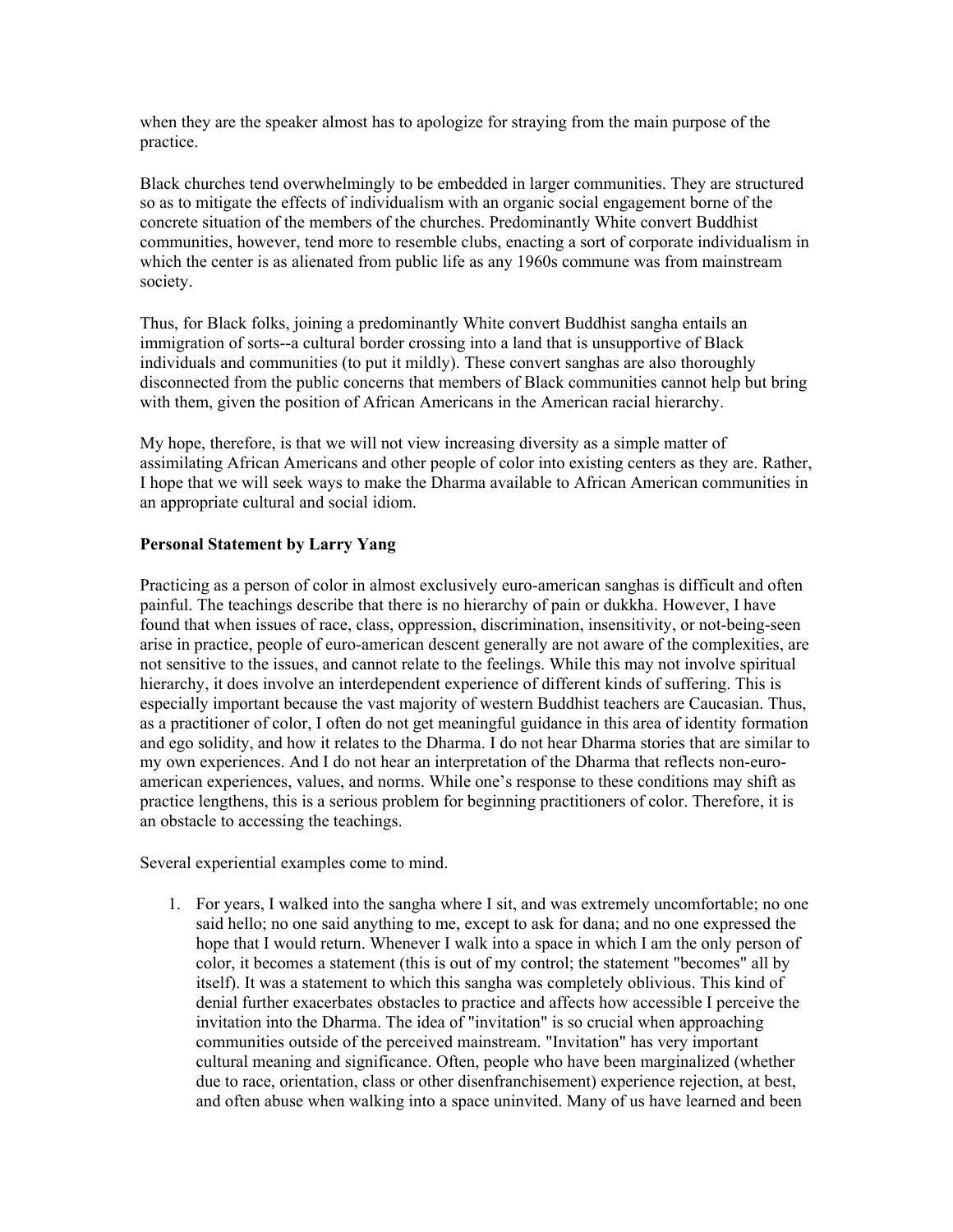when they are the speaker almost has to apologize for straying from the main purpose of the practice.

Black churches tend overwhelmingly to be embedded in larger communities. They are structured so as to mitigate the effects of individualism with an organic social engagement borne of the concrete situation of the members of the churches. Predominantly White convert Buddhist communities, however, tend more to resemble clubs, enacting a sort of corporate individualism in which the center is as alienated from public life as any 1960s commune was from mainstream society.

Thus, for Black folks, joining a predominantly White convert Buddhist sangha entails an immigration of sorts--a cultural border crossing into a land that is unsupportive of Black individuals and communities (to put it mildly). These convert sanghas are also thoroughly disconnected from the public concerns that members of Black communities cannot help but bring with them, given the position of African Americans in the American racial hierarchy.

My hope, therefore, is that we will not view increasing diversity as a simple matter of assimilating African Americans and other people of color into existing centers as they are. Rather, I hope that we will seek ways to make the Dharma available to African American communities in an appropriate cultural and social idiom.

## **Personal Statement by Larry Yang**

Practicing as a person of color in almost exclusively euro-american sanghas is difficult and often painful. The teachings describe that there is no hierarchy of pain or dukkha. However, I have found that when issues of race, class, oppression, discrimination, insensitivity, or not-being-seen arise in practice, people of euro-american descent generally are not aware of the complexities, are not sensitive to the issues, and cannot relate to the feelings. While this may not involve spiritual hierarchy, it does involve an interdependent experience of different kinds of suffering. This is especially important because the vast majority of western Buddhist teachers are Caucasian. Thus, as a practitioner of color, I often do not get meaningful guidance in this area of identity formation and ego solidity, and how it relates to the Dharma. I do not hear Dharma stories that are similar to my own experiences. And I do not hear an interpretation of the Dharma that reflects non-euroamerican experiences, values, and norms. While one's response to these conditions may shift as practice lengthens, this is a serious problem for beginning practitioners of color. Therefore, it is an obstacle to accessing the teachings.

Several experiential examples come to mind.

1. For years, I walked into the sangha where I sit, and was extremely uncomfortable; no one said hello; no one said anything to me, except to ask for dana; and no one expressed the hope that I would return. Whenever I walk into a space in which I am the only person of color, it becomes a statement (this is out of my control; the statement "becomes" all by itself). It was a statement to which this sangha was completely oblivious. This kind of denial further exacerbates obstacles to practice and affects how accessible I perceive the invitation into the Dharma. The idea of "invitation" is so crucial when approaching communities outside of the perceived mainstream. "Invitation" has very important cultural meaning and significance. Often, people who have been marginalized (whether due to race, orientation, class or other disenfranchisement) experience rejection, at best, and often abuse when walking into a space uninvited. Many of us have learned and been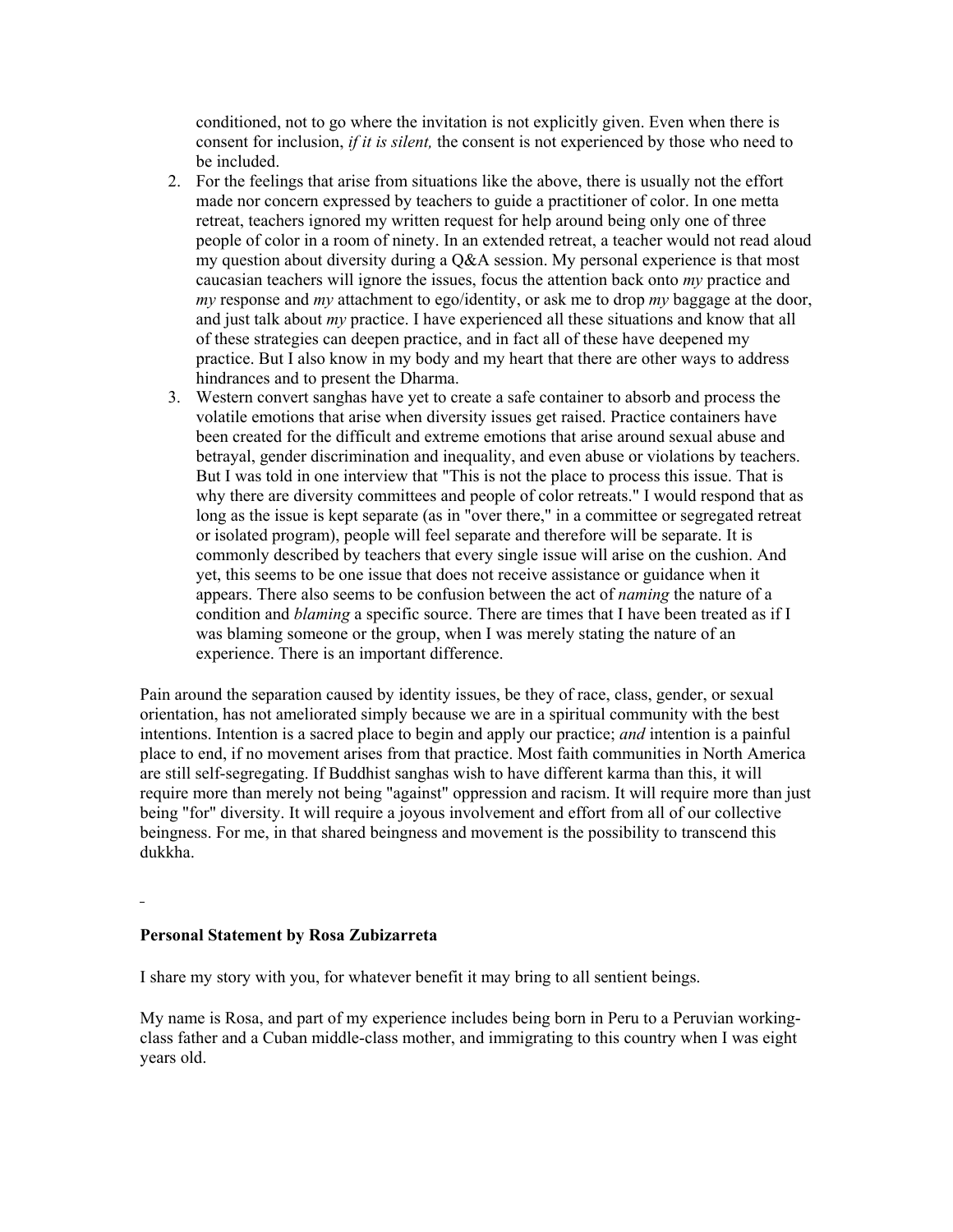conditioned, not to go where the invitation is not explicitly given. Even when there is consent for inclusion, *if it is silent,* the consent is not experienced by those who need to be included.

- 2. For the feelings that arise from situations like the above, there is usually not the effort made nor concern expressed by teachers to guide a practitioner of color. In one metta retreat, teachers ignored my written request for help around being only one of three people of color in a room of ninety. In an extended retreat, a teacher would not read aloud my question about diversity during a Q&A session. My personal experience is that most caucasian teachers will ignore the issues, focus the attention back onto *my* practice and *my* response and *my* attachment to ego/identity, or ask me to drop *my* baggage at the door, and just talk about *my* practice. I have experienced all these situations and know that all of these strategies can deepen practice, and in fact all of these have deepened my practice. But I also know in my body and my heart that there are other ways to address hindrances and to present the Dharma.
- 3. Western convert sanghas have yet to create a safe container to absorb and process the volatile emotions that arise when diversity issues get raised. Practice containers have been created for the difficult and extreme emotions that arise around sexual abuse and betrayal, gender discrimination and inequality, and even abuse or violations by teachers. But I was told in one interview that "This is not the place to process this issue. That is why there are diversity committees and people of color retreats." I would respond that as long as the issue is kept separate (as in "over there," in a committee or segregated retreat or isolated program), people will feel separate and therefore will be separate. It is commonly described by teachers that every single issue will arise on the cushion. And yet, this seems to be one issue that does not receive assistance or guidance when it appears. There also seems to be confusion between the act of *naming* the nature of a condition and *blaming* a specific source. There are times that I have been treated as if I was blaming someone or the group, when I was merely stating the nature of an experience. There is an important difference.

Pain around the separation caused by identity issues, be they of race, class, gender, or sexual orientation, has not ameliorated simply because we are in a spiritual community with the best intentions. Intention is a sacred place to begin and apply our practice; *and* intention is a painful place to end, if no movement arises from that practice. Most faith communities in North America are still self-segregating. If Buddhist sanghas wish to have different karma than this, it will require more than merely not being "against" oppression and racism. It will require more than just being "for" diversity. It will require a joyous involvement and effort from all of our collective beingness. For me, in that shared beingness and movement is the possibility to transcend this dukkha.

#### **Personal Statement by Rosa Zubizarreta**

I share my story with you, for whatever benefit it may bring to all sentient beings.

My name is Rosa, and part of my experience includes being born in Peru to a Peruvian workingclass father and a Cuban middle-class mother, and immigrating to this country when I was eight years old.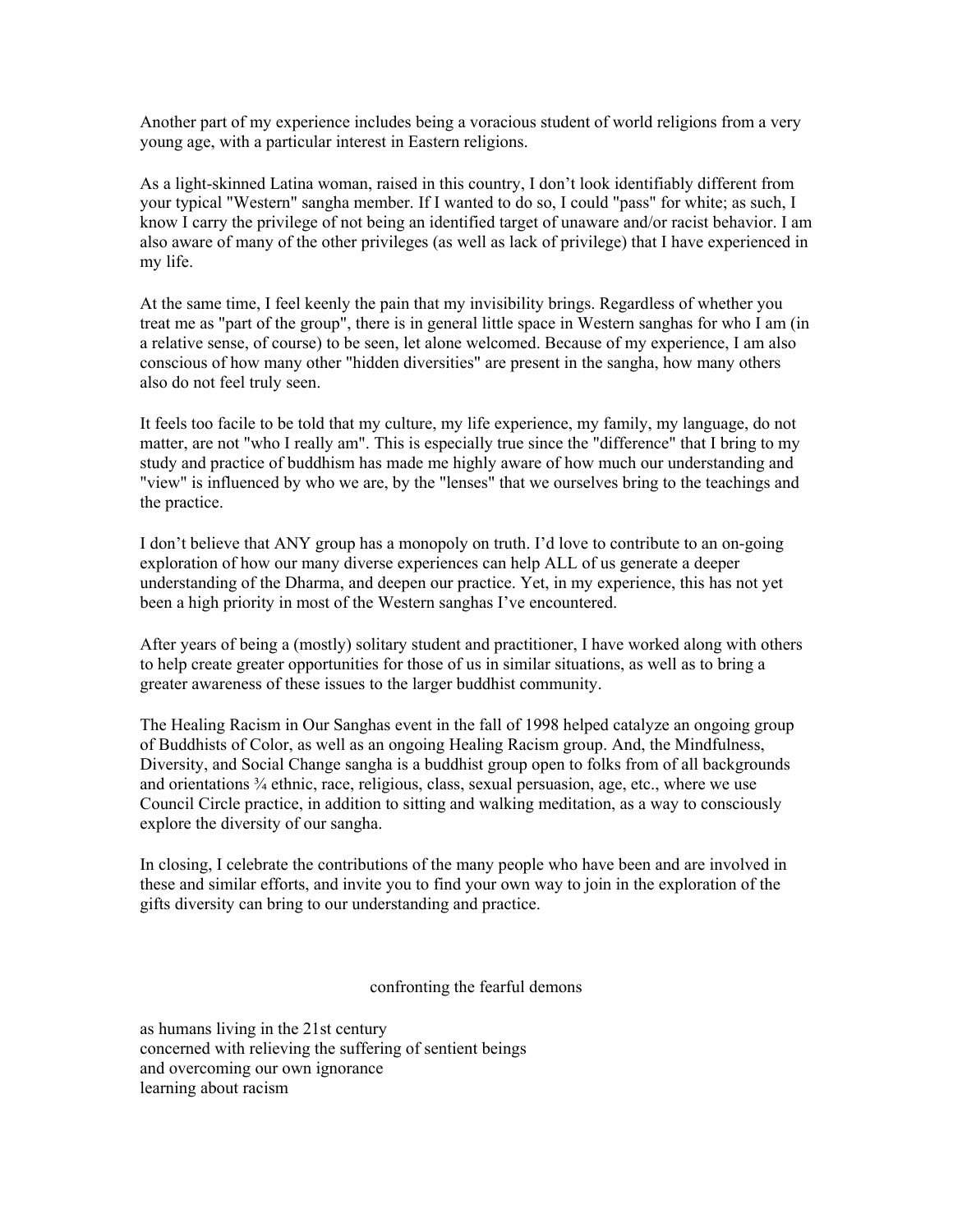Another part of my experience includes being a voracious student of world religions from a very young age, with a particular interest in Eastern religions.

As a light-skinned Latina woman, raised in this country, I don't look identifiably different from your typical "Western" sangha member. If I wanted to do so, I could "pass" for white; as such, I know I carry the privilege of not being an identified target of unaware and/or racist behavior. I am also aware of many of the other privileges (as well as lack of privilege) that I have experienced in my life.

At the same time, I feel keenly the pain that my invisibility brings. Regardless of whether you treat me as "part of the group", there is in general little space in Western sanghas for who I am (in a relative sense, of course) to be seen, let alone welcomed. Because of my experience, I am also conscious of how many other "hidden diversities" are present in the sangha, how many others also do not feel truly seen.

It feels too facile to be told that my culture, my life experience, my family, my language, do not matter, are not "who I really am". This is especially true since the "difference" that I bring to my study and practice of buddhism has made me highly aware of how much our understanding and "view" is influenced by who we are, by the "lenses" that we ourselves bring to the teachings and the practice.

I don't believe that ANY group has a monopoly on truth. I'd love to contribute to an on-going exploration of how our many diverse experiences can help ALL of us generate a deeper understanding of the Dharma, and deepen our practice. Yet, in my experience, this has not yet been a high priority in most of the Western sanghas I've encountered.

After years of being a (mostly) solitary student and practitioner, I have worked along with others to help create greater opportunities for those of us in similar situations, as well as to bring a greater awareness of these issues to the larger buddhist community.

The Healing Racism in Our Sanghas event in the fall of 1998 helped catalyze an ongoing group of Buddhists of Color, as well as an ongoing Healing Racism group. And, the Mindfulness, Diversity, and Social Change sangha is a buddhist group open to folks from of all backgrounds and orientations ¾ ethnic, race, religious, class, sexual persuasion, age, etc., where we use Council Circle practice, in addition to sitting and walking meditation, as a way to consciously explore the diversity of our sangha.

In closing, I celebrate the contributions of the many people who have been and are involved in these and similar efforts, and invite you to find your own way to join in the exploration of the gifts diversity can bring to our understanding and practice.

confronting the fearful demons

as humans living in the 21st century concerned with relieving the suffering of sentient beings and overcoming our own ignorance learning about racism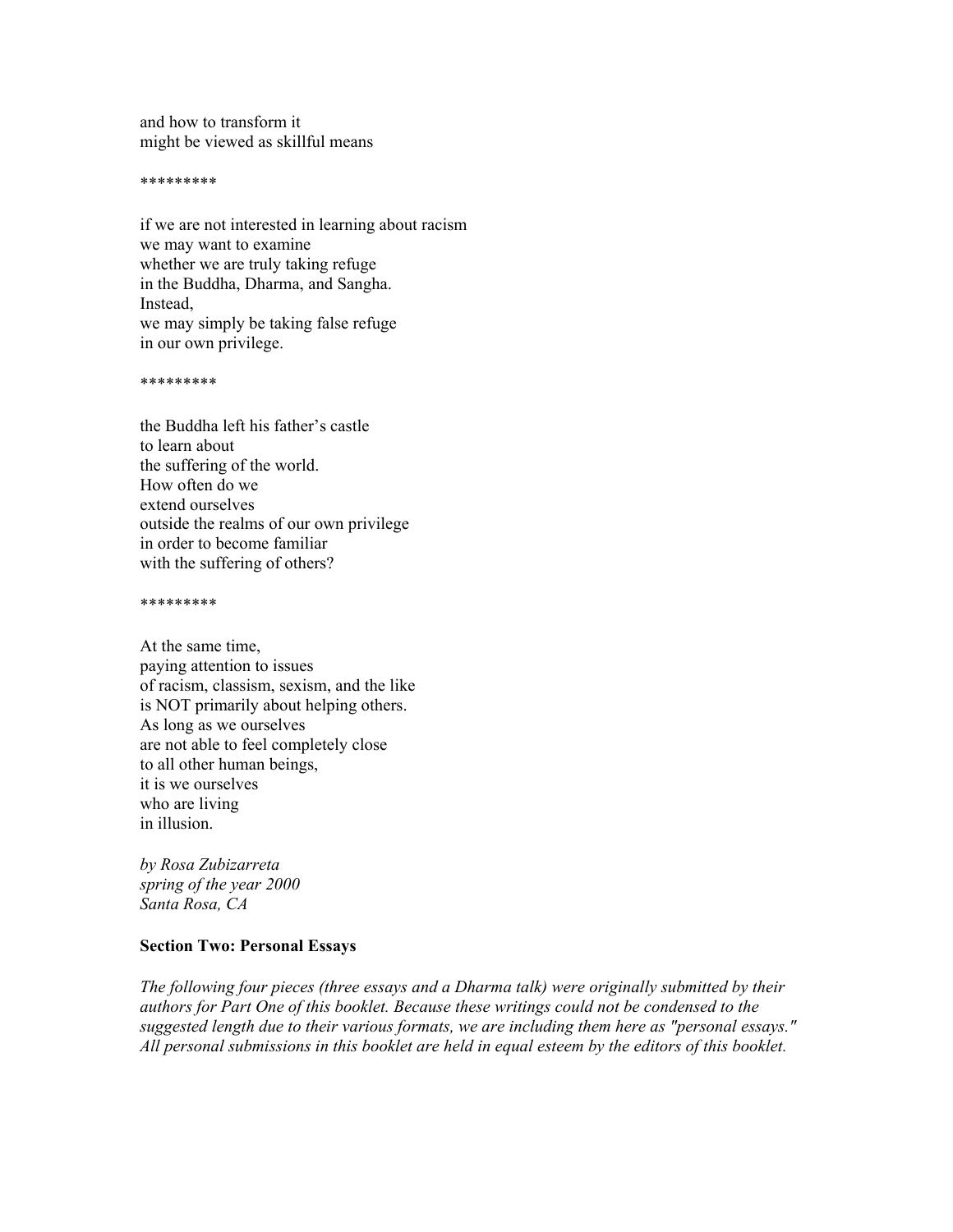and how to transform it might be viewed as skillful means

\*\*\*\*\*\*\*\*\*

if we are not interested in learning about racism we may want to examine whether we are truly taking refuge in the Buddha, Dharma, and Sangha. Instead, we may simply be taking false refuge in our own privilege.

\*\*\*\*\*\*\*\*\*

the Buddha left his father's castle to learn about the suffering of the world. How often do we extend ourselves outside the realms of our own privilege in order to become familiar with the suffering of others?

\*\*\*\*\*\*\*\*\*

At the same time, paying attention to issues of racism, classism, sexism, and the like is NOT primarily about helping others. As long as we ourselves are not able to feel completely close to all other human beings, it is we ourselves who are living in illusion.

*by Rosa Zubizarreta spring of the year 2000 Santa Rosa, CA*

#### **Section Two: Personal Essays**

*The following four pieces (three essays and a Dharma talk) were originally submitted by their authors for Part One of this booklet. Because these writings could not be condensed to the suggested length due to their various formats, we are including them here as "personal essays." All personal submissions in this booklet are held in equal esteem by the editors of this booklet.*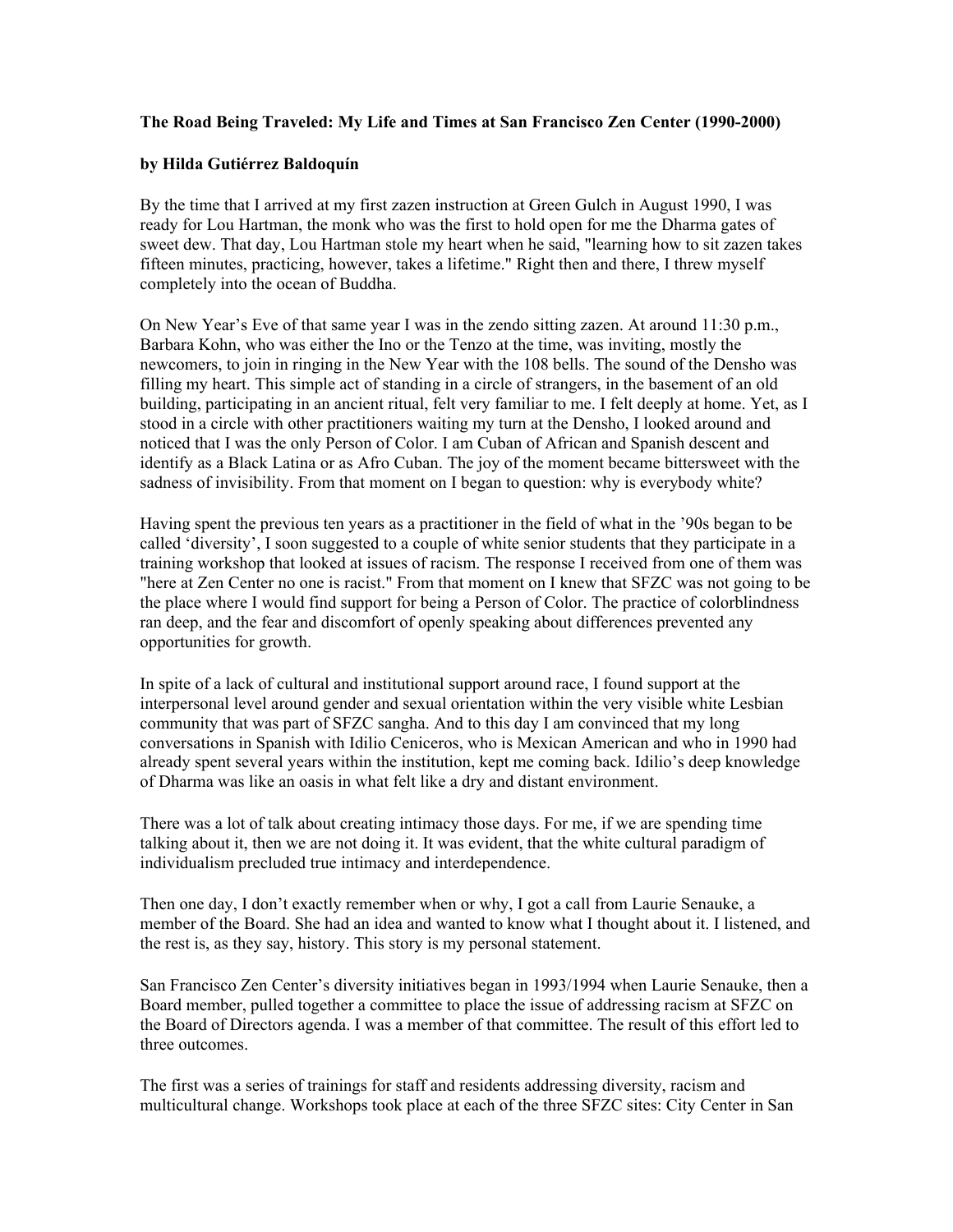## **The Road Being Traveled: My Life and Times at San Francisco Zen Center (1990-2000)**

### **by Hilda Gutiérrez Baldoquín**

By the time that I arrived at my first zazen instruction at Green Gulch in August 1990, I was ready for Lou Hartman, the monk who was the first to hold open for me the Dharma gates of sweet dew. That day, Lou Hartman stole my heart when he said, "learning how to sit zazen takes fifteen minutes, practicing, however, takes a lifetime." Right then and there, I threw myself completely into the ocean of Buddha.

On New Year's Eve of that same year I was in the zendo sitting zazen. At around 11:30 p.m., Barbara Kohn, who was either the Ino or the Tenzo at the time, was inviting, mostly the newcomers, to join in ringing in the New Year with the 108 bells. The sound of the Densho was filling my heart. This simple act of standing in a circle of strangers, in the basement of an old building, participating in an ancient ritual, felt very familiar to me. I felt deeply at home. Yet, as I stood in a circle with other practitioners waiting my turn at the Densho, I looked around and noticed that I was the only Person of Color. I am Cuban of African and Spanish descent and identify as a Black Latina or as Afro Cuban. The joy of the moment became bittersweet with the sadness of invisibility. From that moment on I began to question: why is everybody white?

Having spent the previous ten years as a practitioner in the field of what in the '90s began to be called 'diversity', I soon suggested to a couple of white senior students that they participate in a training workshop that looked at issues of racism. The response I received from one of them was "here at Zen Center no one is racist." From that moment on I knew that SFZC was not going to be the place where I would find support for being a Person of Color. The practice of colorblindness ran deep, and the fear and discomfort of openly speaking about differences prevented any opportunities for growth.

In spite of a lack of cultural and institutional support around race, I found support at the interpersonal level around gender and sexual orientation within the very visible white Lesbian community that was part of SFZC sangha. And to this day I am convinced that my long conversations in Spanish with Idilio Ceniceros, who is Mexican American and who in 1990 had already spent several years within the institution, kept me coming back. Idilio's deep knowledge of Dharma was like an oasis in what felt like a dry and distant environment.

There was a lot of talk about creating intimacy those days. For me, if we are spending time talking about it, then we are not doing it. It was evident, that the white cultural paradigm of individualism precluded true intimacy and interdependence.

Then one day, I don't exactly remember when or why, I got a call from Laurie Senauke, a member of the Board. She had an idea and wanted to know what I thought about it. I listened, and the rest is, as they say, history. This story is my personal statement.

San Francisco Zen Center's diversity initiatives began in 1993/1994 when Laurie Senauke, then a Board member, pulled together a committee to place the issue of addressing racism at SFZC on the Board of Directors agenda. I was a member of that committee. The result of this effort led to three outcomes.

The first was a series of trainings for staff and residents addressing diversity, racism and multicultural change. Workshops took place at each of the three SFZC sites: City Center in San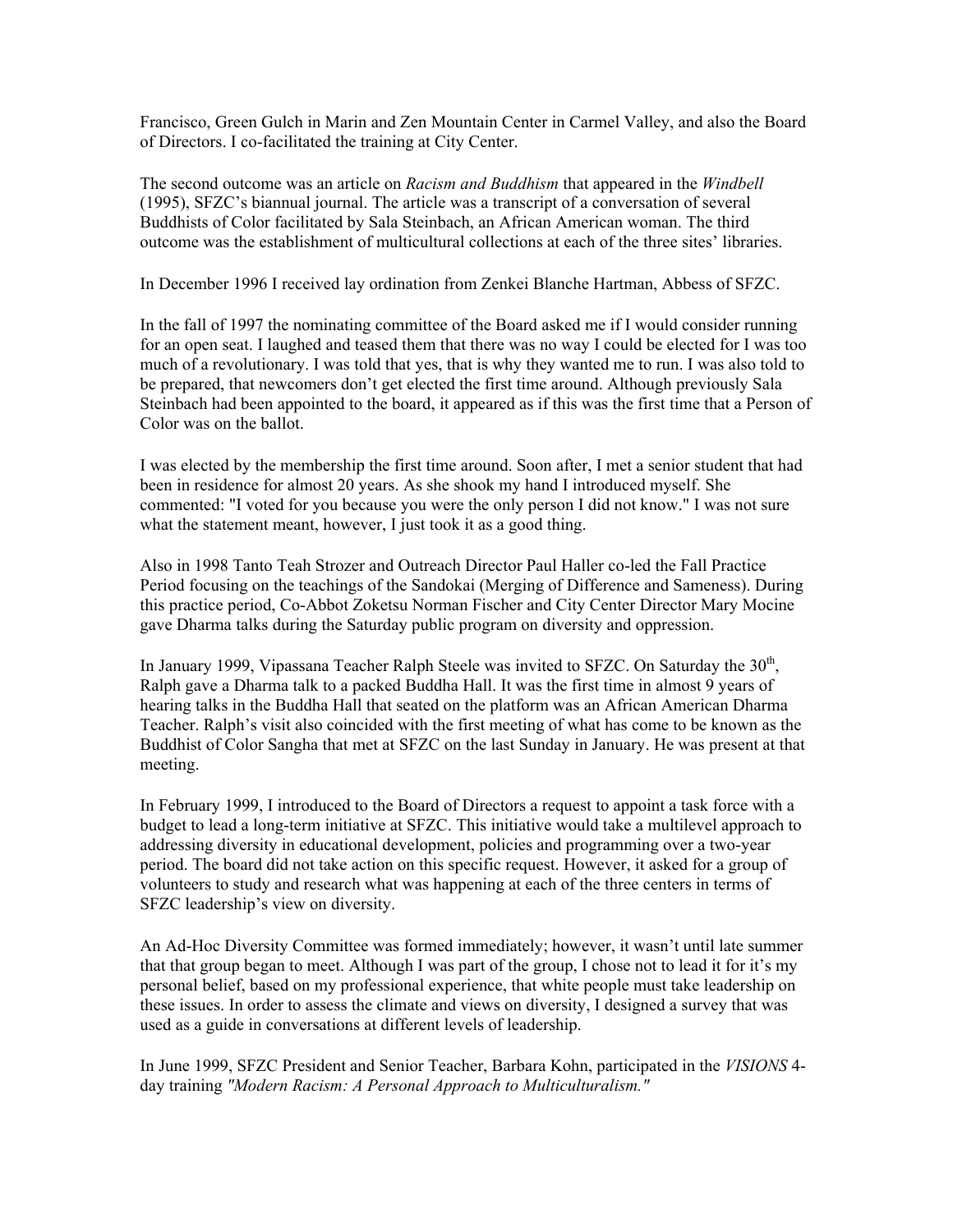Francisco, Green Gulch in Marin and Zen Mountain Center in Carmel Valley, and also the Board of Directors. I co-facilitated the training at City Center.

The second outcome was an article on *Racism and Buddhism* that appeared in the *Windbell* (1995), SFZC's biannual journal. The article was a transcript of a conversation of several Buddhists of Color facilitated by Sala Steinbach, an African American woman. The third outcome was the establishment of multicultural collections at each of the three sites' libraries.

In December 1996 I received lay ordination from Zenkei Blanche Hartman, Abbess of SFZC.

In the fall of 1997 the nominating committee of the Board asked me if I would consider running for an open seat. I laughed and teased them that there was no way I could be elected for I was too much of a revolutionary. I was told that yes, that is why they wanted me to run. I was also told to be prepared, that newcomers don't get elected the first time around. Although previously Sala Steinbach had been appointed to the board, it appeared as if this was the first time that a Person of Color was on the ballot.

I was elected by the membership the first time around. Soon after, I met a senior student that had been in residence for almost 20 years. As she shook my hand I introduced myself. She commented: "I voted for you because you were the only person I did not know." I was not sure what the statement meant, however, I just took it as a good thing.

Also in 1998 Tanto Teah Strozer and Outreach Director Paul Haller co-led the Fall Practice Period focusing on the teachings of the Sandokai (Merging of Difference and Sameness). During this practice period, Co-Abbot Zoketsu Norman Fischer and City Center Director Mary Mocine gave Dharma talks during the Saturday public program on diversity and oppression.

In January 1999, Vipassana Teacher Ralph Steele was invited to SFZC. On Saturday the 30<sup>th</sup>, Ralph gave a Dharma talk to a packed Buddha Hall. It was the first time in almost 9 years of hearing talks in the Buddha Hall that seated on the platform was an African American Dharma Teacher. Ralph's visit also coincided with the first meeting of what has come to be known as the Buddhist of Color Sangha that met at SFZC on the last Sunday in January. He was present at that meeting.

In February 1999, I introduced to the Board of Directors a request to appoint a task force with a budget to lead a long-term initiative at SFZC. This initiative would take a multilevel approach to addressing diversity in educational development, policies and programming over a two-year period. The board did not take action on this specific request. However, it asked for a group of volunteers to study and research what was happening at each of the three centers in terms of SFZC leadership's view on diversity.

An Ad-Hoc Diversity Committee was formed immediately; however, it wasn't until late summer that that group began to meet. Although I was part of the group, I chose not to lead it for it's my personal belief, based on my professional experience, that white people must take leadership on these issues. In order to assess the climate and views on diversity, I designed a survey that was used as a guide in conversations at different levels of leadership.

In June 1999, SFZC President and Senior Teacher, Barbara Kohn, participated in the *VISIONS* 4 day training *"Modern Racism: A Personal Approach to Multiculturalism."*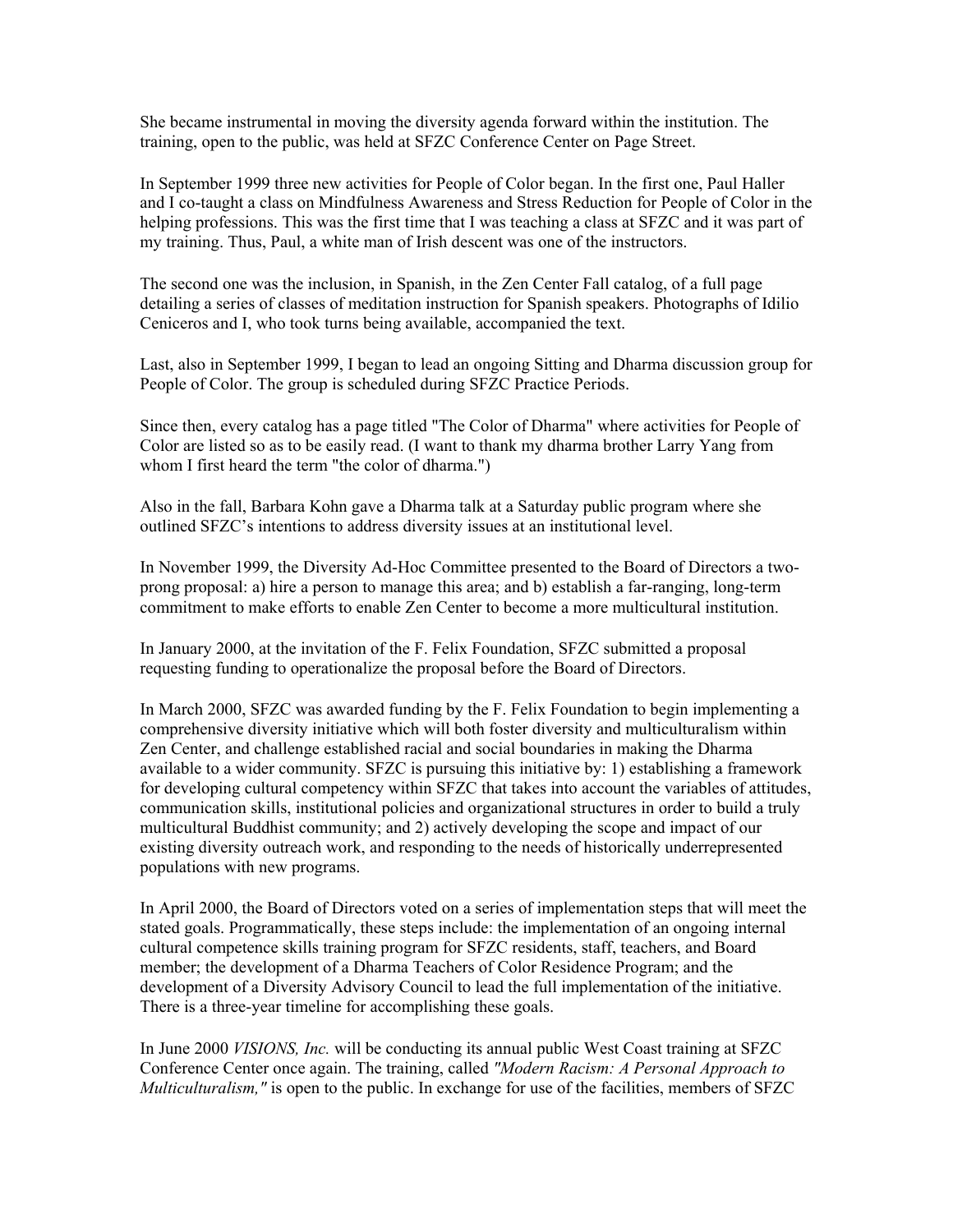She became instrumental in moving the diversity agenda forward within the institution. The training, open to the public, was held at SFZC Conference Center on Page Street.

In September 1999 three new activities for People of Color began. In the first one, Paul Haller and I co-taught a class on Mindfulness Awareness and Stress Reduction for People of Color in the helping professions. This was the first time that I was teaching a class at SFZC and it was part of my training. Thus, Paul, a white man of Irish descent was one of the instructors.

The second one was the inclusion, in Spanish, in the Zen Center Fall catalog, of a full page detailing a series of classes of meditation instruction for Spanish speakers. Photographs of Idilio Ceniceros and I, who took turns being available, accompanied the text.

Last, also in September 1999, I began to lead an ongoing Sitting and Dharma discussion group for People of Color. The group is scheduled during SFZC Practice Periods.

Since then, every catalog has a page titled "The Color of Dharma" where activities for People of Color are listed so as to be easily read. (I want to thank my dharma brother Larry Yang from whom I first heard the term "the color of dharma.")

Also in the fall, Barbara Kohn gave a Dharma talk at a Saturday public program where she outlined SFZC's intentions to address diversity issues at an institutional level.

In November 1999, the Diversity Ad-Hoc Committee presented to the Board of Directors a twoprong proposal: a) hire a person to manage this area; and b) establish a far-ranging, long-term commitment to make efforts to enable Zen Center to become a more multicultural institution.

In January 2000, at the invitation of the F. Felix Foundation, SFZC submitted a proposal requesting funding to operationalize the proposal before the Board of Directors.

In March 2000, SFZC was awarded funding by the F. Felix Foundation to begin implementing a comprehensive diversity initiative which will both foster diversity and multiculturalism within Zen Center, and challenge established racial and social boundaries in making the Dharma available to a wider community. SFZC is pursuing this initiative by: 1) establishing a framework for developing cultural competency within SFZC that takes into account the variables of attitudes, communication skills, institutional policies and organizational structures in order to build a truly multicultural Buddhist community; and 2) actively developing the scope and impact of our existing diversity outreach work, and responding to the needs of historically underrepresented populations with new programs.

In April 2000, the Board of Directors voted on a series of implementation steps that will meet the stated goals. Programmatically, these steps include: the implementation of an ongoing internal cultural competence skills training program for SFZC residents, staff, teachers, and Board member; the development of a Dharma Teachers of Color Residence Program; and the development of a Diversity Advisory Council to lead the full implementation of the initiative. There is a three-year timeline for accomplishing these goals.

In June 2000 *VISIONS, Inc.* will be conducting its annual public West Coast training at SFZC Conference Center once again. The training, called *"Modern Racism: A Personal Approach to Multiculturalism,"* is open to the public. In exchange for use of the facilities, members of SFZC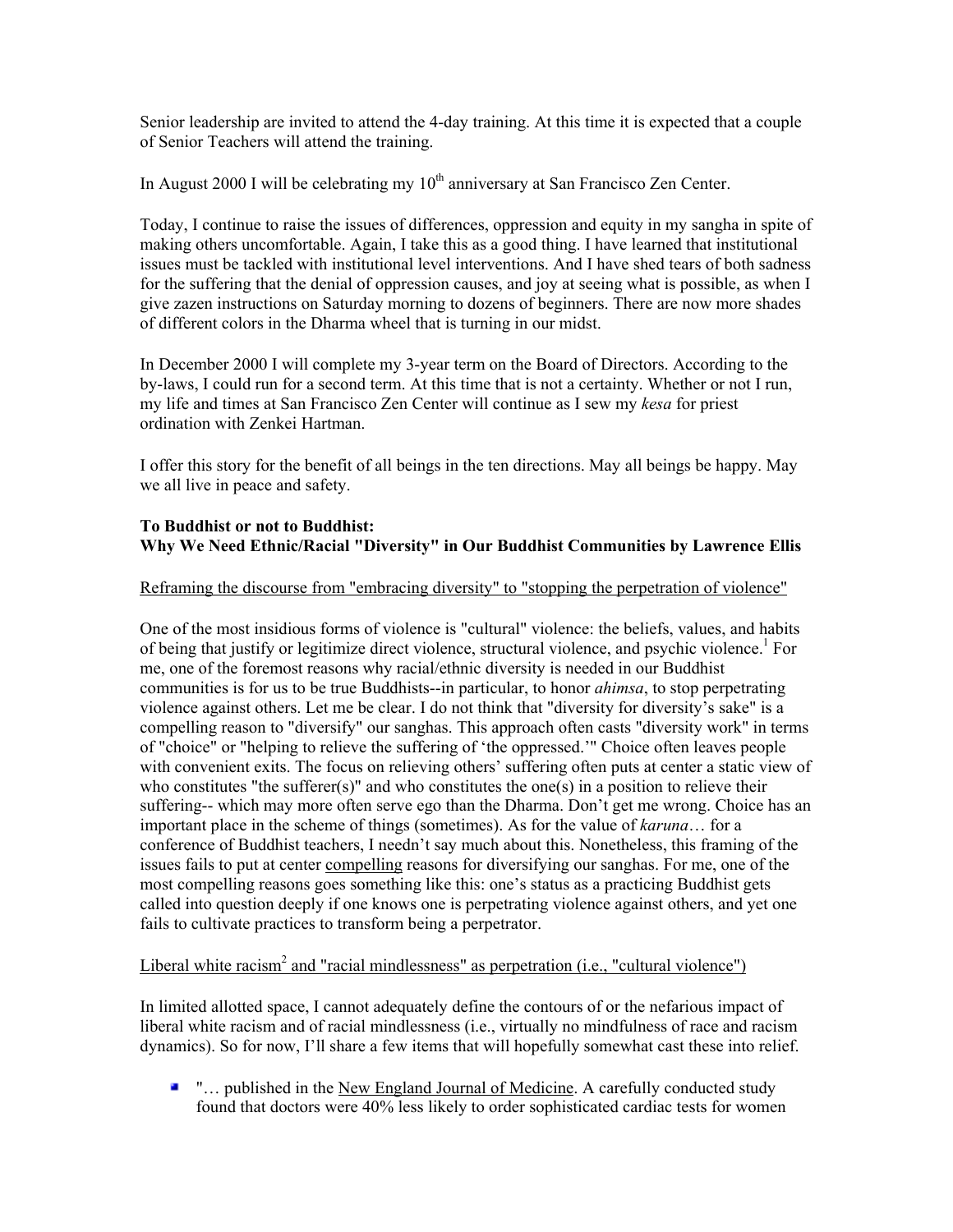Senior leadership are invited to attend the 4-day training. At this time it is expected that a couple of Senior Teachers will attend the training.

In August 2000 I will be celebrating my  $10<sup>th</sup>$  anniversary at San Francisco Zen Center.

Today, I continue to raise the issues of differences, oppression and equity in my sangha in spite of making others uncomfortable. Again, I take this as a good thing. I have learned that institutional issues must be tackled with institutional level interventions. And I have shed tears of both sadness for the suffering that the denial of oppression causes, and joy at seeing what is possible, as when I give zazen instructions on Saturday morning to dozens of beginners. There are now more shades of different colors in the Dharma wheel that is turning in our midst.

In December 2000 I will complete my 3-year term on the Board of Directors. According to the by-laws, I could run for a second term. At this time that is not a certainty. Whether or not I run, my life and times at San Francisco Zen Center will continue as I sew my *kesa* for priest ordination with Zenkei Hartman.

I offer this story for the benefit of all beings in the ten directions. May all beings be happy. May we all live in peace and safety.

# **To Buddhist or not to Buddhist: Why We Need Ethnic/Racial "Diversity" in Our Buddhist Communities by Lawrence Ellis**

# Reframing the discourse from "embracing diversity" to "stopping the perpetration of violence"

One of the most insidious forms of violence is "cultural" violence: the beliefs, values, and habits of being that justify or legitimize direct violence, structural violence, and psychic violence.<sup>1</sup> For me, one of the foremost reasons why racial/ethnic diversity is needed in our Buddhist communities is for us to be true Buddhists--in particular, to honor *ahimsa*, to stop perpetrating violence against others. Let me be clear. I do not think that "diversity for diversity's sake" is a compelling reason to "diversify" our sanghas. This approach often casts "diversity work" in terms of "choice" or "helping to relieve the suffering of 'the oppressed.'" Choice often leaves people with convenient exits. The focus on relieving others' suffering often puts at center a static view of who constitutes "the sufferer(s)" and who constitutes the one(s) in a position to relieve their suffering-- which may more often serve ego than the Dharma. Don't get me wrong. Choice has an important place in the scheme of things (sometimes). As for the value of *karuna*… for a conference of Buddhist teachers, I needn't say much about this. Nonetheless, this framing of the issues fails to put at center compelling reasons for diversifying our sanghas. For me, one of the most compelling reasons goes something like this: one's status as a practicing Buddhist gets called into question deeply if one knows one is perpetrating violence against others, and yet one fails to cultivate practices to transform being a perpetrator.

# Liberal white racism<sup>2</sup> and "racial mindlessness" as perpetration (i.e., "cultural violence")

In limited allotted space, I cannot adequately define the contours of or the nefarious impact of liberal white racism and of racial mindlessness (i.e., virtually no mindfulness of race and racism dynamics). So for now, I'll share a few items that will hopefully somewhat cast these into relief.

"… published in the New England Journal of Medicine. A carefully conducted study found that doctors were 40% less likely to order sophisticated cardiac tests for women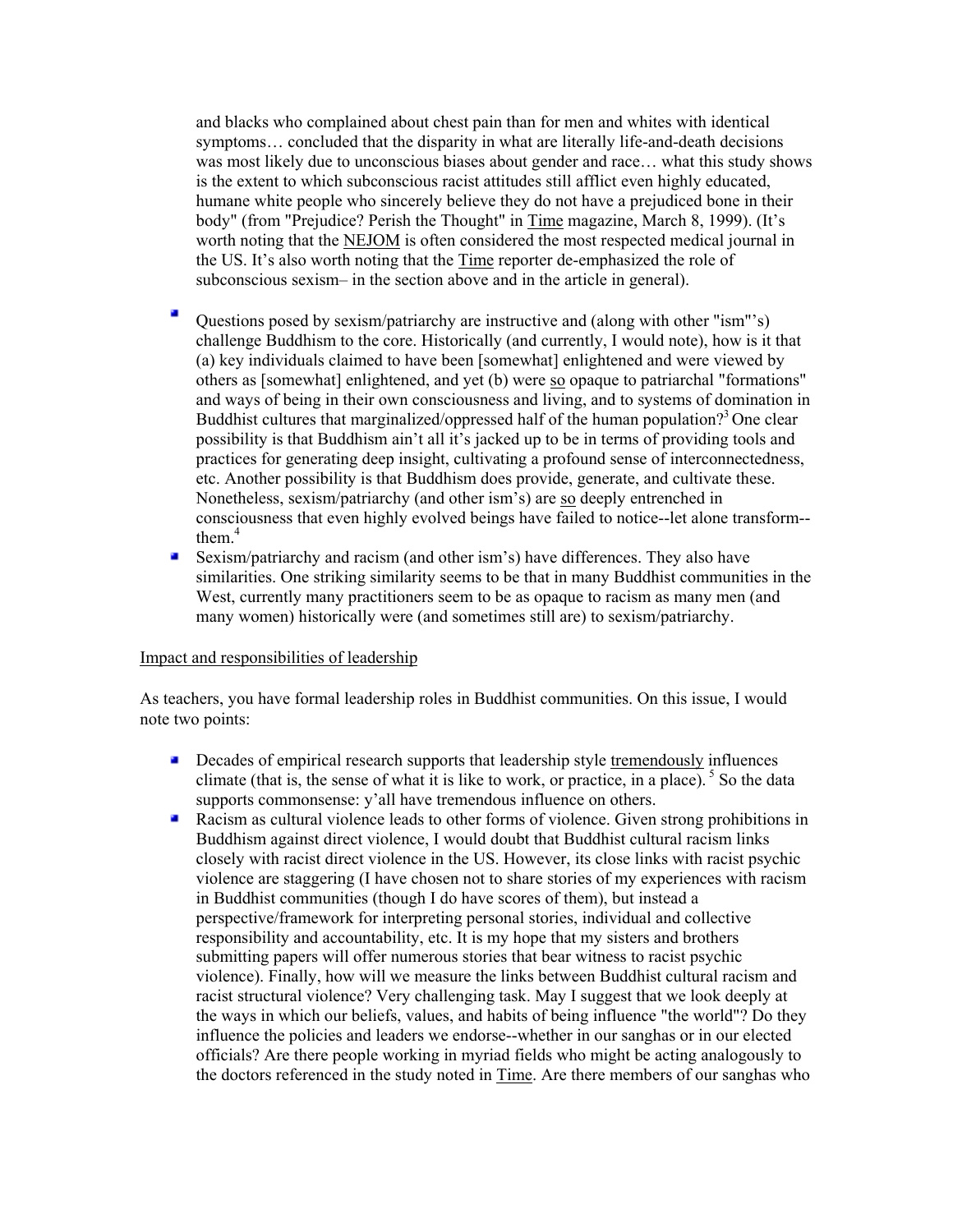and blacks who complained about chest pain than for men and whites with identical symptoms… concluded that the disparity in what are literally life-and-death decisions was most likely due to unconscious biases about gender and race… what this study shows is the extent to which subconscious racist attitudes still afflict even highly educated, humane white people who sincerely believe they do not have a prejudiced bone in their body" (from "Prejudice? Perish the Thought" in Time magazine, March 8, 1999). (It's worth noting that the NEJOM is often considered the most respected medical journal in the US. It's also worth noting that the Time reporter de-emphasized the role of subconscious sexism– in the section above and in the article in general).

- ø Questions posed by sexism/patriarchy are instructive and (along with other "ism"'s) challenge Buddhism to the core. Historically (and currently, I would note), how is it that (a) key individuals claimed to have been [somewhat] enlightened and were viewed by others as [somewhat] enlightened, and yet (b) were so opaque to patriarchal "formations" and ways of being in their own consciousness and living, and to systems of domination in Buddhist cultures that marginalized/oppressed half of the human population?<sup>3</sup> One clear possibility is that Buddhism ain't all it's jacked up to be in terms of providing tools and practices for generating deep insight, cultivating a profound sense of interconnectedness, etc. Another possibility is that Buddhism does provide, generate, and cultivate these. Nonetheless, sexism/patriarchy (and other ism's) are so deeply entrenched in consciousness that even highly evolved beings have failed to notice--let alone transform- them.<sup>4</sup>
- Sexism/patriarchy and racism (and other ism's) have differences. They also have a. similarities. One striking similarity seems to be that in many Buddhist communities in the West, currently many practitioners seem to be as opaque to racism as many men (and many women) historically were (and sometimes still are) to sexism/patriarchy.

#### Impact and responsibilities of leadership

As teachers, you have formal leadership roles in Buddhist communities. On this issue, I would note two points:

- **EXECUTE:** Decades of empirical research supports that leadership style tremendously influences climate (that is, the sense of what it is like to work, or practice, in a place).  $5$  So the data supports commonsense: y'all have tremendous influence on others.
- **Racism as cultural violence leads to other forms of violence. Given strong prohibitions in** Buddhism against direct violence, I would doubt that Buddhist cultural racism links closely with racist direct violence in the US. However, its close links with racist psychic violence are staggering (I have chosen not to share stories of my experiences with racism in Buddhist communities (though I do have scores of them), but instead a perspective/framework for interpreting personal stories, individual and collective responsibility and accountability, etc. It is my hope that my sisters and brothers submitting papers will offer numerous stories that bear witness to racist psychic violence). Finally, how will we measure the links between Buddhist cultural racism and racist structural violence? Very challenging task. May I suggest that we look deeply at the ways in which our beliefs, values, and habits of being influence "the world"? Do they influence the policies and leaders we endorse--whether in our sanghas or in our elected officials? Are there people working in myriad fields who might be acting analogously to the doctors referenced in the study noted in Time. Are there members of our sanghas who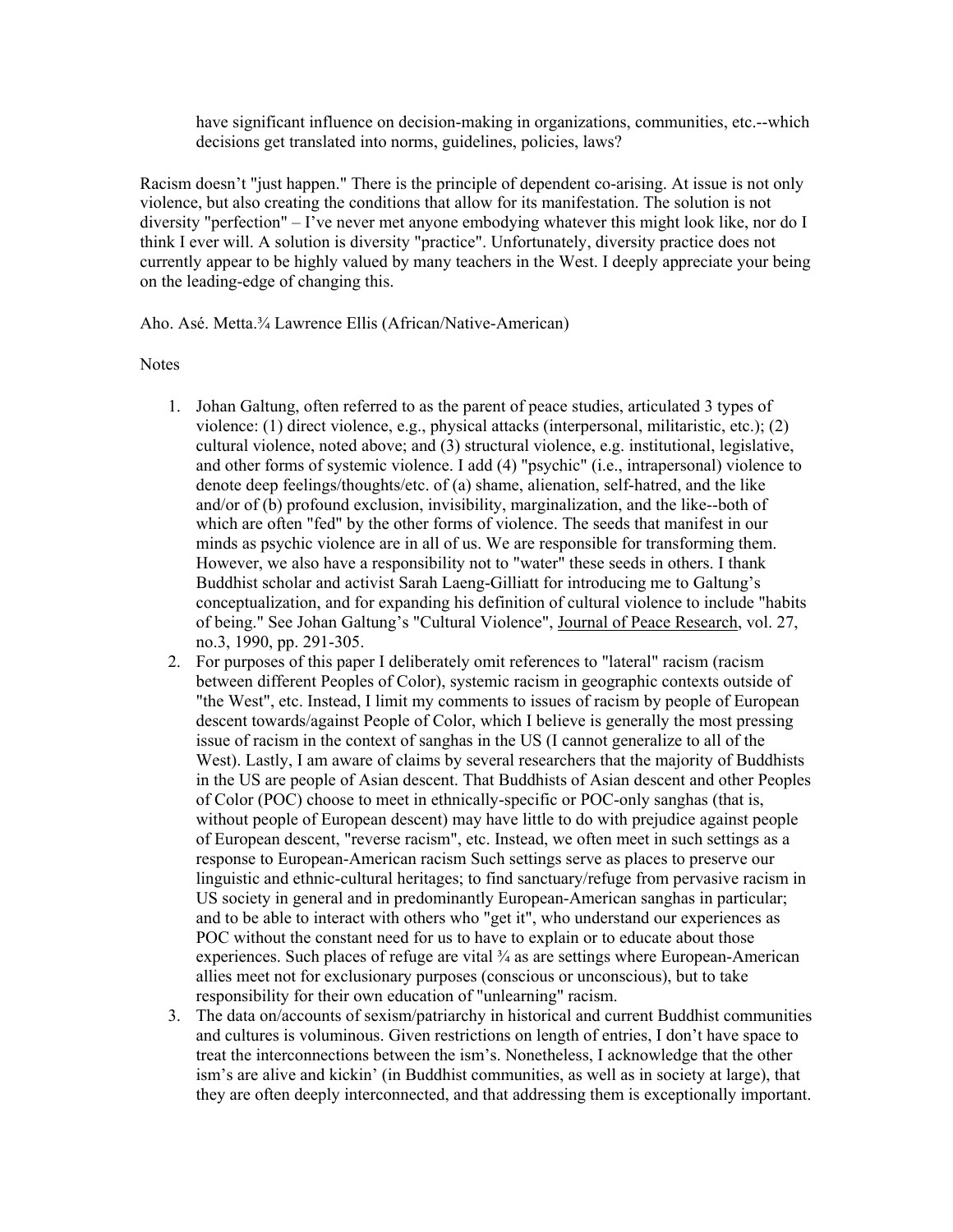have significant influence on decision-making in organizations, communities, etc.--which decisions get translated into norms, guidelines, policies, laws?

Racism doesn't "just happen." There is the principle of dependent co-arising. At issue is not only violence, but also creating the conditions that allow for its manifestation. The solution is not diversity "perfection" – I've never met anyone embodying whatever this might look like, nor do I think I ever will. A solution is diversity "practice". Unfortunately, diversity practice does not currently appear to be highly valued by many teachers in the West. I deeply appreciate your being on the leading-edge of changing this.

Aho. Asé. Metta.¾ Lawrence Ellis (African/Native-American)

**Notes** 

- 1. Johan Galtung, often referred to as the parent of peace studies, articulated 3 types of violence: (1) direct violence, e.g., physical attacks (interpersonal, militaristic, etc.); (2) cultural violence, noted above; and (3) structural violence, e.g. institutional, legislative, and other forms of systemic violence. I add (4) "psychic" (i.e., intrapersonal) violence to denote deep feelings/thoughts/etc. of (a) shame, alienation, self-hatred, and the like and/or of (b) profound exclusion, invisibility, marginalization, and the like--both of which are often "fed" by the other forms of violence. The seeds that manifest in our minds as psychic violence are in all of us. We are responsible for transforming them. However, we also have a responsibility not to "water" these seeds in others. I thank Buddhist scholar and activist Sarah Laeng-Gilliatt for introducing me to Galtung's conceptualization, and for expanding his definition of cultural violence to include "habits of being." See Johan Galtung's "Cultural Violence", Journal of Peace Research, vol. 27, no.3, 1990, pp. 291-305.
- 2. For purposes of this paper I deliberately omit references to "lateral" racism (racism between different Peoples of Color), systemic racism in geographic contexts outside of "the West", etc. Instead, I limit my comments to issues of racism by people of European descent towards/against People of Color, which I believe is generally the most pressing issue of racism in the context of sanghas in the US (I cannot generalize to all of the West). Lastly, I am aware of claims by several researchers that the majority of Buddhists in the US are people of Asian descent. That Buddhists of Asian descent and other Peoples of Color (POC) choose to meet in ethnically-specific or POC-only sanghas (that is, without people of European descent) may have little to do with prejudice against people of European descent, "reverse racism", etc. Instead, we often meet in such settings as a response to European-American racism Such settings serve as places to preserve our linguistic and ethnic-cultural heritages; to find sanctuary/refuge from pervasive racism in US society in general and in predominantly European-American sanghas in particular; and to be able to interact with others who "get it", who understand our experiences as POC without the constant need for us to have to explain or to educate about those experiences. Such places of refuge are vital  $\frac{3}{4}$  as are settings where European-American allies meet not for exclusionary purposes (conscious or unconscious), but to take responsibility for their own education of "unlearning" racism.
- 3. The data on/accounts of sexism/patriarchy in historical and current Buddhist communities and cultures is voluminous. Given restrictions on length of entries, I don't have space to treat the interconnections between the ism's. Nonetheless, I acknowledge that the other ism's are alive and kickin' (in Buddhist communities, as well as in society at large), that they are often deeply interconnected, and that addressing them is exceptionally important.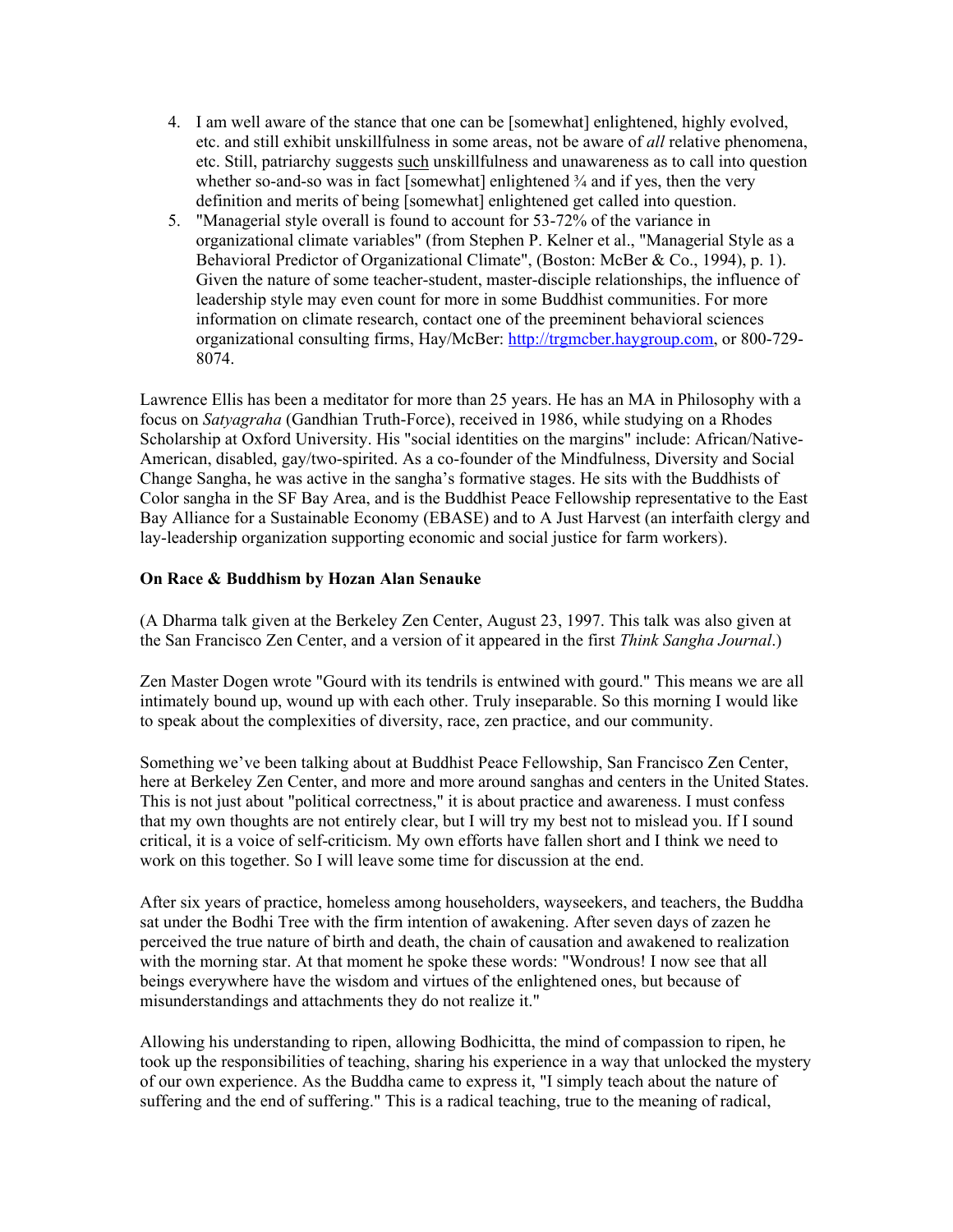- 4. I am well aware of the stance that one can be [somewhat] enlightened, highly evolved, etc. and still exhibit unskillfulness in some areas, not be aware of *all* relative phenomena, etc. Still, patriarchy suggests such unskillfulness and unawareness as to call into question whether so-and-so was in fact [somewhat] enlightened  $\frac{3}{4}$  and if yes, then the very definition and merits of being [somewhat] enlightened get called into question.
- 5. "Managerial style overall is found to account for 53-72% of the variance in organizational climate variables" (from Stephen P. Kelner et al., "Managerial Style as a Behavioral Predictor of Organizational Climate", (Boston: McBer & Co., 1994), p. 1). Given the nature of some teacher-student, master-disciple relationships, the influence of leadership style may even count for more in some Buddhist communities. For more information on climate research, contact one of the preeminent behavioral sciences organizational consulting firms, Hay/McBer: http://trgmcber.haygroup.com, or 800-729- 8074.

Lawrence Ellis has been a meditator for more than 25 years. He has an MA in Philosophy with a focus on *Satyagraha* (Gandhian Truth-Force), received in 1986, while studying on a Rhodes Scholarship at Oxford University. His "social identities on the margins" include: African/Native-American, disabled, gay/two-spirited. As a co-founder of the Mindfulness, Diversity and Social Change Sangha, he was active in the sangha's formative stages. He sits with the Buddhists of Color sangha in the SF Bay Area, and is the Buddhist Peace Fellowship representative to the East Bay Alliance for a Sustainable Economy (EBASE) and to A Just Harvest (an interfaith clergy and lay-leadership organization supporting economic and social justice for farm workers).

# **On Race & Buddhism by Hozan Alan Senauke**

(A Dharma talk given at the Berkeley Zen Center, August 23, 1997. This talk was also given at the San Francisco Zen Center, and a version of it appeared in the first *Think Sangha Journal*.)

Zen Master Dogen wrote "Gourd with its tendrils is entwined with gourd." This means we are all intimately bound up, wound up with each other. Truly inseparable. So this morning I would like to speak about the complexities of diversity, race, zen practice, and our community.

Something we've been talking about at Buddhist Peace Fellowship, San Francisco Zen Center, here at Berkeley Zen Center, and more and more around sanghas and centers in the United States. This is not just about "political correctness," it is about practice and awareness. I must confess that my own thoughts are not entirely clear, but I will try my best not to mislead you. If I sound critical, it is a voice of self-criticism. My own efforts have fallen short and I think we need to work on this together. So I will leave some time for discussion at the end.

After six years of practice, homeless among householders, wayseekers, and teachers, the Buddha sat under the Bodhi Tree with the firm intention of awakening. After seven days of zazen he perceived the true nature of birth and death, the chain of causation and awakened to realization with the morning star. At that moment he spoke these words: "Wondrous! I now see that all beings everywhere have the wisdom and virtues of the enlightened ones, but because of misunderstandings and attachments they do not realize it."

Allowing his understanding to ripen, allowing Bodhicitta, the mind of compassion to ripen, he took up the responsibilities of teaching, sharing his experience in a way that unlocked the mystery of our own experience. As the Buddha came to express it, "I simply teach about the nature of suffering and the end of suffering." This is a radical teaching, true to the meaning of radical,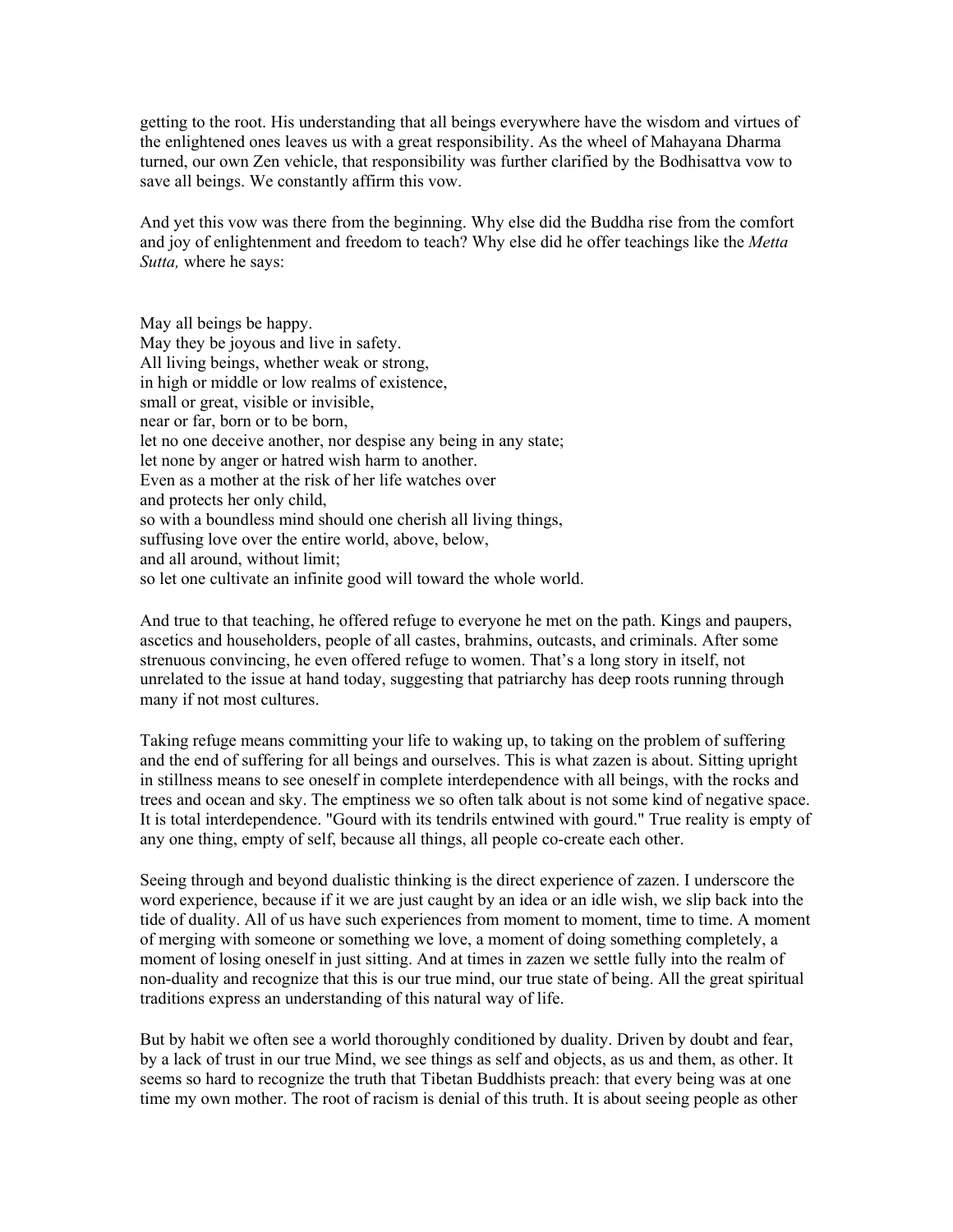getting to the root. His understanding that all beings everywhere have the wisdom and virtues of the enlightened ones leaves us with a great responsibility. As the wheel of Mahayana Dharma turned, our own Zen vehicle, that responsibility was further clarified by the Bodhisattva vow to save all beings. We constantly affirm this vow.

And yet this vow was there from the beginning. Why else did the Buddha rise from the comfort and joy of enlightenment and freedom to teach? Why else did he offer teachings like the *Metta Sutta,* where he says:

May all beings be happy. May they be joyous and live in safety. All living beings, whether weak or strong, in high or middle or low realms of existence, small or great, visible or invisible, near or far, born or to be born, let no one deceive another, nor despise any being in any state; let none by anger or hatred wish harm to another. Even as a mother at the risk of her life watches over and protects her only child, so with a boundless mind should one cherish all living things, suffusing love over the entire world, above, below, and all around, without limit; so let one cultivate an infinite good will toward the whole world.

And true to that teaching, he offered refuge to everyone he met on the path. Kings and paupers, ascetics and householders, people of all castes, brahmins, outcasts, and criminals. After some strenuous convincing, he even offered refuge to women. That's a long story in itself, not unrelated to the issue at hand today, suggesting that patriarchy has deep roots running through many if not most cultures.

Taking refuge means committing your life to waking up, to taking on the problem of suffering and the end of suffering for all beings and ourselves. This is what zazen is about. Sitting upright in stillness means to see oneself in complete interdependence with all beings, with the rocks and trees and ocean and sky. The emptiness we so often talk about is not some kind of negative space. It is total interdependence. "Gourd with its tendrils entwined with gourd." True reality is empty of any one thing, empty of self, because all things, all people co-create each other.

Seeing through and beyond dualistic thinking is the direct experience of zazen. I underscore the word experience, because if it we are just caught by an idea or an idle wish, we slip back into the tide of duality. All of us have such experiences from moment to moment, time to time. A moment of merging with someone or something we love, a moment of doing something completely, a moment of losing oneself in just sitting. And at times in zazen we settle fully into the realm of non-duality and recognize that this is our true mind, our true state of being. All the great spiritual traditions express an understanding of this natural way of life.

But by habit we often see a world thoroughly conditioned by duality. Driven by doubt and fear, by a lack of trust in our true Mind, we see things as self and objects, as us and them, as other. It seems so hard to recognize the truth that Tibetan Buddhists preach: that every being was at one time my own mother. The root of racism is denial of this truth. It is about seeing people as other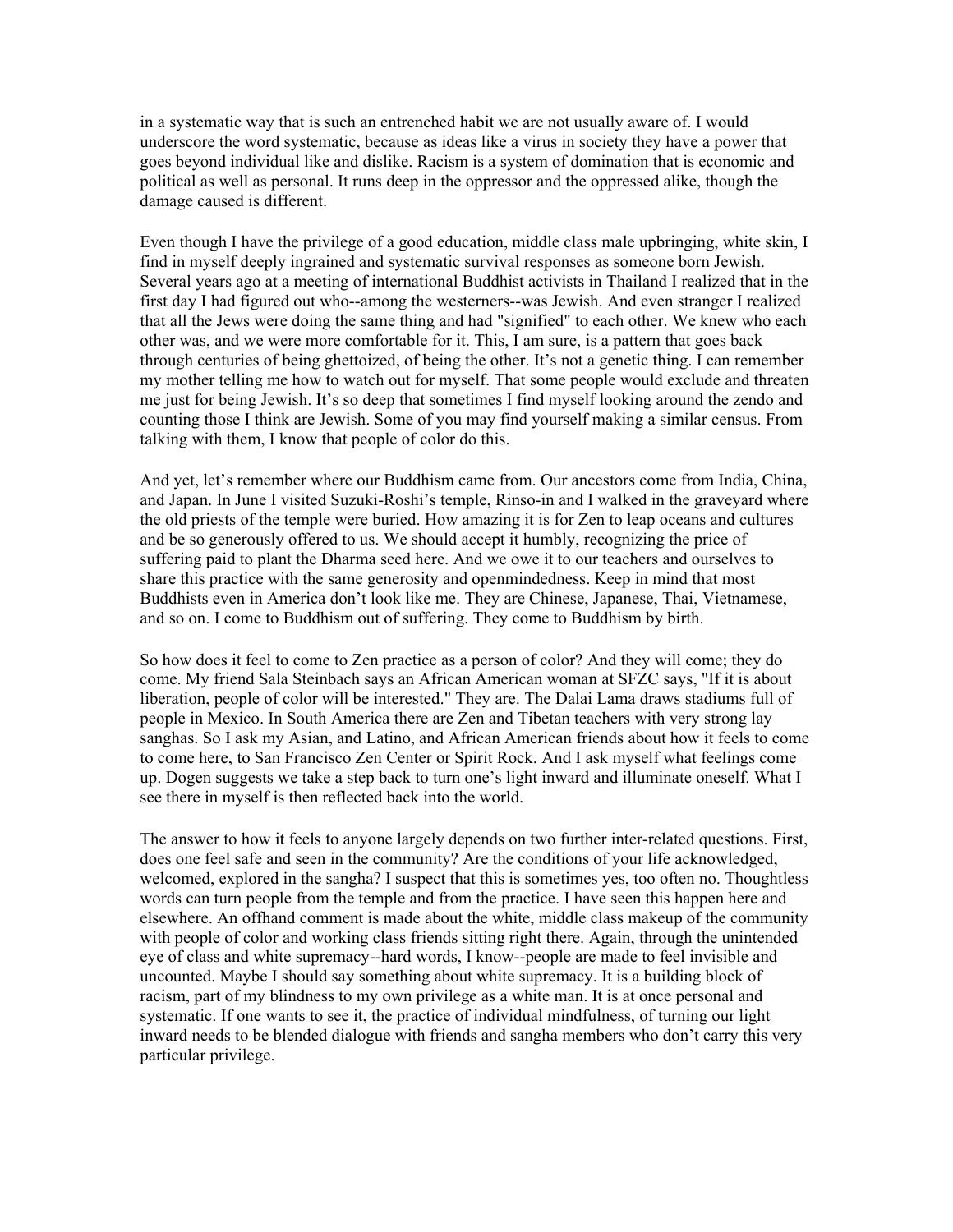in a systematic way that is such an entrenched habit we are not usually aware of. I would underscore the word systematic, because as ideas like a virus in society they have a power that goes beyond individual like and dislike. Racism is a system of domination that is economic and political as well as personal. It runs deep in the oppressor and the oppressed alike, though the damage caused is different.

Even though I have the privilege of a good education, middle class male upbringing, white skin, I find in myself deeply ingrained and systematic survival responses as someone born Jewish. Several years ago at a meeting of international Buddhist activists in Thailand I realized that in the first day I had figured out who--among the westerners--was Jewish. And even stranger I realized that all the Jews were doing the same thing and had "signified" to each other. We knew who each other was, and we were more comfortable for it. This, I am sure, is a pattern that goes back through centuries of being ghettoized, of being the other. It's not a genetic thing. I can remember my mother telling me how to watch out for myself. That some people would exclude and threaten me just for being Jewish. It's so deep that sometimes I find myself looking around the zendo and counting those I think are Jewish. Some of you may find yourself making a similar census. From talking with them, I know that people of color do this.

And yet, let's remember where our Buddhism came from. Our ancestors come from India, China, and Japan. In June I visited Suzuki-Roshi's temple, Rinso-in and I walked in the graveyard where the old priests of the temple were buried. How amazing it is for Zen to leap oceans and cultures and be so generously offered to us. We should accept it humbly, recognizing the price of suffering paid to plant the Dharma seed here. And we owe it to our teachers and ourselves to share this practice with the same generosity and openmindedness. Keep in mind that most Buddhists even in America don't look like me. They are Chinese, Japanese, Thai, Vietnamese, and so on. I come to Buddhism out of suffering. They come to Buddhism by birth.

So how does it feel to come to Zen practice as a person of color? And they will come; they do come. My friend Sala Steinbach says an African American woman at SFZC says, "If it is about liberation, people of color will be interested." They are. The Dalai Lama draws stadiums full of people in Mexico. In South America there are Zen and Tibetan teachers with very strong lay sanghas. So I ask my Asian, and Latino, and African American friends about how it feels to come to come here, to San Francisco Zen Center or Spirit Rock. And I ask myself what feelings come up. Dogen suggests we take a step back to turn one's light inward and illuminate oneself. What I see there in myself is then reflected back into the world.

The answer to how it feels to anyone largely depends on two further inter-related questions. First, does one feel safe and seen in the community? Are the conditions of your life acknowledged, welcomed, explored in the sangha? I suspect that this is sometimes yes, too often no. Thoughtless words can turn people from the temple and from the practice. I have seen this happen here and elsewhere. An offhand comment is made about the white, middle class makeup of the community with people of color and working class friends sitting right there. Again, through the unintended eye of class and white supremacy--hard words, I know--people are made to feel invisible and uncounted. Maybe I should say something about white supremacy. It is a building block of racism, part of my blindness to my own privilege as a white man. It is at once personal and systematic. If one wants to see it, the practice of individual mindfulness, of turning our light inward needs to be blended dialogue with friends and sangha members who don't carry this very particular privilege.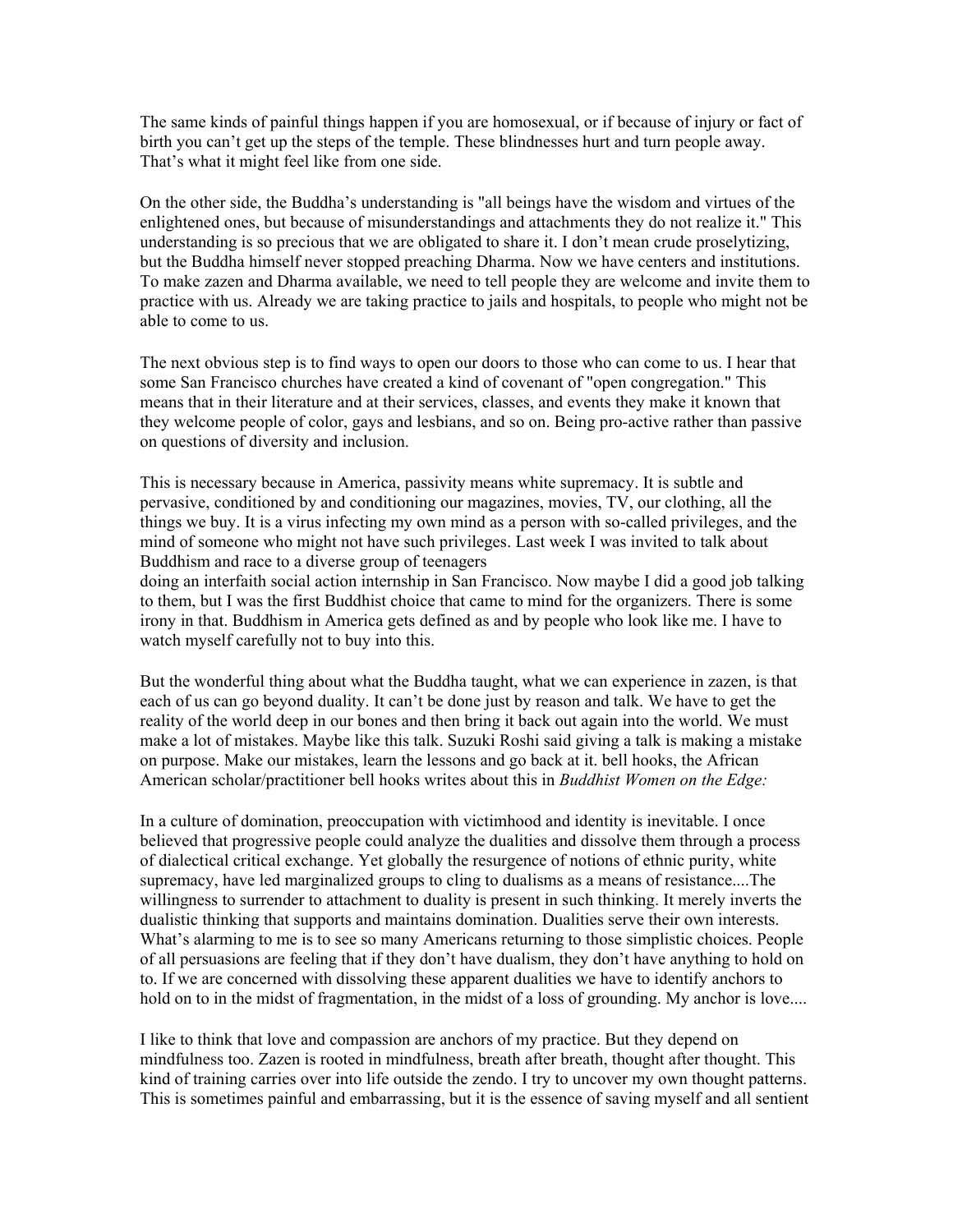The same kinds of painful things happen if you are homosexual, or if because of injury or fact of birth you can't get up the steps of the temple. These blindnesses hurt and turn people away. That's what it might feel like from one side.

On the other side, the Buddha's understanding is "all beings have the wisdom and virtues of the enlightened ones, but because of misunderstandings and attachments they do not realize it." This understanding is so precious that we are obligated to share it. I don't mean crude proselytizing, but the Buddha himself never stopped preaching Dharma. Now we have centers and institutions. To make zazen and Dharma available, we need to tell people they are welcome and invite them to practice with us. Already we are taking practice to jails and hospitals, to people who might not be able to come to us.

The next obvious step is to find ways to open our doors to those who can come to us. I hear that some San Francisco churches have created a kind of covenant of "open congregation." This means that in their literature and at their services, classes, and events they make it known that they welcome people of color, gays and lesbians, and so on. Being pro-active rather than passive on questions of diversity and inclusion.

This is necessary because in America, passivity means white supremacy. It is subtle and pervasive, conditioned by and conditioning our magazines, movies, TV, our clothing, all the things we buy. It is a virus infecting my own mind as a person with so-called privileges, and the mind of someone who might not have such privileges. Last week I was invited to talk about Buddhism and race to a diverse group of teenagers

doing an interfaith social action internship in San Francisco. Now maybe I did a good job talking to them, but I was the first Buddhist choice that came to mind for the organizers. There is some irony in that. Buddhism in America gets defined as and by people who look like me. I have to watch myself carefully not to buy into this.

But the wonderful thing about what the Buddha taught, what we can experience in zazen, is that each of us can go beyond duality. It can't be done just by reason and talk. We have to get the reality of the world deep in our bones and then bring it back out again into the world. We must make a lot of mistakes. Maybe like this talk. Suzuki Roshi said giving a talk is making a mistake on purpose. Make our mistakes, learn the lessons and go back at it. bell hooks, the African American scholar/practitioner bell hooks writes about this in *Buddhist Women on the Edge:* 

In a culture of domination, preoccupation with victimhood and identity is inevitable. I once believed that progressive people could analyze the dualities and dissolve them through a process of dialectical critical exchange. Yet globally the resurgence of notions of ethnic purity, white supremacy, have led marginalized groups to cling to dualisms as a means of resistance....The willingness to surrender to attachment to duality is present in such thinking. It merely inverts the dualistic thinking that supports and maintains domination. Dualities serve their own interests. What's alarming to me is to see so many Americans returning to those simplistic choices. People of all persuasions are feeling that if they don't have dualism, they don't have anything to hold on to. If we are concerned with dissolving these apparent dualities we have to identify anchors to hold on to in the midst of fragmentation, in the midst of a loss of grounding. My anchor is love....

I like to think that love and compassion are anchors of my practice. But they depend on mindfulness too. Zazen is rooted in mindfulness, breath after breath, thought after thought. This kind of training carries over into life outside the zendo. I try to uncover my own thought patterns. This is sometimes painful and embarrassing, but it is the essence of saving myself and all sentient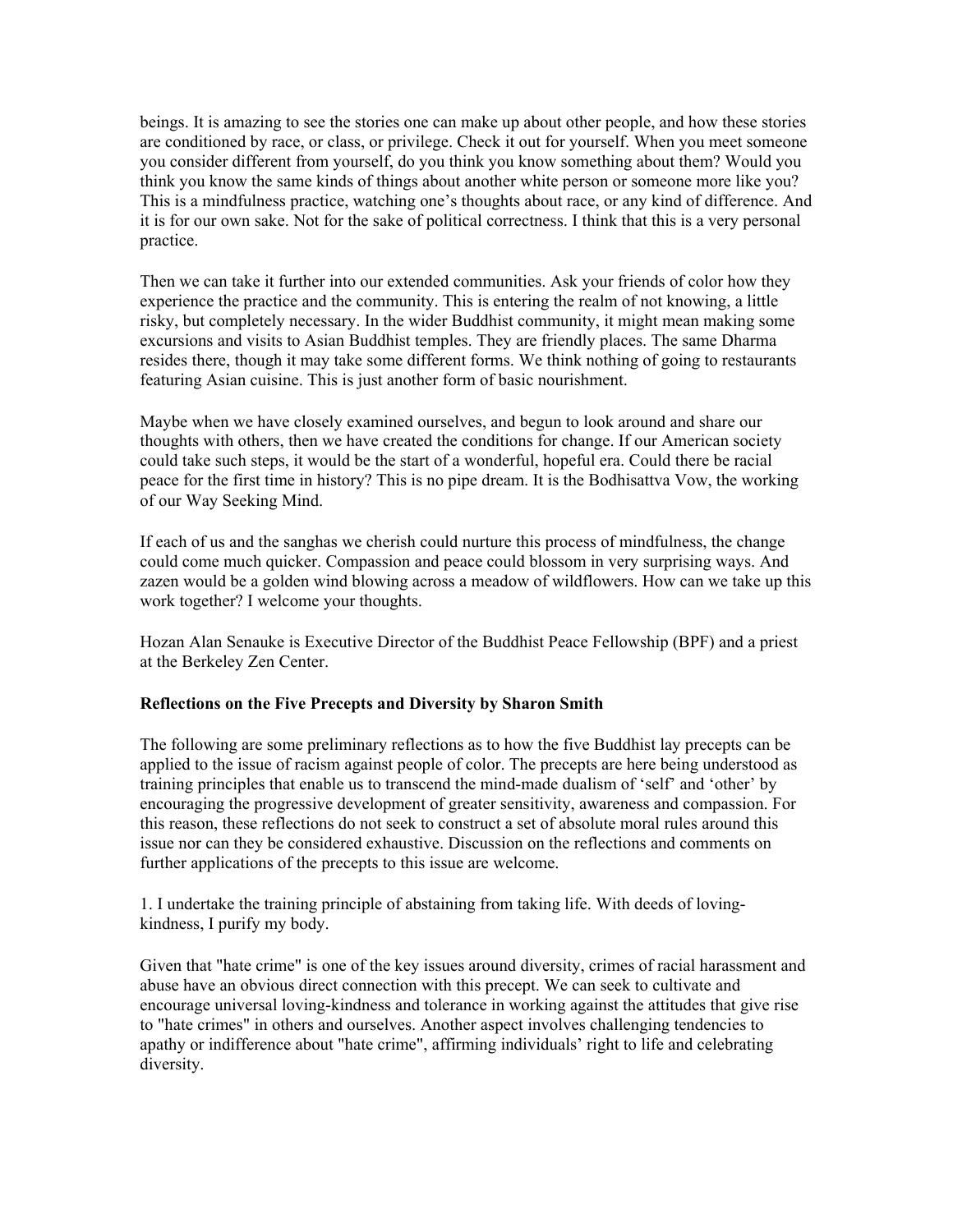beings. It is amazing to see the stories one can make up about other people, and how these stories are conditioned by race, or class, or privilege. Check it out for yourself. When you meet someone you consider different from yourself, do you think you know something about them? Would you think you know the same kinds of things about another white person or someone more like you? This is a mindfulness practice, watching one's thoughts about race, or any kind of difference. And it is for our own sake. Not for the sake of political correctness. I think that this is a very personal practice.

Then we can take it further into our extended communities. Ask your friends of color how they experience the practice and the community. This is entering the realm of not knowing, a little risky, but completely necessary. In the wider Buddhist community, it might mean making some excursions and visits to Asian Buddhist temples. They are friendly places. The same Dharma resides there, though it may take some different forms. We think nothing of going to restaurants featuring Asian cuisine. This is just another form of basic nourishment.

Maybe when we have closely examined ourselves, and begun to look around and share our thoughts with others, then we have created the conditions for change. If our American society could take such steps, it would be the start of a wonderful, hopeful era. Could there be racial peace for the first time in history? This is no pipe dream. It is the Bodhisattva Vow, the working of our Way Seeking Mind.

If each of us and the sanghas we cherish could nurture this process of mindfulness, the change could come much quicker. Compassion and peace could blossom in very surprising ways. And zazen would be a golden wind blowing across a meadow of wildflowers. How can we take up this work together? I welcome your thoughts.

Hozan Alan Senauke is Executive Director of the Buddhist Peace Fellowship (BPF) and a priest at the Berkeley Zen Center.

## **Reflections on the Five Precepts and Diversity by Sharon Smith**

The following are some preliminary reflections as to how the five Buddhist lay precepts can be applied to the issue of racism against people of color. The precepts are here being understood as training principles that enable us to transcend the mind-made dualism of 'self' and 'other' by encouraging the progressive development of greater sensitivity, awareness and compassion. For this reason, these reflections do not seek to construct a set of absolute moral rules around this issue nor can they be considered exhaustive. Discussion on the reflections and comments on further applications of the precepts to this issue are welcome.

1. I undertake the training principle of abstaining from taking life. With deeds of lovingkindness, I purify my body.

Given that "hate crime" is one of the key issues around diversity, crimes of racial harassment and abuse have an obvious direct connection with this precept. We can seek to cultivate and encourage universal loving-kindness and tolerance in working against the attitudes that give rise to "hate crimes" in others and ourselves. Another aspect involves challenging tendencies to apathy or indifference about "hate crime", affirming individuals' right to life and celebrating diversity.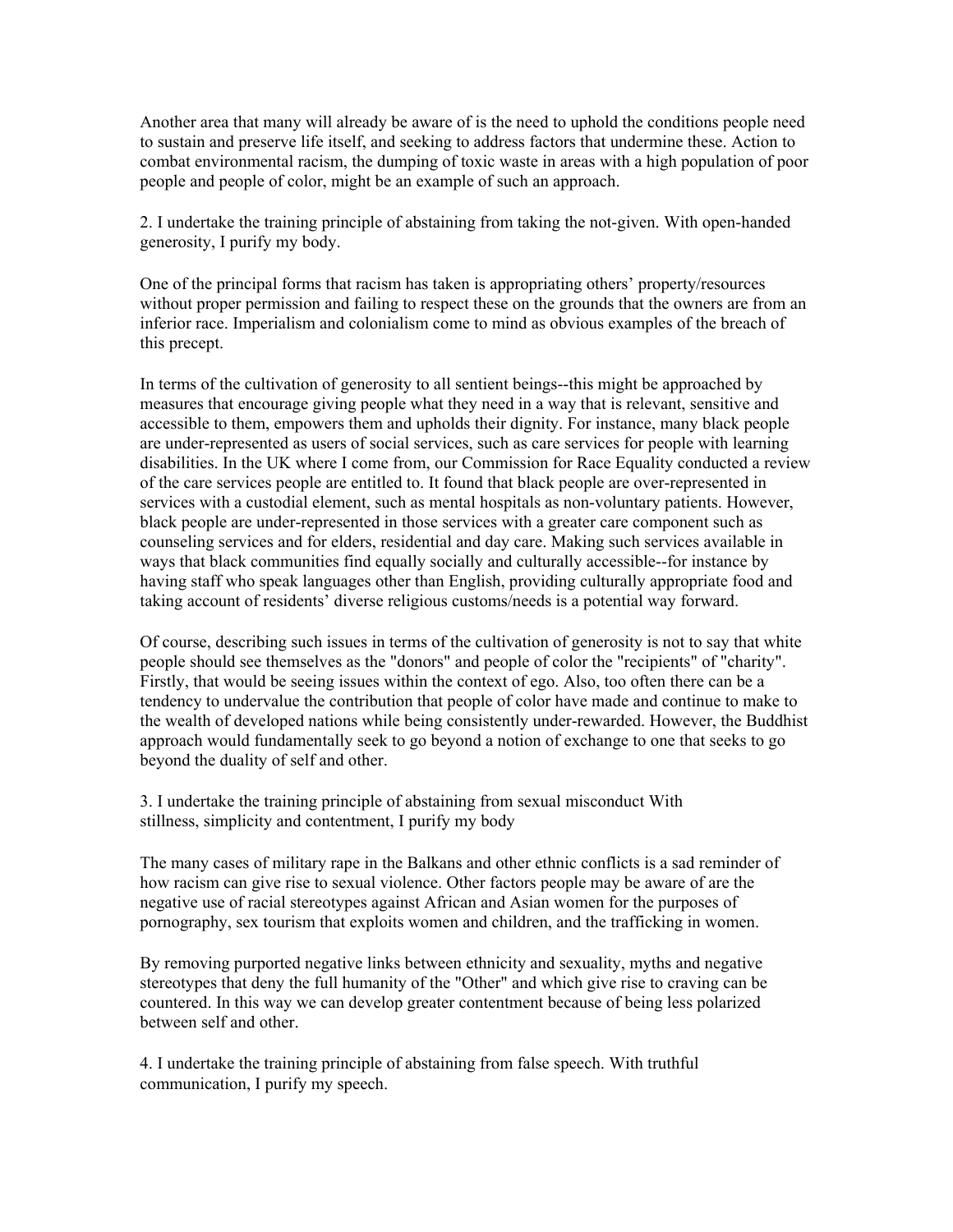Another area that many will already be aware of is the need to uphold the conditions people need to sustain and preserve life itself, and seeking to address factors that undermine these. Action to combat environmental racism, the dumping of toxic waste in areas with a high population of poor people and people of color, might be an example of such an approach.

2. I undertake the training principle of abstaining from taking the not-given. With open-handed generosity, I purify my body.

One of the principal forms that racism has taken is appropriating others' property/resources without proper permission and failing to respect these on the grounds that the owners are from an inferior race. Imperialism and colonialism come to mind as obvious examples of the breach of this precept.

In terms of the cultivation of generosity to all sentient beings--this might be approached by measures that encourage giving people what they need in a way that is relevant, sensitive and accessible to them, empowers them and upholds their dignity. For instance, many black people are under-represented as users of social services, such as care services for people with learning disabilities. In the UK where I come from, our Commission for Race Equality conducted a review of the care services people are entitled to. It found that black people are over-represented in services with a custodial element, such as mental hospitals as non-voluntary patients. However, black people are under-represented in those services with a greater care component such as counseling services and for elders, residential and day care. Making such services available in ways that black communities find equally socially and culturally accessible--for instance by having staff who speak languages other than English, providing culturally appropriate food and taking account of residents' diverse religious customs/needs is a potential way forward.

Of course, describing such issues in terms of the cultivation of generosity is not to say that white people should see themselves as the "donors" and people of color the "recipients" of "charity". Firstly, that would be seeing issues within the context of ego. Also, too often there can be a tendency to undervalue the contribution that people of color have made and continue to make to the wealth of developed nations while being consistently under-rewarded. However, the Buddhist approach would fundamentally seek to go beyond a notion of exchange to one that seeks to go beyond the duality of self and other.

3. I undertake the training principle of abstaining from sexual misconduct With stillness, simplicity and contentment, I purify my body

The many cases of military rape in the Balkans and other ethnic conflicts is a sad reminder of how racism can give rise to sexual violence. Other factors people may be aware of are the negative use of racial stereotypes against African and Asian women for the purposes of pornography, sex tourism that exploits women and children, and the trafficking in women.

By removing purported negative links between ethnicity and sexuality, myths and negative stereotypes that deny the full humanity of the "Other" and which give rise to craving can be countered. In this way we can develop greater contentment because of being less polarized between self and other.

4. I undertake the training principle of abstaining from false speech. With truthful communication, I purify my speech.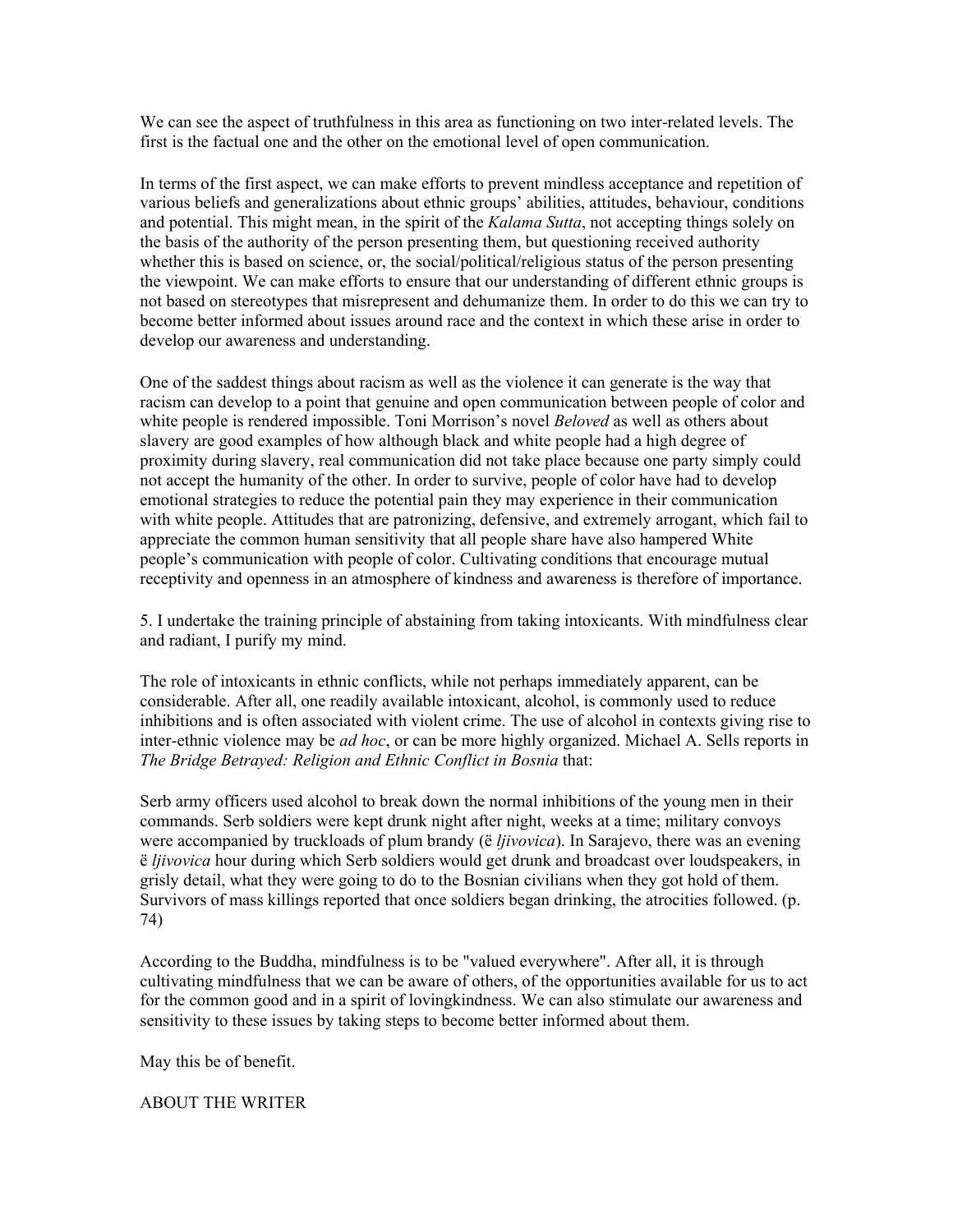We can see the aspect of truthfulness in this area as functioning on two inter-related levels. The first is the factual one and the other on the emotional level of open communication.

In terms of the first aspect, we can make efforts to prevent mindless acceptance and repetition of various beliefs and generalizations about ethnic groups' abilities, attitudes, behaviour, conditions and potential. This might mean, in the spirit of the *Kalama Sutta*, not accepting things solely on the basis of the authority of the person presenting them, but questioning received authority whether this is based on science, or, the social/political/religious status of the person presenting the viewpoint. We can make efforts to ensure that our understanding of different ethnic groups is not based on stereotypes that misrepresent and dehumanize them. In order to do this we can try to become better informed about issues around race and the context in which these arise in order to develop our awareness and understanding.

One of the saddest things about racism as well as the violence it can generate is the way that racism can develop to a point that genuine and open communication between people of color and white people is rendered impossible. Toni Morrison's novel *Beloved* as well as others about slavery are good examples of how although black and white people had a high degree of proximity during slavery, real communication did not take place because one party simply could not accept the humanity of the other. In order to survive, people of color have had to develop emotional strategies to reduce the potential pain they may experience in their communication with white people. Attitudes that are patronizing, defensive, and extremely arrogant, which fail to appreciate the common human sensitivity that all people share have also hampered White people's communication with people of color. Cultivating conditions that encourage mutual receptivity and openness in an atmosphere of kindness and awareness is therefore of importance.

5. I undertake the training principle of abstaining from taking intoxicants. With mindfulness clear and radiant, I purify my mind.

The role of intoxicants in ethnic conflicts, while not perhaps immediately apparent, can be considerable. After all, one readily available intoxicant, alcohol, is commonly used to reduce inhibitions and is often associated with violent crime. The use of alcohol in contexts giving rise to inter-ethnic violence may be *ad hoc*, or can be more highly organized. Michael A. Sells reports in *The Bridge Betrayed: Religion and Ethnic Conflict in Bosnia* that:

Serb army officers used alcohol to break down the normal inhibitions of the young men in their commands. Serb soldiers were kept drunk night after night, weeks at a time; military convoys were accompanied by truckloads of plum brandy (ë *ljivovica*). In Sarajevo, there was an evening ë *ljivovica* hour during which Serb soldiers would get drunk and broadcast over loudspeakers, in grisly detail, what they were going to do to the Bosnian civilians when they got hold of them. Survivors of mass killings reported that once soldiers began drinking, the atrocities followed. (p. 74)

According to the Buddha, mindfulness is to be "valued everywhere". After all, it is through cultivating mindfulness that we can be aware of others, of the opportunities available for us to act for the common good and in a spirit of lovingkindness. We can also stimulate our awareness and sensitivity to these issues by taking steps to become better informed about them.

May this be of benefit.

ABOUT THE WRITER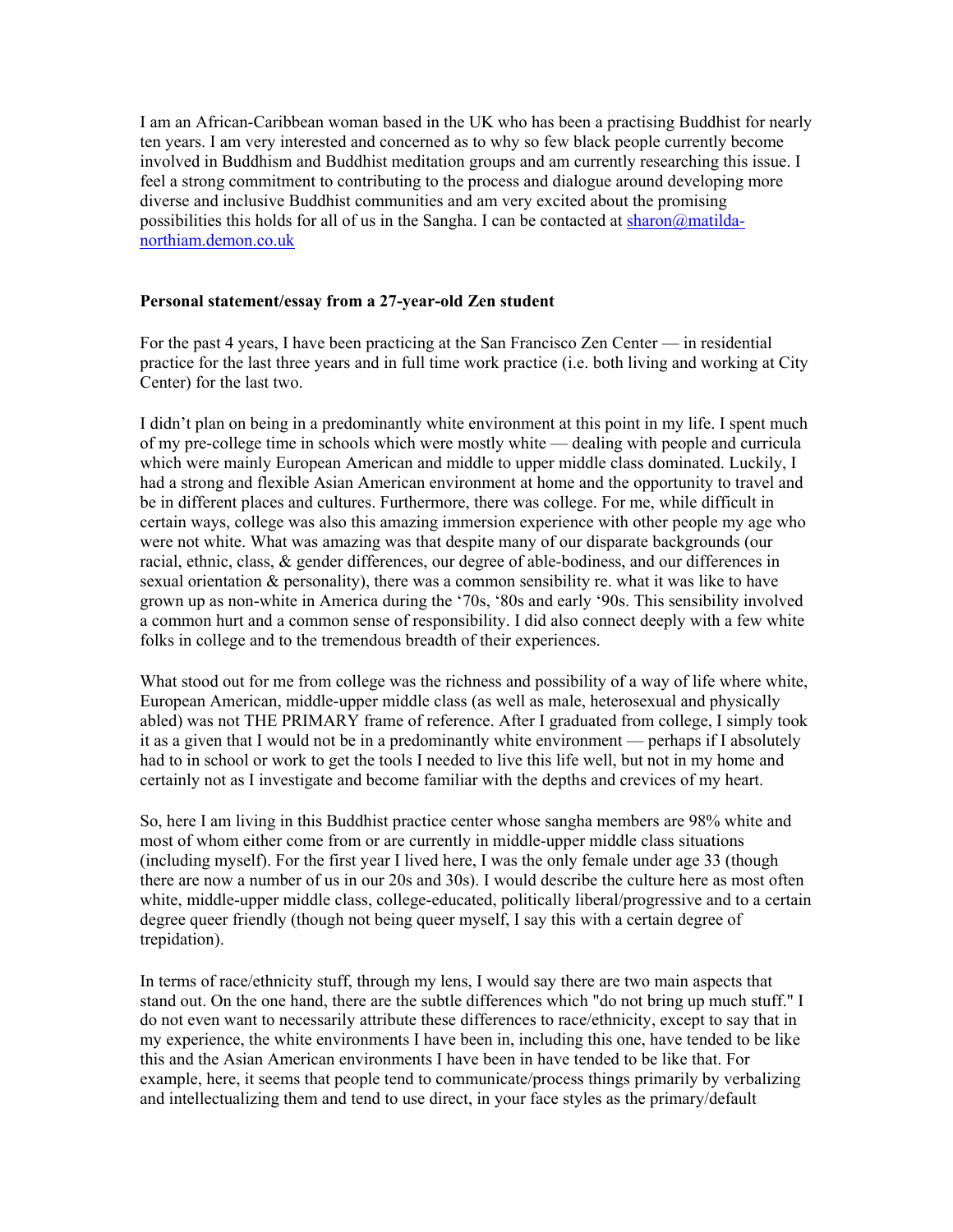I am an African-Caribbean woman based in the UK who has been a practising Buddhist for nearly ten years. I am very interested and concerned as to why so few black people currently become involved in Buddhism and Buddhist meditation groups and am currently researching this issue. I feel a strong commitment to contributing to the process and dialogue around developing more diverse and inclusive Buddhist communities and am very excited about the promising possibilities this holds for all of us in the Sangha. I can be contacted at sharon@matildanorthiam.demon.co.uk

### **Personal statement/essay from a 27-year-old Zen student**

For the past 4 years, I have been practicing at the San Francisco Zen Center — in residential practice for the last three years and in full time work practice (i.e. both living and working at City Center) for the last two.

I didn't plan on being in a predominantly white environment at this point in my life. I spent much of my pre-college time in schools which were mostly white — dealing with people and curricula which were mainly European American and middle to upper middle class dominated. Luckily, I had a strong and flexible Asian American environment at home and the opportunity to travel and be in different places and cultures. Furthermore, there was college. For me, while difficult in certain ways, college was also this amazing immersion experience with other people my age who were not white. What was amazing was that despite many of our disparate backgrounds (our racial, ethnic, class, & gender differences, our degree of able-bodiness, and our differences in sexual orientation  $\&$  personality), there was a common sensibility re. what it was like to have grown up as non-white in America during the '70s, '80s and early '90s. This sensibility involved a common hurt and a common sense of responsibility. I did also connect deeply with a few white folks in college and to the tremendous breadth of their experiences.

What stood out for me from college was the richness and possibility of a way of life where white, European American, middle-upper middle class (as well as male, heterosexual and physically abled) was not THE PRIMARY frame of reference. After I graduated from college, I simply took it as a given that I would not be in a predominantly white environment — perhaps if I absolutely had to in school or work to get the tools I needed to live this life well, but not in my home and certainly not as I investigate and become familiar with the depths and crevices of my heart.

So, here I am living in this Buddhist practice center whose sangha members are 98% white and most of whom either come from or are currently in middle-upper middle class situations (including myself). For the first year I lived here, I was the only female under age 33 (though there are now a number of us in our 20s and 30s). I would describe the culture here as most often white, middle-upper middle class, college-educated, politically liberal/progressive and to a certain degree queer friendly (though not being queer myself, I say this with a certain degree of trepidation).

In terms of race/ethnicity stuff, through my lens, I would say there are two main aspects that stand out. On the one hand, there are the subtle differences which "do not bring up much stuff." I do not even want to necessarily attribute these differences to race/ethnicity, except to say that in my experience, the white environments I have been in, including this one, have tended to be like this and the Asian American environments I have been in have tended to be like that. For example, here, it seems that people tend to communicate/process things primarily by verbalizing and intellectualizing them and tend to use direct, in your face styles as the primary/default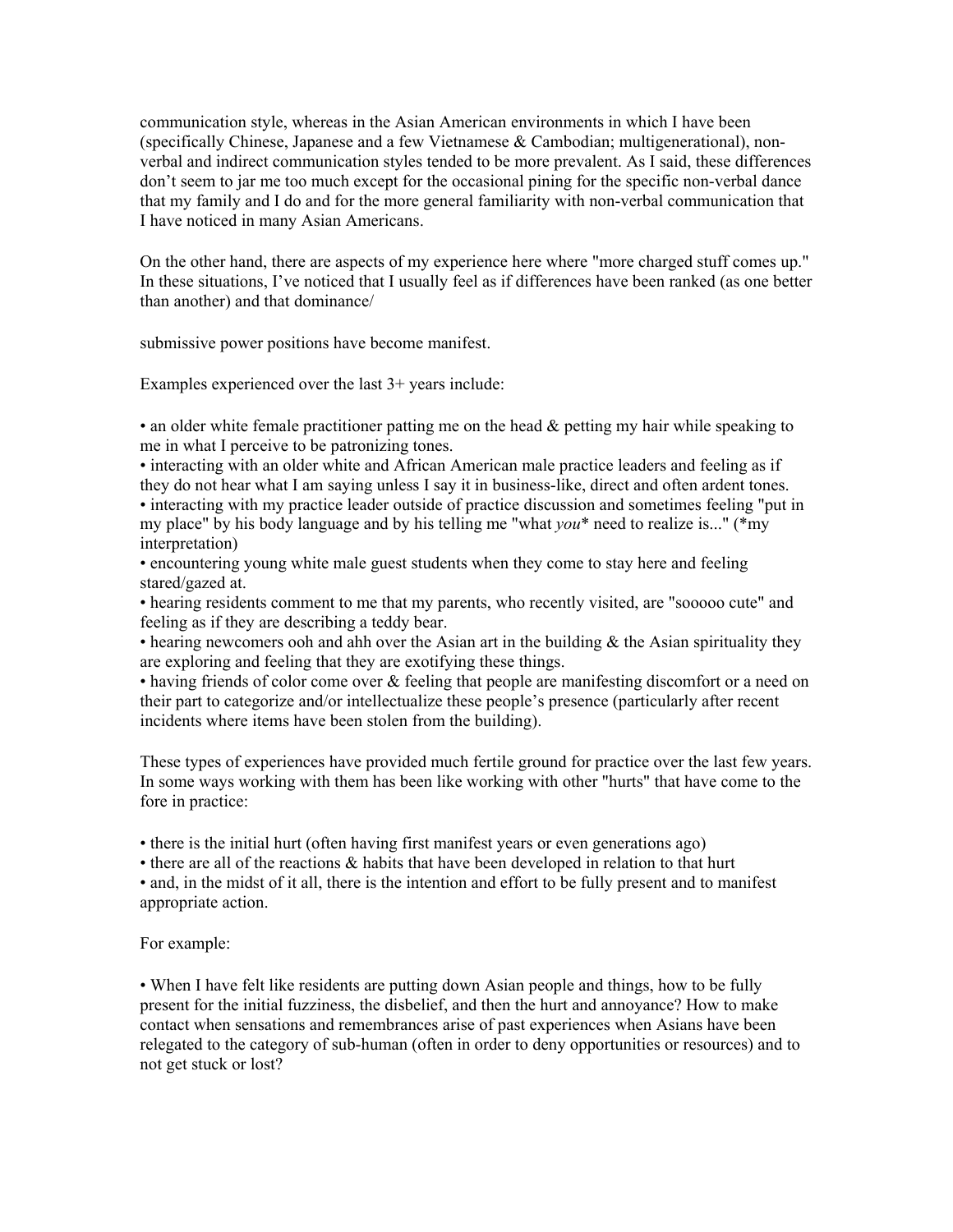communication style, whereas in the Asian American environments in which I have been (specifically Chinese, Japanese and a few Vietnamese  $\&$  Cambodian; multigenerational), nonverbal and indirect communication styles tended to be more prevalent. As I said, these differences don't seem to jar me too much except for the occasional pining for the specific non-verbal dance that my family and I do and for the more general familiarity with non-verbal communication that I have noticed in many Asian Americans.

On the other hand, there are aspects of my experience here where "more charged stuff comes up." In these situations, I've noticed that I usually feel as if differences have been ranked (as one better than another) and that dominance/

submissive power positions have become manifest.

Examples experienced over the last 3+ years include:

• an older white female practitioner patting me on the head & petting my hair while speaking to me in what I perceive to be patronizing tones.

• interacting with an older white and African American male practice leaders and feeling as if they do not hear what I am saying unless I say it in business-like, direct and often ardent tones. • interacting with my practice leader outside of practice discussion and sometimes feeling "put in my place" by his body language and by his telling me "what *you*\* need to realize is..." (\*my interpretation)

• encountering young white male guest students when they come to stay here and feeling stared/gazed at.

• hearing residents comment to me that my parents, who recently visited, are "sooooo cute" and feeling as if they are describing a teddy bear.

• hearing newcomers ooh and ahh over the Asian art in the building & the Asian spirituality they are exploring and feeling that they are exotifying these things.

• having friends of color come over & feeling that people are manifesting discomfort or a need on their part to categorize and/or intellectualize these people's presence (particularly after recent incidents where items have been stolen from the building).

These types of experiences have provided much fertile ground for practice over the last few years. In some ways working with them has been like working with other "hurts" that have come to the fore in practice:

• there is the initial hurt (often having first manifest years or even generations ago)

• there are all of the reactions & habits that have been developed in relation to that hurt

• and, in the midst of it all, there is the intention and effort to be fully present and to manifest appropriate action.

For example:

• When I have felt like residents are putting down Asian people and things, how to be fully present for the initial fuzziness, the disbelief, and then the hurt and annoyance? How to make contact when sensations and remembrances arise of past experiences when Asians have been relegated to the category of sub-human (often in order to deny opportunities or resources) and to not get stuck or lost?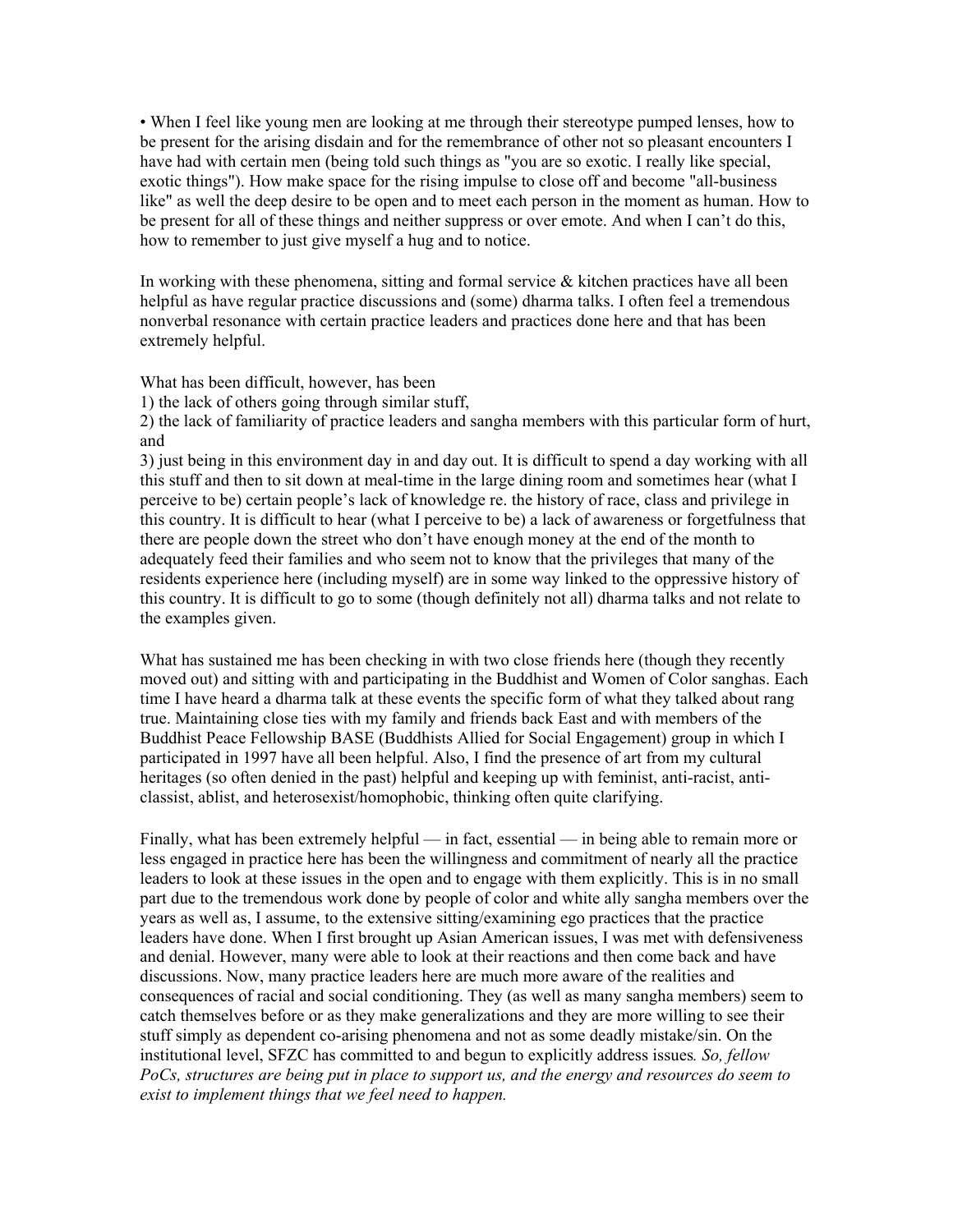• When I feel like young men are looking at me through their stereotype pumped lenses, how to be present for the arising disdain and for the remembrance of other not so pleasant encounters I have had with certain men (being told such things as "you are so exotic. I really like special, exotic things"). How make space for the rising impulse to close off and become "all-business like" as well the deep desire to be open and to meet each person in the moment as human. How to be present for all of these things and neither suppress or over emote. And when I can't do this, how to remember to just give myself a hug and to notice.

In working with these phenomena, sitting and formal service  $\&$  kitchen practices have all been helpful as have regular practice discussions and (some) dharma talks. I often feel a tremendous nonverbal resonance with certain practice leaders and practices done here and that has been extremely helpful.

What has been difficult, however, has been

1) the lack of others going through similar stuff,

2) the lack of familiarity of practice leaders and sangha members with this particular form of hurt, and

3) just being in this environment day in and day out. It is difficult to spend a day working with all this stuff and then to sit down at meal-time in the large dining room and sometimes hear (what I perceive to be) certain people's lack of knowledge re. the history of race, class and privilege in this country. It is difficult to hear (what I perceive to be) a lack of awareness or forgetfulness that there are people down the street who don't have enough money at the end of the month to adequately feed their families and who seem not to know that the privileges that many of the residents experience here (including myself) are in some way linked to the oppressive history of this country. It is difficult to go to some (though definitely not all) dharma talks and not relate to the examples given.

What has sustained me has been checking in with two close friends here (though they recently moved out) and sitting with and participating in the Buddhist and Women of Color sanghas. Each time I have heard a dharma talk at these events the specific form of what they talked about rang true. Maintaining close ties with my family and friends back East and with members of the Buddhist Peace Fellowship BASE (Buddhists Allied for Social Engagement) group in which I participated in 1997 have all been helpful. Also, I find the presence of art from my cultural heritages (so often denied in the past) helpful and keeping up with feminist, anti-racist, anticlassist, ablist, and heterosexist/homophobic, thinking often quite clarifying.

Finally, what has been extremely helpful — in fact, essential — in being able to remain more or less engaged in practice here has been the willingness and commitment of nearly all the practice leaders to look at these issues in the open and to engage with them explicitly. This is in no small part due to the tremendous work done by people of color and white ally sangha members over the years as well as, I assume, to the extensive sitting/examining ego practices that the practice leaders have done. When I first brought up Asian American issues, I was met with defensiveness and denial. However, many were able to look at their reactions and then come back and have discussions. Now, many practice leaders here are much more aware of the realities and consequences of racial and social conditioning. They (as well as many sangha members) seem to catch themselves before or as they make generalizations and they are more willing to see their stuff simply as dependent co-arising phenomena and not as some deadly mistake/sin. On the institutional level, SFZC has committed to and begun to explicitly address issues*. So, fellow PoCs, structures are being put in place to support us, and the energy and resources do seem to exist to implement things that we feel need to happen.*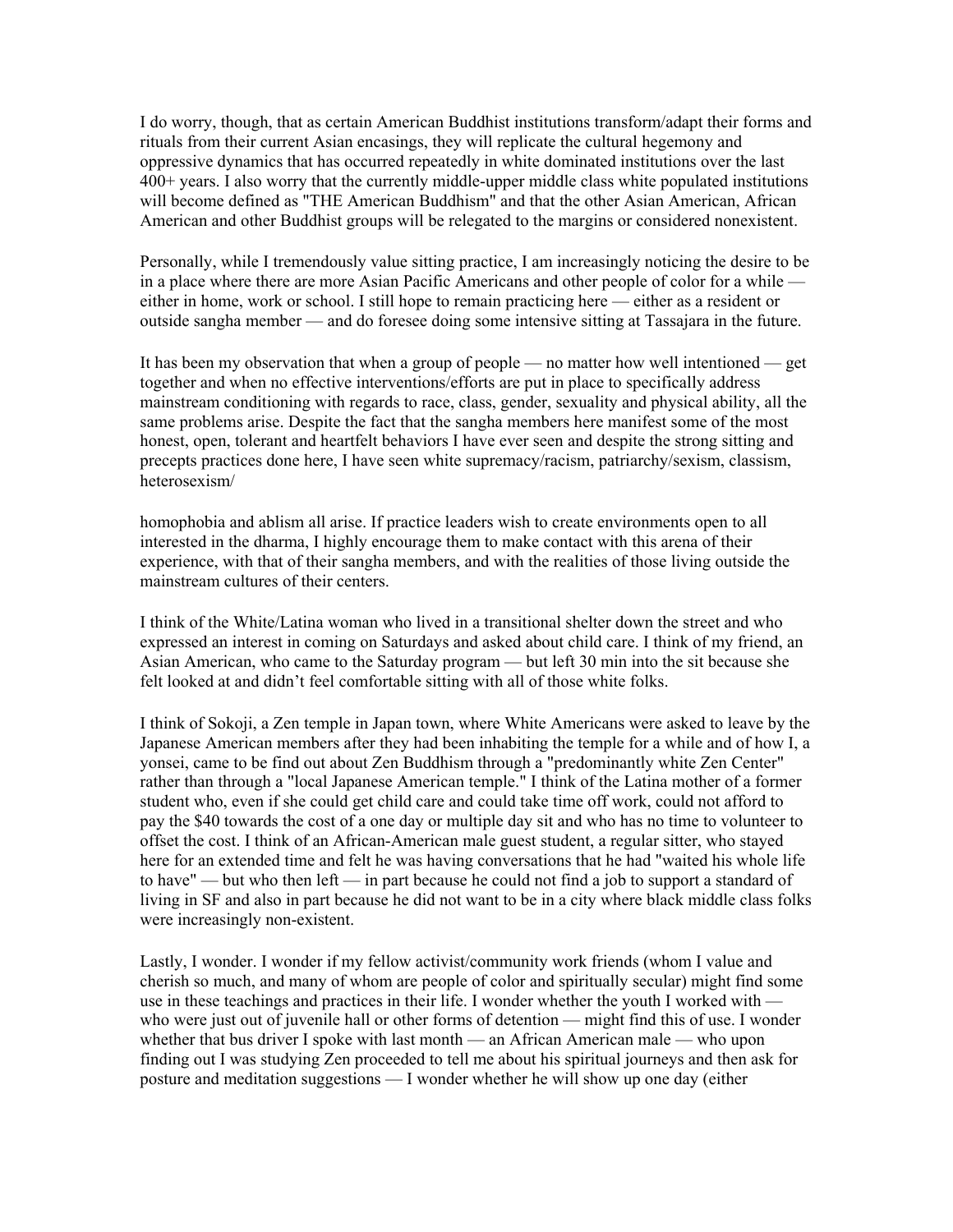I do worry, though, that as certain American Buddhist institutions transform/adapt their forms and rituals from their current Asian encasings, they will replicate the cultural hegemony and oppressive dynamics that has occurred repeatedly in white dominated institutions over the last  $400+$  years. I also worry that the currently middle-upper middle class white populated institutions will become defined as "THE American Buddhism" and that the other Asian American, African American and other Buddhist groups will be relegated to the margins or considered nonexistent.

Personally, while I tremendously value sitting practice, I am increasingly noticing the desire to be in a place where there are more Asian Pacific Americans and other people of color for a while either in home, work or school. I still hope to remain practicing here — either as a resident or outside sangha member — and do foresee doing some intensive sitting at Tassajara in the future.

It has been my observation that when a group of people — no matter how well intentioned — get together and when no effective interventions/efforts are put in place to specifically address mainstream conditioning with regards to race, class, gender, sexuality and physical ability, all the same problems arise. Despite the fact that the sangha members here manifest some of the most honest, open, tolerant and heartfelt behaviors I have ever seen and despite the strong sitting and precepts practices done here, I have seen white supremacy/racism, patriarchy/sexism, classism, heterosexism/

homophobia and ablism all arise. If practice leaders wish to create environments open to all interested in the dharma, I highly encourage them to make contact with this arena of their experience, with that of their sangha members, and with the realities of those living outside the mainstream cultures of their centers.

I think of the White/Latina woman who lived in a transitional shelter down the street and who expressed an interest in coming on Saturdays and asked about child care. I think of my friend, an Asian American, who came to the Saturday program — but left 30 min into the sit because she felt looked at and didn't feel comfortable sitting with all of those white folks.

I think of Sokoji, a Zen temple in Japan town, where White Americans were asked to leave by the Japanese American members after they had been inhabiting the temple for a while and of how I, a yonsei, came to be find out about Zen Buddhism through a "predominantly white Zen Center" rather than through a "local Japanese American temple." I think of the Latina mother of a former student who, even if she could get child care and could take time off work, could not afford to pay the \$40 towards the cost of a one day or multiple day sit and who has no time to volunteer to offset the cost. I think of an African-American male guest student, a regular sitter, who stayed here for an extended time and felt he was having conversations that he had "waited his whole life to have" — but who then left — in part because he could not find a job to support a standard of living in SF and also in part because he did not want to be in a city where black middle class folks were increasingly non-existent.

Lastly, I wonder. I wonder if my fellow activist/community work friends (whom I value and cherish so much, and many of whom are people of color and spiritually secular) might find some use in these teachings and practices in their life. I wonder whether the youth I worked with who were just out of juvenile hall or other forms of detention — might find this of use. I wonder whether that bus driver I spoke with last month — an African American male — who upon finding out I was studying Zen proceeded to tell me about his spiritual journeys and then ask for posture and meditation suggestions — I wonder whether he will show up one day (either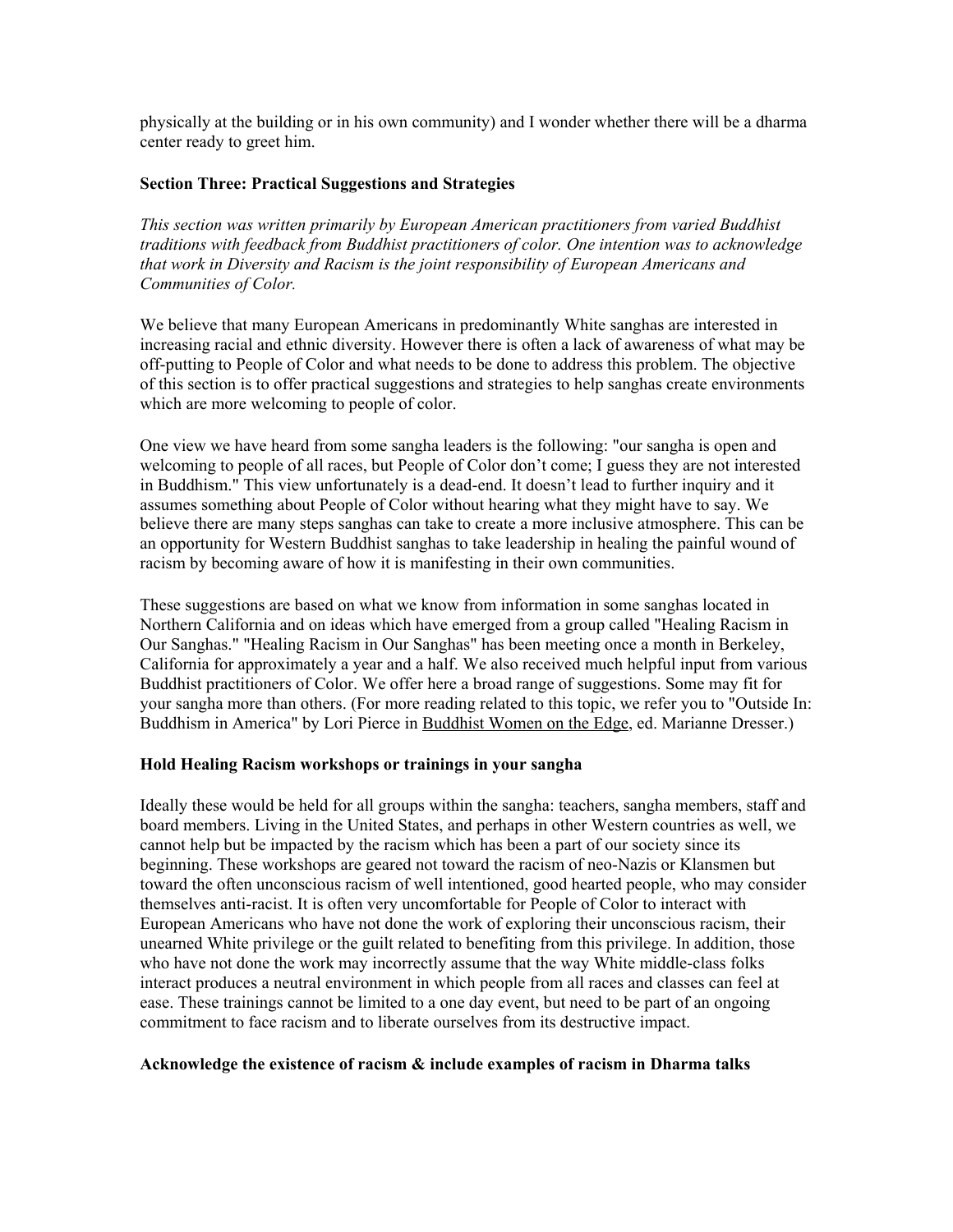physically at the building or in his own community) and I wonder whether there will be a dharma center ready to greet him.

### **Section Three: Practical Suggestions and Strategies**

*This section was written primarily by European American practitioners from varied Buddhist traditions with feedback from Buddhist practitioners of color. One intention was to acknowledge that work in Diversity and Racism is the joint responsibility of European Americans and Communities of Color.* 

We believe that many European Americans in predominantly White sanghas are interested in increasing racial and ethnic diversity. However there is often a lack of awareness of what may be off-putting to People of Color and what needs to be done to address this problem. The objective of this section is to offer practical suggestions and strategies to help sanghas create environments which are more welcoming to people of color.

One view we have heard from some sangha leaders is the following: "our sangha is open and welcoming to people of all races, but People of Color don't come; I guess they are not interested in Buddhism." This view unfortunately is a dead-end. It doesn't lead to further inquiry and it assumes something about People of Color without hearing what they might have to say. We believe there are many steps sanghas can take to create a more inclusive atmosphere. This can be an opportunity for Western Buddhist sanghas to take leadership in healing the painful wound of racism by becoming aware of how it is manifesting in their own communities.

These suggestions are based on what we know from information in some sanghas located in Northern California and on ideas which have emerged from a group called "Healing Racism in Our Sanghas." "Healing Racism in Our Sanghas" has been meeting once a month in Berkeley, California for approximately a year and a half. We also received much helpful input from various Buddhist practitioners of Color. We offer here a broad range of suggestions. Some may fit for your sangha more than others. (For more reading related to this topic, we refer you to "Outside In: Buddhism in America" by Lori Pierce in Buddhist Women on the Edge, ed. Marianne Dresser.)

## **Hold Healing Racism workshops or trainings in your sangha**

Ideally these would be held for all groups within the sangha: teachers, sangha members, staff and board members. Living in the United States, and perhaps in other Western countries as well, we cannot help but be impacted by the racism which has been a part of our society since its beginning. These workshops are geared not toward the racism of neo-Nazis or Klansmen but toward the often unconscious racism of well intentioned, good hearted people, who may consider themselves anti-racist. It is often very uncomfortable for People of Color to interact with European Americans who have not done the work of exploring their unconscious racism, their unearned White privilege or the guilt related to benefiting from this privilege. In addition, those who have not done the work may incorrectly assume that the way White middle-class folks interact produces a neutral environment in which people from all races and classes can feel at ease. These trainings cannot be limited to a one day event, but need to be part of an ongoing commitment to face racism and to liberate ourselves from its destructive impact.

#### **Acknowledge the existence of racism & include examples of racism in Dharma talks**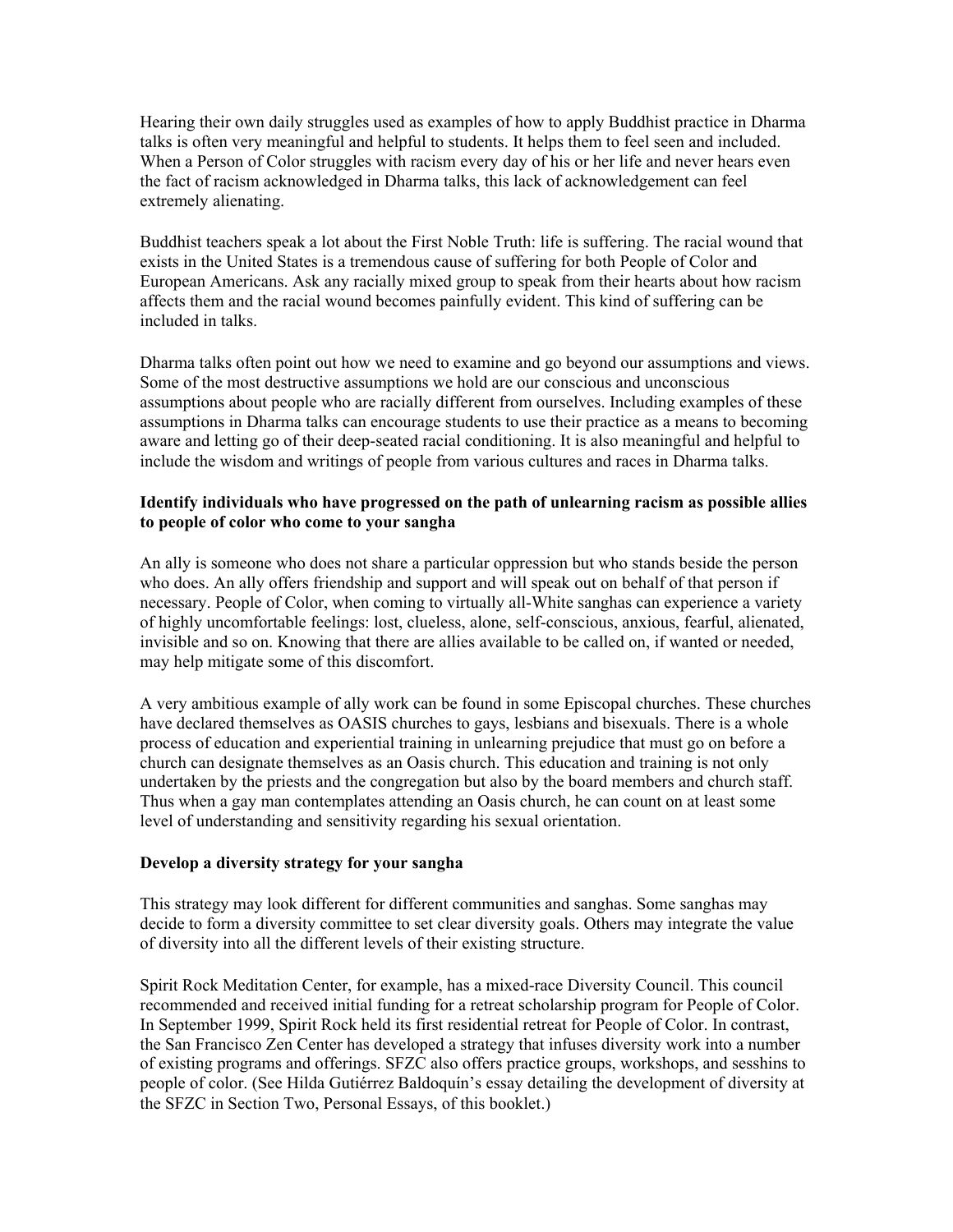Hearing their own daily struggles used as examples of how to apply Buddhist practice in Dharma talks is often very meaningful and helpful to students. It helps them to feel seen and included. When a Person of Color struggles with racism every day of his or her life and never hears even the fact of racism acknowledged in Dharma talks, this lack of acknowledgement can feel extremely alienating.

Buddhist teachers speak a lot about the First Noble Truth: life is suffering. The racial wound that exists in the United States is a tremendous cause of suffering for both People of Color and European Americans. Ask any racially mixed group to speak from their hearts about how racism affects them and the racial wound becomes painfully evident. This kind of suffering can be included in talks.

Dharma talks often point out how we need to examine and go beyond our assumptions and views. Some of the most destructive assumptions we hold are our conscious and unconscious assumptions about people who are racially different from ourselves. Including examples of these assumptions in Dharma talks can encourage students to use their practice as a means to becoming aware and letting go of their deep-seated racial conditioning. It is also meaningful and helpful to include the wisdom and writings of people from various cultures and races in Dharma talks.

## **Identify individuals who have progressed on the path of unlearning racism as possible allies to people of color who come to your sangha**

An ally is someone who does not share a particular oppression but who stands beside the person who does. An ally offers friendship and support and will speak out on behalf of that person if necessary. People of Color, when coming to virtually all-White sanghas can experience a variety of highly uncomfortable feelings: lost, clueless, alone, self-conscious, anxious, fearful, alienated, invisible and so on. Knowing that there are allies available to be called on, if wanted or needed, may help mitigate some of this discomfort.

A very ambitious example of ally work can be found in some Episcopal churches. These churches have declared themselves as OASIS churches to gays, lesbians and bisexuals. There is a whole process of education and experiential training in unlearning prejudice that must go on before a church can designate themselves as an Oasis church. This education and training is not only undertaken by the priests and the congregation but also by the board members and church staff. Thus when a gay man contemplates attending an Oasis church, he can count on at least some level of understanding and sensitivity regarding his sexual orientation.

## **Develop a diversity strategy for your sangha**

This strategy may look different for different communities and sanghas. Some sanghas may decide to form a diversity committee to set clear diversity goals. Others may integrate the value of diversity into all the different levels of their existing structure.

Spirit Rock Meditation Center, for example, has a mixed-race Diversity Council. This council recommended and received initial funding for a retreat scholarship program for People of Color. In September 1999, Spirit Rock held its first residential retreat for People of Color. In contrast, the San Francisco Zen Center has developed a strategy that infuses diversity work into a number of existing programs and offerings. SFZC also offers practice groups, workshops, and sesshins to people of color. (See Hilda Gutiérrez Baldoquín's essay detailing the development of diversity at the SFZC in Section Two, Personal Essays, of this booklet.)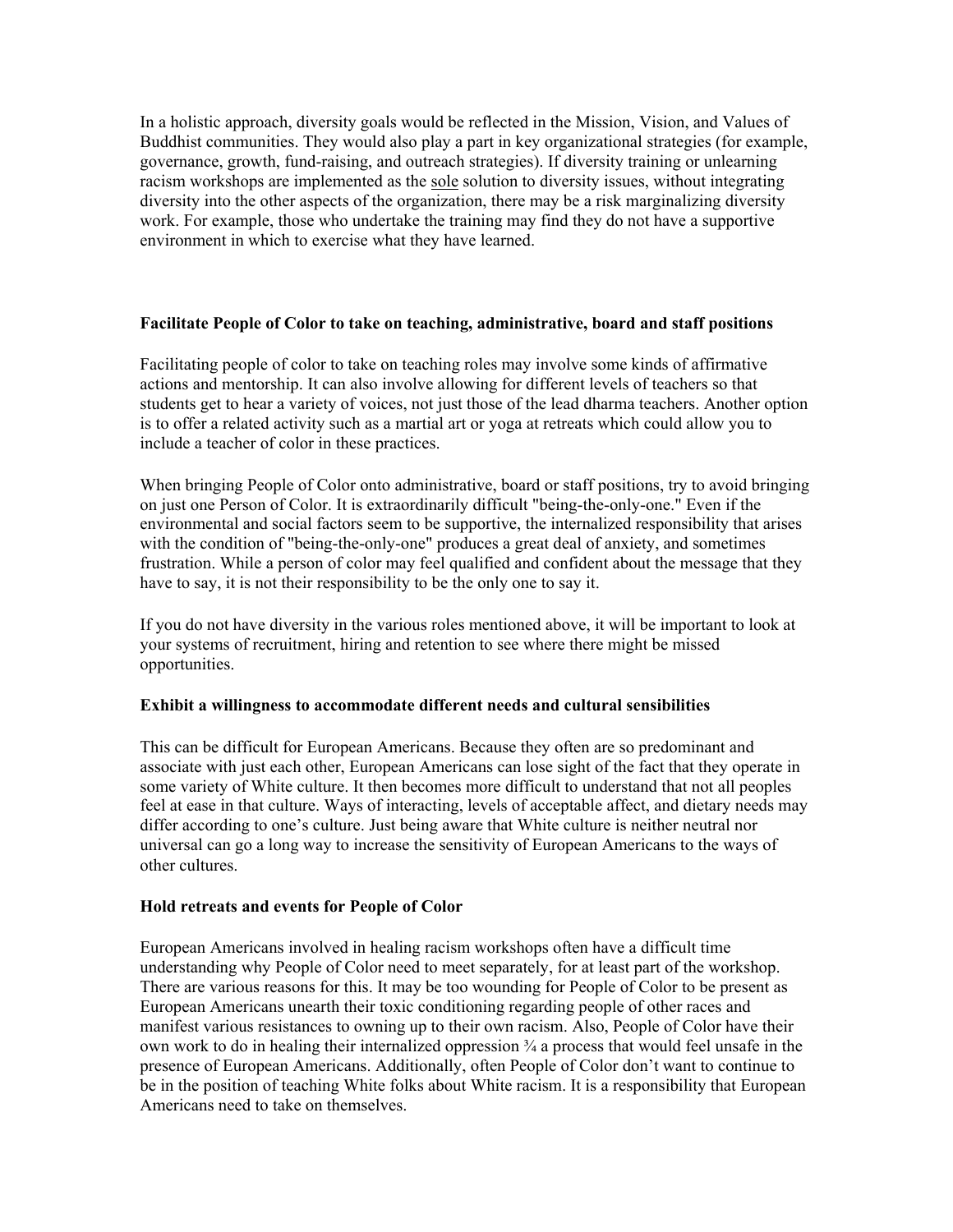In a holistic approach, diversity goals would be reflected in the Mission, Vision, and Values of Buddhist communities. They would also play a part in key organizational strategies (for example, governance, growth, fund-raising, and outreach strategies). If diversity training or unlearning racism workshops are implemented as the sole solution to diversity issues, without integrating diversity into the other aspects of the organization, there may be a risk marginalizing diversity work. For example, those who undertake the training may find they do not have a supportive environment in which to exercise what they have learned.

### **Facilitate People of Color to take on teaching, administrative, board and staff positions**

Facilitating people of color to take on teaching roles may involve some kinds of affirmative actions and mentorship. It can also involve allowing for different levels of teachers so that students get to hear a variety of voices, not just those of the lead dharma teachers. Another option is to offer a related activity such as a martial art or yoga at retreats which could allow you to include a teacher of color in these practices.

When bringing People of Color onto administrative, board or staff positions, try to avoid bringing on just one Person of Color. It is extraordinarily difficult "being-the-only-one." Even if the environmental and social factors seem to be supportive, the internalized responsibility that arises with the condition of "being-the-only-one" produces a great deal of anxiety, and sometimes frustration. While a person of color may feel qualified and confident about the message that they have to say, it is not their responsibility to be the only one to say it.

If you do not have diversity in the various roles mentioned above, it will be important to look at your systems of recruitment, hiring and retention to see where there might be missed opportunities.

#### **Exhibit a willingness to accommodate different needs and cultural sensibilities**

This can be difficult for European Americans. Because they often are so predominant and associate with just each other, European Americans can lose sight of the fact that they operate in some variety of White culture. It then becomes more difficult to understand that not all peoples feel at ease in that culture. Ways of interacting, levels of acceptable affect, and dietary needs may differ according to one's culture. Just being aware that White culture is neither neutral nor universal can go a long way to increase the sensitivity of European Americans to the ways of other cultures.

#### **Hold retreats and events for People of Color**

European Americans involved in healing racism workshops often have a difficult time understanding why People of Color need to meet separately, for at least part of the workshop. There are various reasons for this. It may be too wounding for People of Color to be present as European Americans unearth their toxic conditioning regarding people of other races and manifest various resistances to owning up to their own racism. Also, People of Color have their own work to do in healing their internalized oppression  $\frac{3}{4}$  a process that would feel unsafe in the presence of European Americans. Additionally, often People of Color don't want to continue to be in the position of teaching White folks about White racism. It is a responsibility that European Americans need to take on themselves.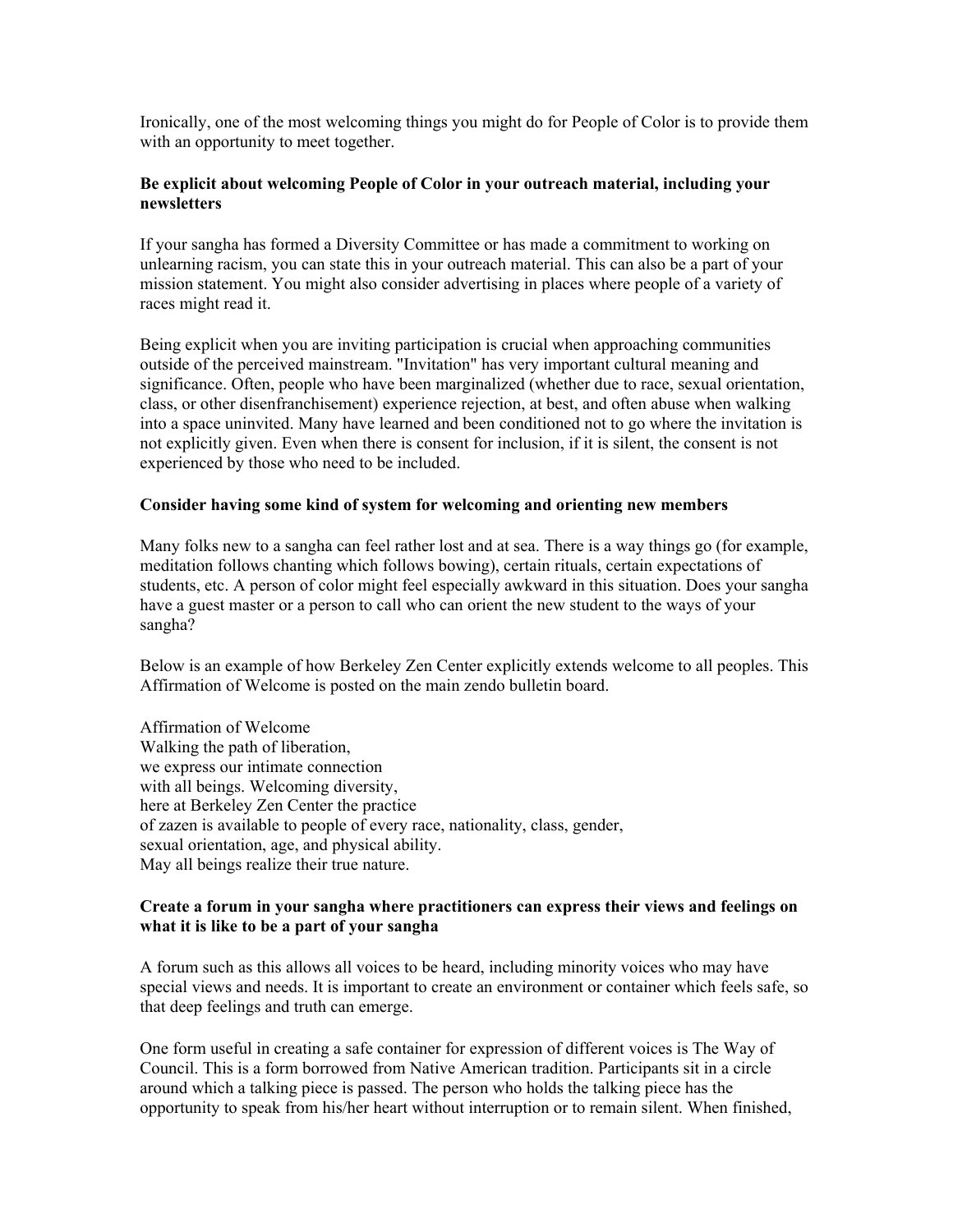Ironically, one of the most welcoming things you might do for People of Color is to provide them with an opportunity to meet together.

## **Be explicit about welcoming People of Color in your outreach material, including your newsletters**

If your sangha has formed a Diversity Committee or has made a commitment to working on unlearning racism, you can state this in your outreach material. This can also be a part of your mission statement. You might also consider advertising in places where people of a variety of races might read it.

Being explicit when you are inviting participation is crucial when approaching communities outside of the perceived mainstream. "Invitation" has very important cultural meaning and significance. Often, people who have been marginalized (whether due to race, sexual orientation, class, or other disenfranchisement) experience rejection, at best, and often abuse when walking into a space uninvited. Many have learned and been conditioned not to go where the invitation is not explicitly given. Even when there is consent for inclusion, if it is silent, the consent is not experienced by those who need to be included.

### **Consider having some kind of system for welcoming and orienting new members**

Many folks new to a sangha can feel rather lost and at sea. There is a way things go (for example, meditation follows chanting which follows bowing), certain rituals, certain expectations of students, etc. A person of color might feel especially awkward in this situation. Does your sangha have a guest master or a person to call who can orient the new student to the ways of your sangha?

Below is an example of how Berkeley Zen Center explicitly extends welcome to all peoples. This Affirmation of Welcome is posted on the main zendo bulletin board.

Affirmation of Welcome Walking the path of liberation, we express our intimate connection with all beings. Welcoming diversity, here at Berkeley Zen Center the practice of zazen is available to people of every race, nationality, class, gender, sexual orientation, age, and physical ability. May all beings realize their true nature.

### **Create a forum in your sangha where practitioners can express their views and feelings on what it is like to be a part of your sangha**

A forum such as this allows all voices to be heard, including minority voices who may have special views and needs. It is important to create an environment or container which feels safe, so that deep feelings and truth can emerge.

One form useful in creating a safe container for expression of different voices is The Way of Council. This is a form borrowed from Native American tradition. Participants sit in a circle around which a talking piece is passed. The person who holds the talking piece has the opportunity to speak from his/her heart without interruption or to remain silent. When finished,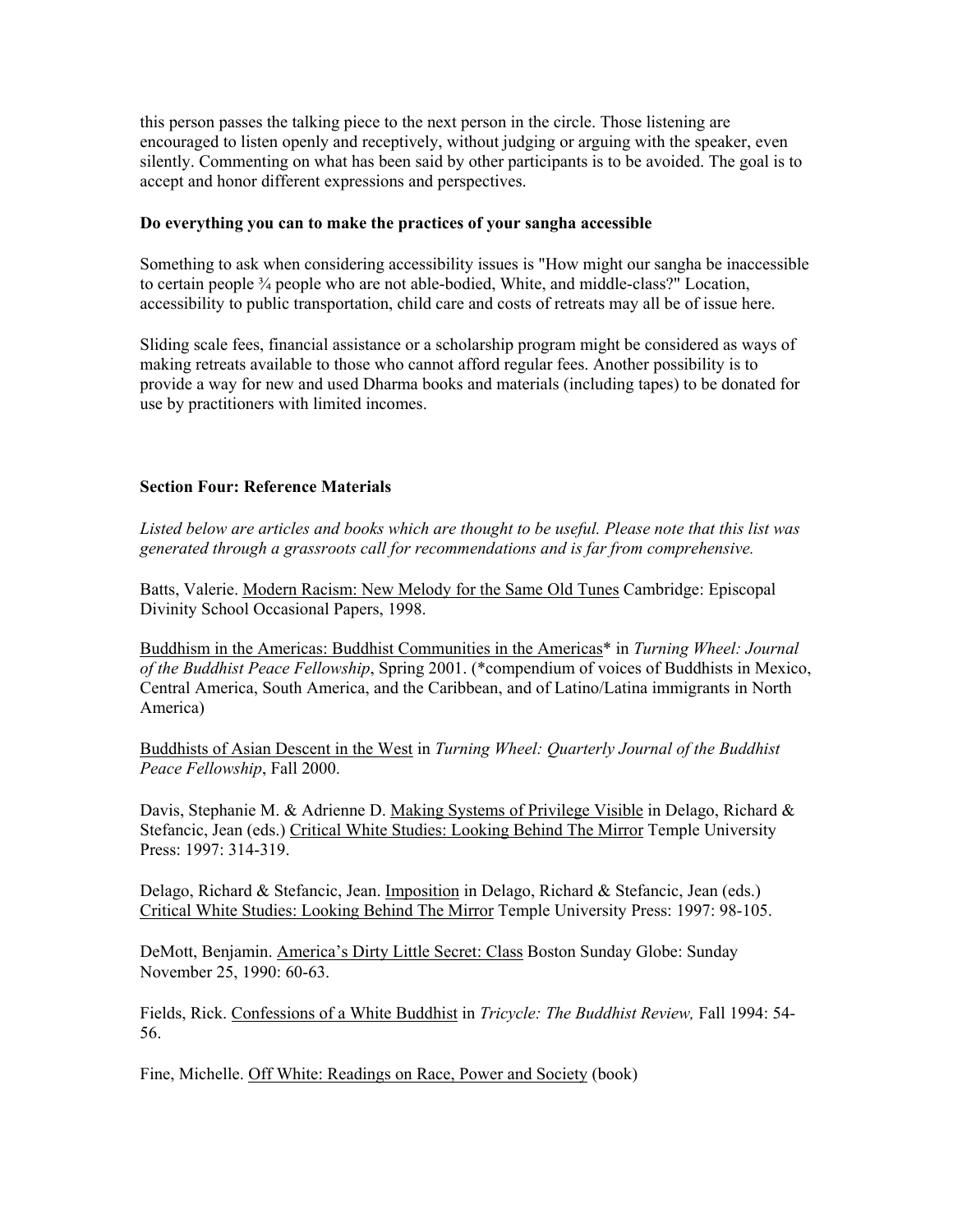this person passes the talking piece to the next person in the circle. Those listening are encouraged to listen openly and receptively, without judging or arguing with the speaker, even silently. Commenting on what has been said by other participants is to be avoided. The goal is to accept and honor different expressions and perspectives.

### **Do everything you can to make the practices of your sangha accessible**

Something to ask when considering accessibility issues is "How might our sangha be inaccessible to certain people ¾ people who are not able-bodied, White, and middle-class?" Location, accessibility to public transportation, child care and costs of retreats may all be of issue here.

Sliding scale fees, financial assistance or a scholarship program might be considered as ways of making retreats available to those who cannot afford regular fees. Another possibility is to provide a way for new and used Dharma books and materials (including tapes) to be donated for use by practitioners with limited incomes.

### **Section Four: Reference Materials**

*Listed below are articles and books which are thought to be useful. Please note that this list was generated through a grassroots call for recommendations and is far from comprehensive.* 

Batts, Valerie. Modern Racism: New Melody for the Same Old Tunes Cambridge: Episcopal Divinity School Occasional Papers, 1998.

Buddhism in the Americas: Buddhist Communities in the Americas\* in *Turning Wheel: Journal of the Buddhist Peace Fellowship*, Spring 2001. (\*compendium of voices of Buddhists in Mexico, Central America, South America, and the Caribbean, and of Latino/Latina immigrants in North America)

Buddhists of Asian Descent in the West in *Turning Wheel: Quarterly Journal of the Buddhist Peace Fellowship*, Fall 2000.

Davis, Stephanie M. & Adrienne D. Making Systems of Privilege Visible in Delago, Richard & Stefancic, Jean (eds.) Critical White Studies: Looking Behind The Mirror Temple University Press: 1997: 314-319.

Delago, Richard & Stefancic, Jean. Imposition in Delago, Richard & Stefancic, Jean (eds.) Critical White Studies: Looking Behind The Mirror Temple University Press: 1997: 98-105.

DeMott, Benjamin. America's Dirty Little Secret: Class Boston Sunday Globe: Sunday November 25, 1990: 60-63.

Fields, Rick. Confessions of a White Buddhist in *Tricycle: The Buddhist Review,* Fall 1994: 54- 56.

Fine, Michelle. Off White: Readings on Race, Power and Society (book)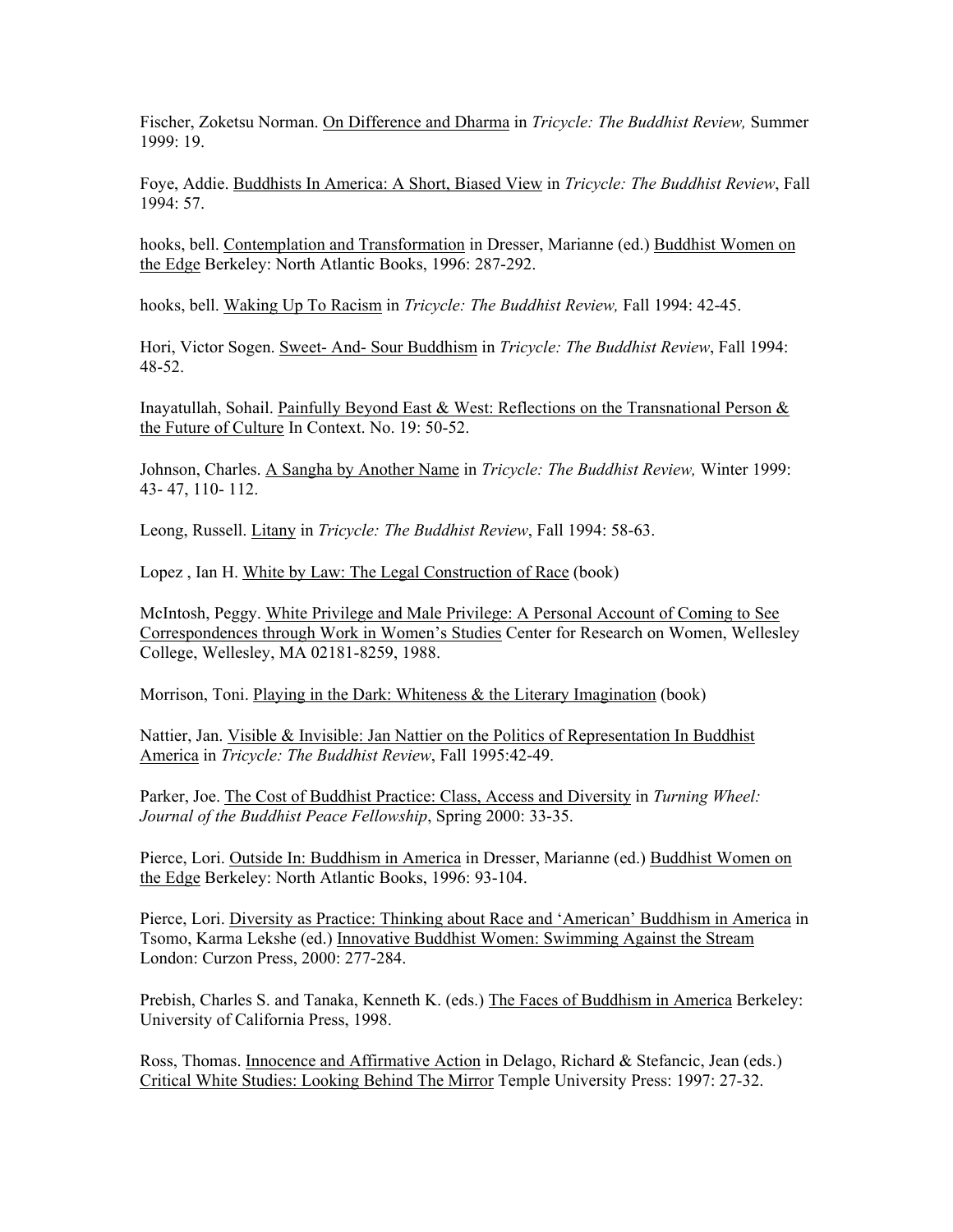Fischer, Zoketsu Norman. On Difference and Dharma in *Tricycle: The Buddhist Review,* Summer 1999: 19.

Foye, Addie. Buddhists In America: A Short, Biased View in *Tricycle: The Buddhist Review*, Fall 1994: 57.

hooks, bell. Contemplation and Transformation in Dresser, Marianne (ed.) Buddhist Women on the Edge Berkeley: North Atlantic Books, 1996: 287-292.

hooks, bell. Waking Up To Racism in *Tricycle: The Buddhist Review,* Fall 1994: 42-45.

Hori, Victor Sogen. Sweet- And- Sour Buddhism in *Tricycle: The Buddhist Review*, Fall 1994: 48-52.

Inayatullah, Sohail. Painfully Beyond East & West: Reflections on the Transnational Person & the Future of Culture In Context. No. 19: 50-52.

Johnson, Charles. A Sangha by Another Name in *Tricycle: The Buddhist Review,* Winter 1999: 43- 47, 110- 112.

Leong, Russell. Litany in *Tricycle: The Buddhist Review*, Fall 1994: 58-63.

Lopez , Ian H. White by Law: The Legal Construction of Race (book)

McIntosh, Peggy. White Privilege and Male Privilege: A Personal Account of Coming to See Correspondences through Work in Women's Studies Center for Research on Women, Wellesley College, Wellesley, MA 02181-8259, 1988.

Morrison, Toni. Playing in the Dark: Whiteness & the Literary Imagination (book)

Nattier, Jan. Visible & Invisible: Jan Nattier on the Politics of Representation In Buddhist America in *Tricycle: The Buddhist Review*, Fall 1995:42-49.

Parker, Joe. The Cost of Buddhist Practice: Class, Access and Diversity in *Turning Wheel: Journal of the Buddhist Peace Fellowship*, Spring 2000: 33-35.

Pierce, Lori. Outside In: Buddhism in America in Dresser, Marianne (ed.) Buddhist Women on the Edge Berkeley: North Atlantic Books, 1996: 93-104.

Pierce, Lori. Diversity as Practice: Thinking about Race and 'American' Buddhism in America in Tsomo, Karma Lekshe (ed.) Innovative Buddhist Women: Swimming Against the Stream London: Curzon Press, 2000: 277-284.

Prebish, Charles S. and Tanaka, Kenneth K. (eds.) The Faces of Buddhism in America Berkeley: University of California Press, 1998.

Ross, Thomas. Innocence and Affirmative Action in Delago, Richard & Stefancic, Jean (eds.) Critical White Studies: Looking Behind The Mirror Temple University Press: 1997: 27-32.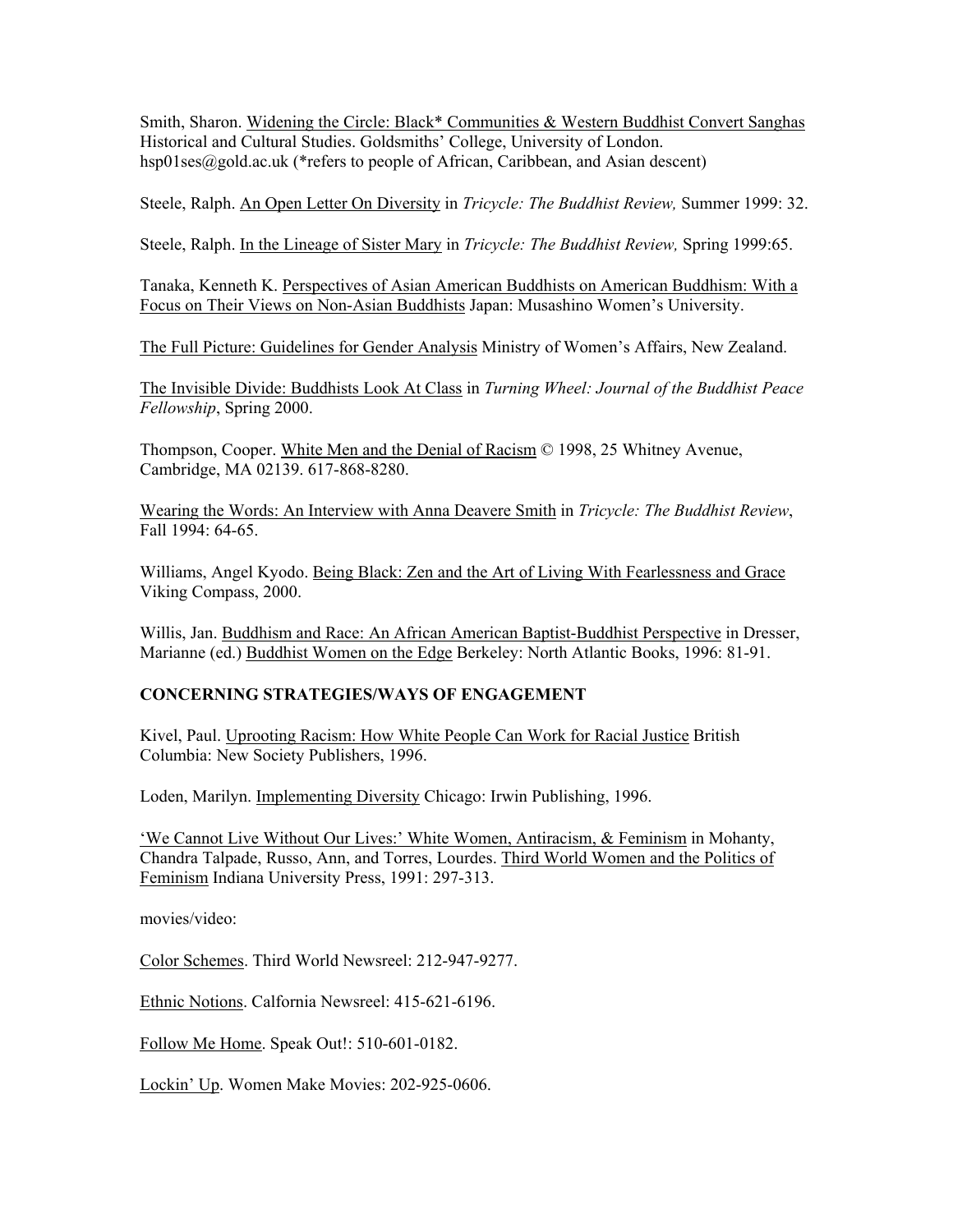Smith, Sharon. Widening the Circle: Black\* Communities & Western Buddhist Convert Sanghas Historical and Cultural Studies. Goldsmiths' College, University of London. hsp01ses@gold.ac.uk (\*refers to people of African, Caribbean, and Asian descent)

Steele, Ralph. An Open Letter On Diversity in *Tricycle: The Buddhist Review,* Summer 1999: 32.

Steele, Ralph. In the Lineage of Sister Mary in *Tricycle: The Buddhist Review,* Spring 1999:65.

Tanaka, Kenneth K. Perspectives of Asian American Buddhists on American Buddhism: With a Focus on Their Views on Non-Asian Buddhists Japan: Musashino Women's University.

The Full Picture: Guidelines for Gender Analysis Ministry of Women's Affairs, New Zealand.

The Invisible Divide: Buddhists Look At Class in *Turning Wheel: Journal of the Buddhist Peace Fellowship*, Spring 2000.

Thompson, Cooper. White Men and the Denial of Racism © 1998, 25 Whitney Avenue, Cambridge, MA 02139. 617-868-8280.

Wearing the Words: An Interview with Anna Deavere Smith in *Tricycle: The Buddhist Review*, Fall 1994: 64-65.

Williams, Angel Kyodo. Being Black: Zen and the Art of Living With Fearlessness and Grace Viking Compass, 2000.

Willis, Jan. Buddhism and Race: An African American Baptist-Buddhist Perspective in Dresser, Marianne (ed.) Buddhist Women on the Edge Berkeley: North Atlantic Books, 1996: 81-91.

## **CONCERNING STRATEGIES/WAYS OF ENGAGEMENT**

Kivel, Paul. Uprooting Racism: How White People Can Work for Racial Justice British Columbia: New Society Publishers, 1996.

Loden, Marilyn. Implementing Diversity Chicago: Irwin Publishing, 1996.

'We Cannot Live Without Our Lives:' White Women, Antiracism, & Feminism in Mohanty, Chandra Talpade, Russo, Ann, and Torres, Lourdes. Third World Women and the Politics of Feminism Indiana University Press, 1991: 297-313.

movies/video:

Color Schemes. Third World Newsreel: 212-947-9277.

Ethnic Notions. Calfornia Newsreel: 415-621-6196.

Follow Me Home. Speak Out!: 510-601-0182.

Lockin' Up. Women Make Movies: 202-925-0606.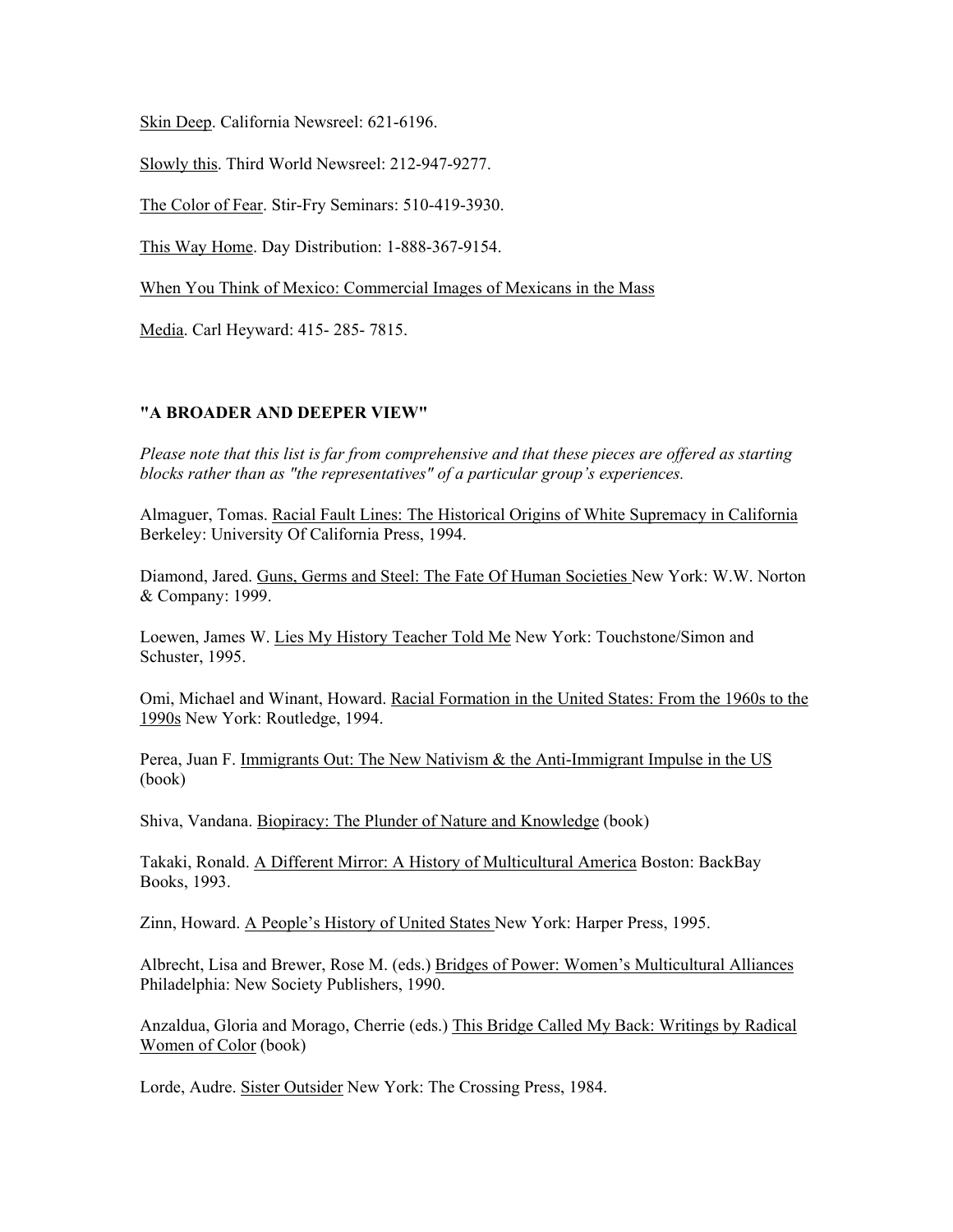Skin Deep. California Newsreel: 621-6196.

Slowly this. Third World Newsreel: 212-947-9277.

The Color of Fear. Stir-Fry Seminars: 510-419-3930.

This Way Home. Day Distribution: 1-888-367-9154.

When You Think of Mexico: Commercial Images of Mexicans in the Mass

Media. Carl Heyward: 415- 285- 7815.

## **"A BROADER AND DEEPER VIEW"**

*Please note that this list is far from comprehensive and that these pieces are offered as starting blocks rather than as "the representatives" of a particular group's experiences.* 

Almaguer, Tomas. Racial Fault Lines: The Historical Origins of White Supremacy in California Berkeley: University Of California Press, 1994.

Diamond, Jared. Guns, Germs and Steel: The Fate Of Human Societies New York: W.W. Norton & Company: 1999.

Loewen, James W. Lies My History Teacher Told Me New York: Touchstone/Simon and Schuster, 1995.

Omi, Michael and Winant, Howard. Racial Formation in the United States: From the 1960s to the 1990s New York: Routledge, 1994.

Perea, Juan F. Immigrants Out: The New Nativism & the Anti-Immigrant Impulse in the US (book)

Shiva, Vandana. Biopiracy: The Plunder of Nature and Knowledge (book)

Takaki, Ronald. A Different Mirror: A History of Multicultural America Boston: BackBay Books, 1993.

Zinn, Howard. A People's History of United States New York: Harper Press, 1995.

Albrecht, Lisa and Brewer, Rose M. (eds.) Bridges of Power: Women's Multicultural Alliances Philadelphia: New Society Publishers, 1990.

Anzaldua, Gloria and Morago, Cherrie (eds.) This Bridge Called My Back: Writings by Radical Women of Color (book)

Lorde, Audre. Sister Outsider New York: The Crossing Press, 1984.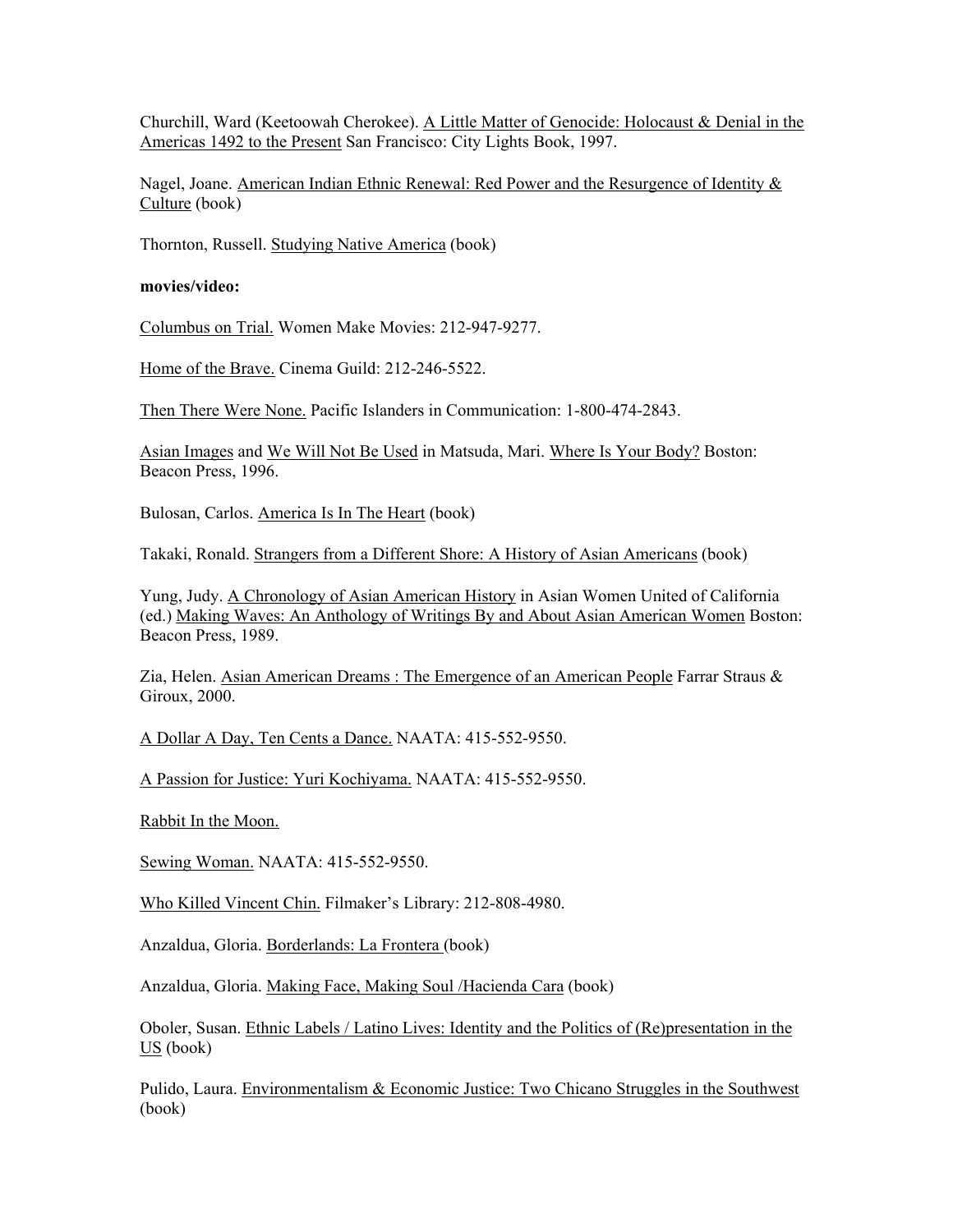Churchill, Ward (Keetoowah Cherokee). A Little Matter of Genocide: Holocaust & Denial in the Americas 1492 to the Present San Francisco: City Lights Book, 1997.

Nagel, Joane. American Indian Ethnic Renewal: Red Power and the Resurgence of Identity  $\&$ Culture (book)

Thornton, Russell. Studying Native America (book)

### **movies/video:**

Columbus on Trial. Women Make Movies: 212-947-9277.

Home of the Brave. Cinema Guild: 212-246-5522.

Then There Were None. Pacific Islanders in Communication: 1-800-474-2843.

Asian Images and We Will Not Be Used in Matsuda, Mari. Where Is Your Body? Boston: Beacon Press, 1996.

Bulosan, Carlos. America Is In The Heart (book)

Takaki, Ronald. Strangers from a Different Shore: A History of Asian Americans (book)

Yung, Judy. A Chronology of Asian American History in Asian Women United of California (ed.) Making Waves: An Anthology of Writings By and About Asian American Women Boston: Beacon Press, 1989.

Zia, Helen. Asian American Dreams : The Emergence of an American People Farrar Straus  $\&$ Giroux, 2000.

A Dollar A Day, Ten Cents a Dance. NAATA: 415-552-9550.

A Passion for Justice: Yuri Kochiyama. NAATA: 415-552-9550.

Rabbit In the Moon.

Sewing Woman. NAATA: 415-552-9550.

Who Killed Vincent Chin. Filmaker's Library: 212-808-4980.

Anzaldua, Gloria. Borderlands: La Frontera (book)

Anzaldua, Gloria. Making Face, Making Soul /Hacienda Cara (book)

Oboler, Susan. Ethnic Labels / Latino Lives: Identity and the Politics of (Re)presentation in the US (book)

Pulido, Laura. Environmentalism & Economic Justice: Two Chicano Struggles in the Southwest (book)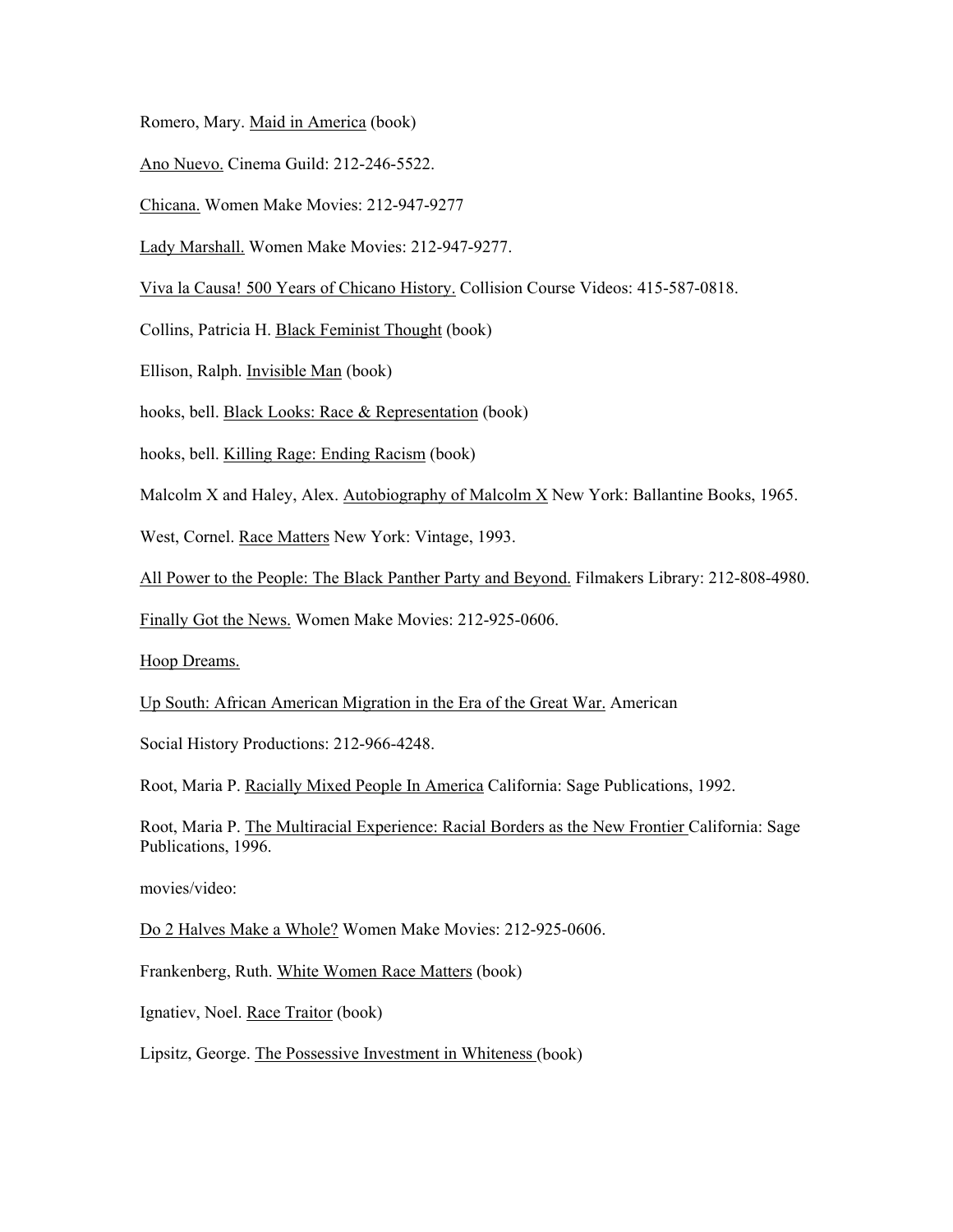Romero, Mary. Maid in America (book)

Ano Nuevo. Cinema Guild: 212-246-5522.

Chicana. Women Make Movies: 212-947-9277

Lady Marshall. Women Make Movies: 212-947-9277.

Viva la Causa! 500 Years of Chicano History. Collision Course Videos: 415-587-0818.

Collins, Patricia H. Black Feminist Thought (book)

Ellison, Ralph. Invisible Man (book)

hooks, bell. Black Looks: Race & Representation (book)

hooks, bell. Killing Rage: Ending Racism (book)

Malcolm X and Haley, Alex. Autobiography of Malcolm X New York: Ballantine Books, 1965.

West, Cornel. Race Matters New York: Vintage, 1993.

All Power to the People: The Black Panther Party and Beyond. Filmakers Library: 212-808-4980.

Finally Got the News. Women Make Movies: 212-925-0606.

Hoop Dreams.

Up South: African American Migration in the Era of the Great War. American

Social History Productions: 212-966-4248.

Root, Maria P. Racially Mixed People In America California: Sage Publications, 1992.

Root, Maria P. The Multiracial Experience: Racial Borders as the New Frontier California: Sage Publications, 1996.

movies/video:

Do 2 Halves Make a Whole? Women Make Movies: 212-925-0606.

Frankenberg, Ruth. White Women Race Matters (book)

Ignatiev, Noel. Race Traitor (book)

Lipsitz, George. The Possessive Investment in Whiteness (book)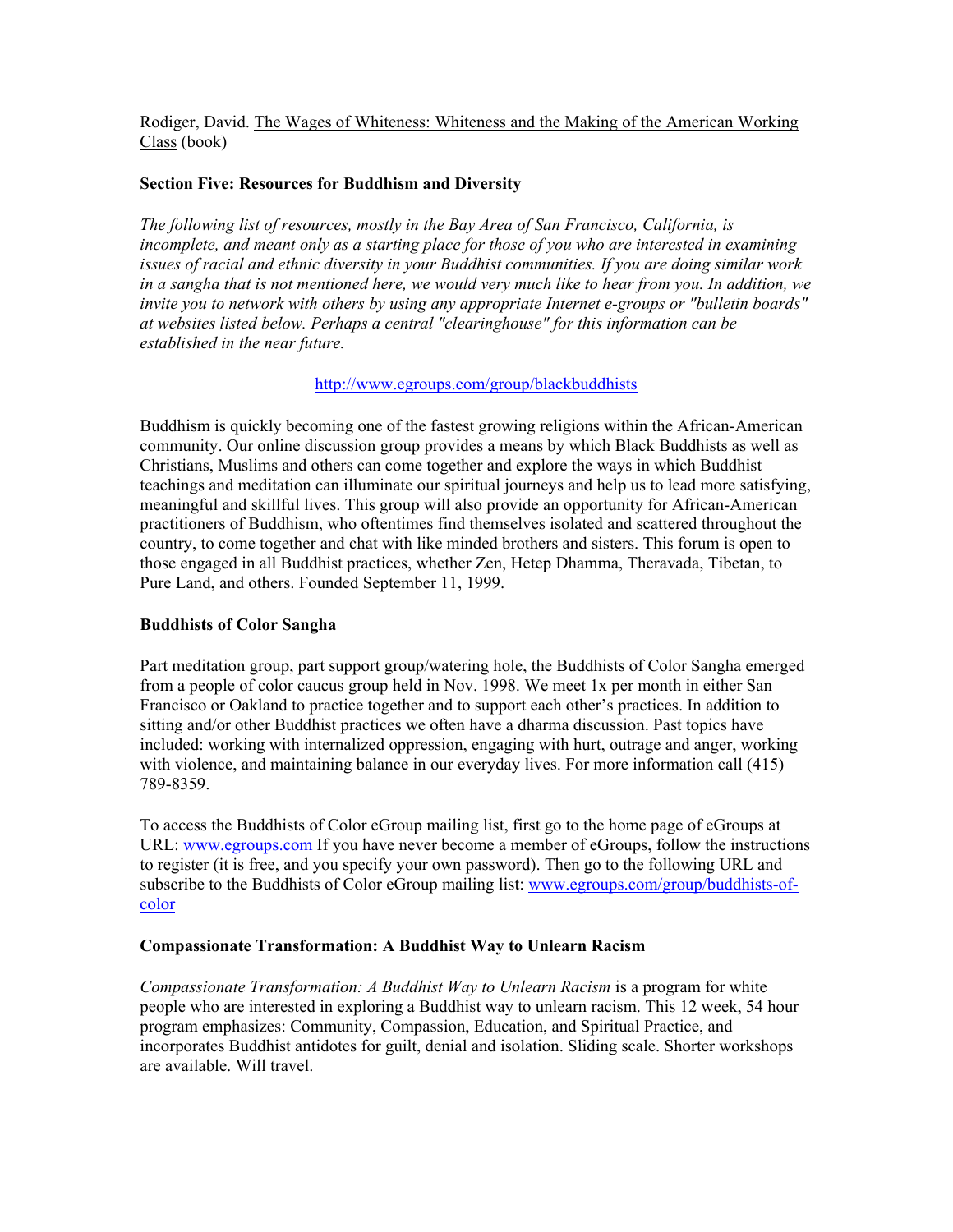Rodiger, David. The Wages of Whiteness: Whiteness and the Making of the American Working Class (book)

## **Section Five: Resources for Buddhism and Diversity**

*The following list of resources, mostly in the Bay Area of San Francisco, California, is incomplete, and meant only as a starting place for those of you who are interested in examining issues of racial and ethnic diversity in your Buddhist communities. If you are doing similar work in a sangha that is not mentioned here, we would very much like to hear from you. In addition, we invite you to network with others by using any appropriate Internet e-groups or "bulletin boards" at websites listed below. Perhaps a central "clearinghouse" for this information can be established in the near future.* 

http://www.egroups.com/group/blackbuddhists

Buddhism is quickly becoming one of the fastest growing religions within the African-American community. Our online discussion group provides a means by which Black Buddhists as well as Christians, Muslims and others can come together and explore the ways in which Buddhist teachings and meditation can illuminate our spiritual journeys and help us to lead more satisfying, meaningful and skillful lives. This group will also provide an opportunity for African-American practitioners of Buddhism, who oftentimes find themselves isolated and scattered throughout the country, to come together and chat with like minded brothers and sisters. This forum is open to those engaged in all Buddhist practices, whether Zen, Hetep Dhamma, Theravada, Tibetan, to Pure Land, and others. Founded September 11, 1999.

## **Buddhists of Color Sangha**

Part meditation group, part support group/watering hole, the Buddhists of Color Sangha emerged from a people of color caucus group held in Nov. 1998. We meet 1x per month in either San Francisco or Oakland to practice together and to support each other's practices. In addition to sitting and/or other Buddhist practices we often have a dharma discussion. Past topics have included: working with internalized oppression, engaging with hurt, outrage and anger, working with violence, and maintaining balance in our everyday lives. For more information call (415) 789-8359.

To access the Buddhists of Color eGroup mailing list, first go to the home page of eGroups at URL: www.egroups.com If you have never become a member of eGroups, follow the instructions to register (it is free, and you specify your own password). Then go to the following URL and subscribe to the Buddhists of Color eGroup mailing list: www.egroups.com/group/buddhists-ofcolor

## **Compassionate Transformation: A Buddhist Way to Unlearn Racism**

*Compassionate Transformation: A Buddhist Way to Unlearn Racism* is a program for white people who are interested in exploring a Buddhist way to unlearn racism. This 12 week, 54 hour program emphasizes: Community, Compassion, Education, and Spiritual Practice, and incorporates Buddhist antidotes for guilt, denial and isolation. Sliding scale. Shorter workshops are available. Will travel.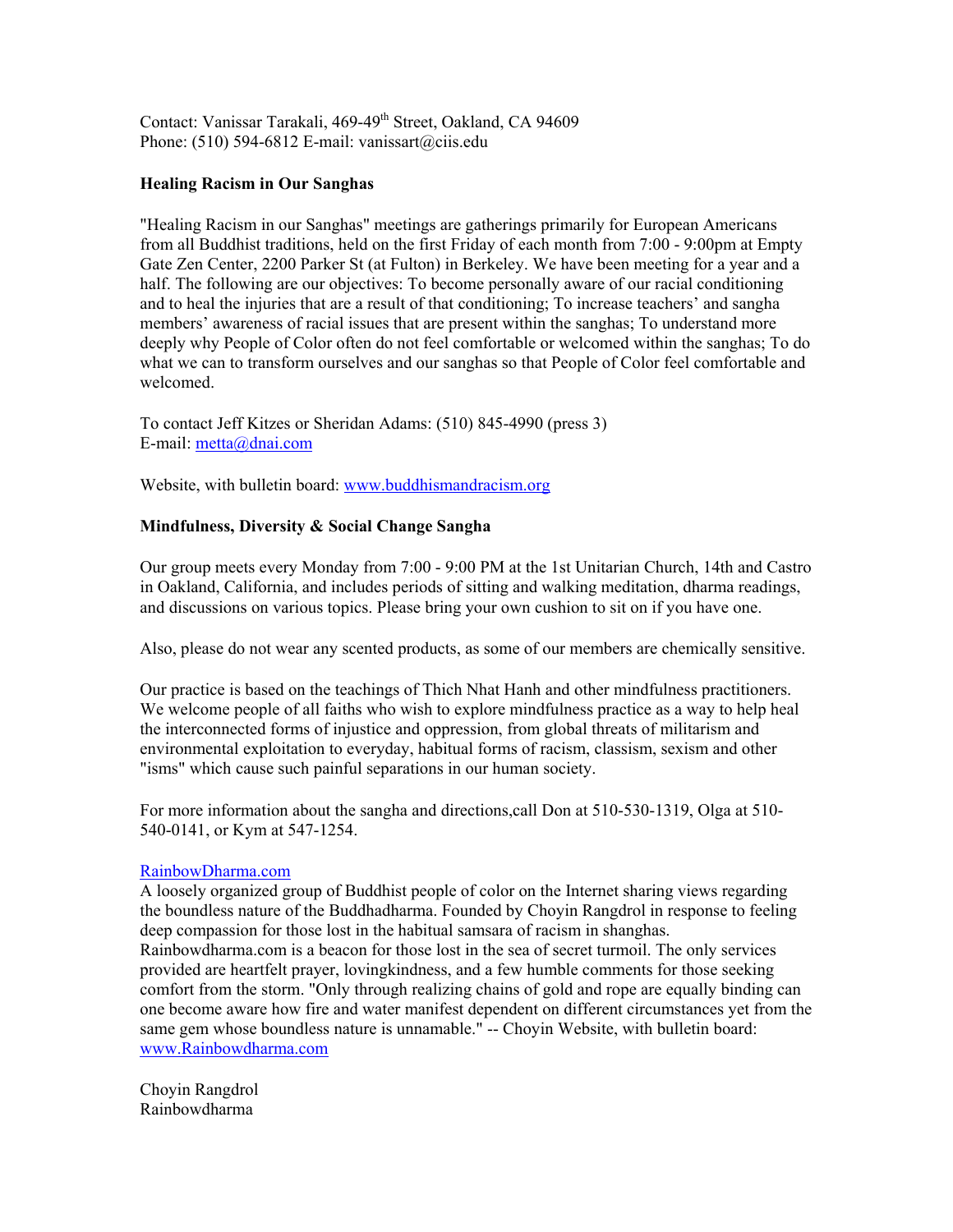Contact: Vanissar Tarakali, 469-49<sup>th</sup> Street, Oakland, CA 94609 Phone:  $(510)$  594-6812 E-mail: vanissart@ciis.edu

## **Healing Racism in Our Sanghas**

"Healing Racism in our Sanghas" meetings are gatherings primarily for European Americans from all Buddhist traditions, held on the first Friday of each month from 7:00 - 9:00pm at Empty Gate Zen Center, 2200 Parker St (at Fulton) in Berkeley. We have been meeting for a year and a half. The following are our objectives: To become personally aware of our racial conditioning and to heal the injuries that are a result of that conditioning; To increase teachers' and sangha members' awareness of racial issues that are present within the sanghas; To understand more deeply why People of Color often do not feel comfortable or welcomed within the sanghas; To do what we can to transform ourselves and our sanghas so that People of Color feel comfortable and welcomed.

To contact Jeff Kitzes or Sheridan Adams: (510) 845-4990 (press 3) E-mail: metta@dnai.com

Website, with bulletin board: www.buddhismandracism.org

# **Mindfulness, Diversity & Social Change Sangha**

Our group meets every Monday from 7:00 - 9:00 PM at the 1st Unitarian Church, 14th and Castro in Oakland, California, and includes periods of sitting and walking meditation, dharma readings, and discussions on various topics. Please bring your own cushion to sit on if you have one.

Also, please do not wear any scented products, as some of our members are chemically sensitive.

Our practice is based on the teachings of Thich Nhat Hanh and other mindfulness practitioners. We welcome people of all faiths who wish to explore mindfulness practice as a way to help heal the interconnected forms of injustice and oppression, from global threats of militarism and environmental exploitation to everyday, habitual forms of racism, classism, sexism and other "isms" which cause such painful separations in our human society.

For more information about the sangha and directions,call Don at 510-530-1319, Olga at 510- 540-0141, or Kym at 547-1254.

## RainbowDharma.com

A loosely organized group of Buddhist people of color on the Internet sharing views regarding the boundless nature of the Buddhadharma. Founded by Choyin Rangdrol in response to feeling deep compassion for those lost in the habitual samsara of racism in shanghas. Rainbowdharma.com is a beacon for those lost in the sea of secret turmoil. The only services provided are heartfelt prayer, lovingkindness, and a few humble comments for those seeking comfort from the storm. "Only through realizing chains of gold and rope are equally binding can one become aware how fire and water manifest dependent on different circumstances yet from the same gem whose boundless nature is unnamable." -- Choyin Website, with bulletin board: www.Rainbowdharma.com

Choyin Rangdrol Rainbowdharma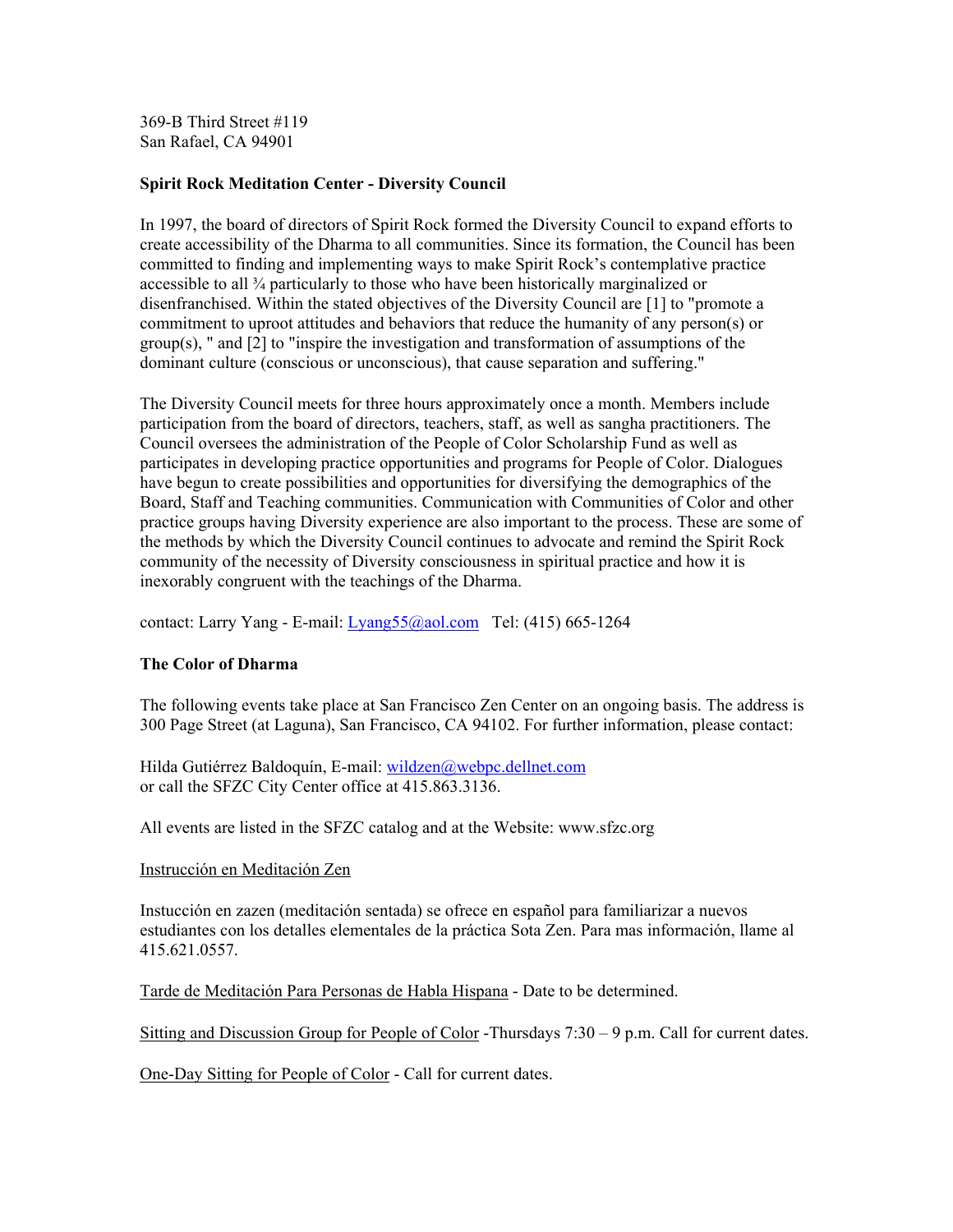369-B Third Street #119 San Rafael, CA 94901

### **Spirit Rock Meditation Center - Diversity Council**

In 1997, the board of directors of Spirit Rock formed the Diversity Council to expand efforts to create accessibility of the Dharma to all communities. Since its formation, the Council has been committed to finding and implementing ways to make Spirit Rock's contemplative practice accessible to all ¾ particularly to those who have been historically marginalized or disenfranchised. Within the stated objectives of the Diversity Council are [1] to "promote a commitment to uproot attitudes and behaviors that reduce the humanity of any person(s) or group(s), " and [2] to "inspire the investigation and transformation of assumptions of the dominant culture (conscious or unconscious), that cause separation and suffering."

The Diversity Council meets for three hours approximately once a month. Members include participation from the board of directors, teachers, staff, as well as sangha practitioners. The Council oversees the administration of the People of Color Scholarship Fund as well as participates in developing practice opportunities and programs for People of Color. Dialogues have begun to create possibilities and opportunities for diversifying the demographics of the Board, Staff and Teaching communities. Communication with Communities of Color and other practice groups having Diversity experience are also important to the process. These are some of the methods by which the Diversity Council continues to advocate and remind the Spirit Rock community of the necessity of Diversity consciousness in spiritual practice and how it is inexorably congruent with the teachings of the Dharma.

contact: Larry Yang - E-mail:  $Lyang 55@aol.com$  Tel: (415) 665-1264

## **The Color of Dharma**

The following events take place at San Francisco Zen Center on an ongoing basis. The address is 300 Page Street (at Laguna), San Francisco, CA 94102. For further information, please contact:

Hilda Gutiérrez Baldoquín, E-mail: wildzen@webpc.dellnet.com or call the SFZC City Center office at 415.863.3136.

All events are listed in the SFZC catalog and at the Website: www.sfzc.org

#### Instrucción en Meditación Zen

Instucción en zazen (meditación sentada) se ofrece en español para familiarizar a nuevos estudiantes con los detalles elementales de la práctica Sota Zen. Para mas información, llame al 415.621.0557.

Tarde de Meditación Para Personas de Habla Hispana - Date to be determined.

Sitting and Discussion Group for People of Color -Thursdays 7:30 – 9 p.m. Call for current dates.

One-Day Sitting for People of Color - Call for current dates.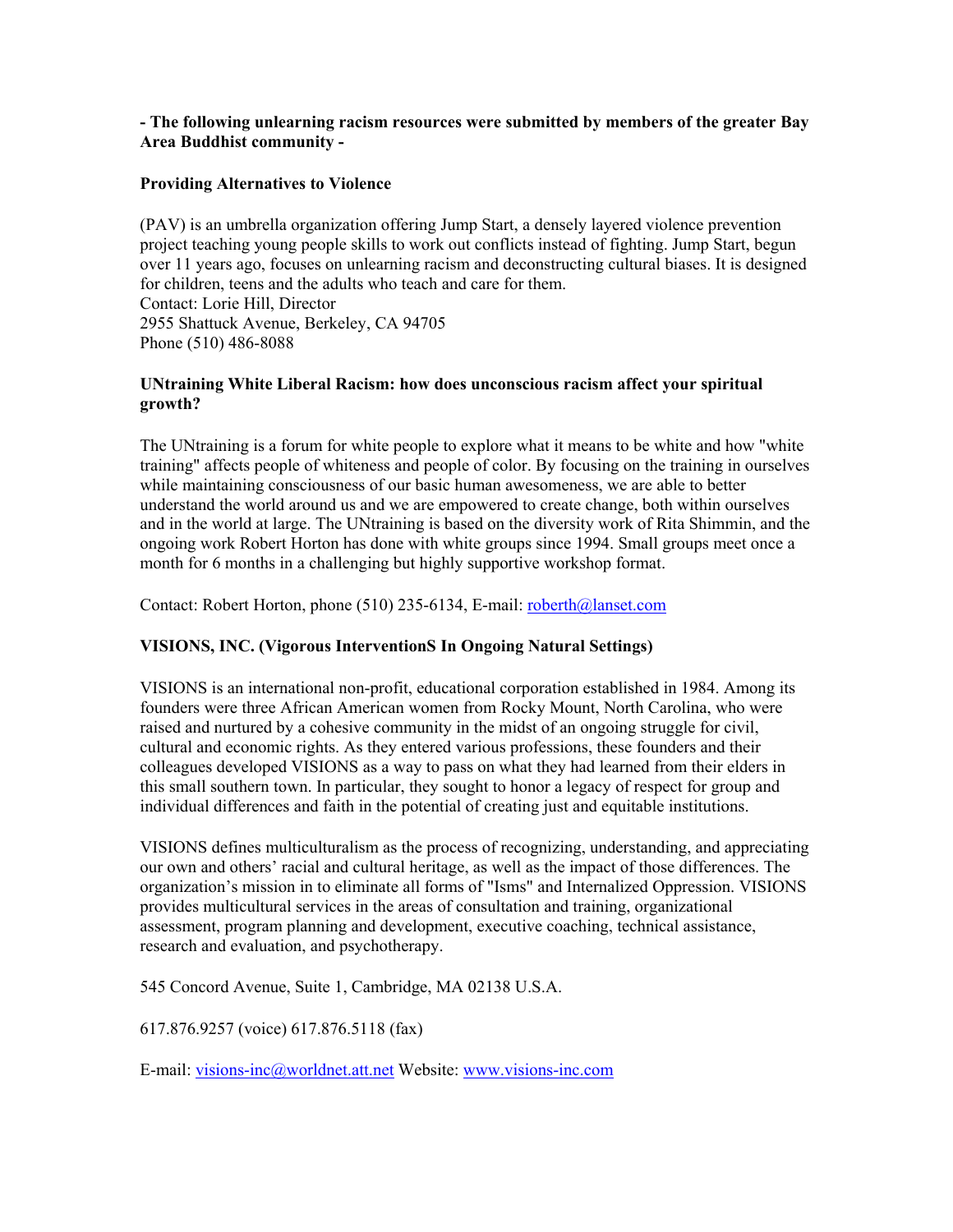## **- The following unlearning racism resources were submitted by members of the greater Bay Area Buddhist community -**

### **Providing Alternatives to Violence**

(PAV) is an umbrella organization offering Jump Start, a densely layered violence prevention project teaching young people skills to work out conflicts instead of fighting. Jump Start, begun over 11 years ago, focuses on unlearning racism and deconstructing cultural biases. It is designed for children, teens and the adults who teach and care for them. Contact: Lorie Hill, Director 2955 Shattuck Avenue, Berkeley, CA 94705 Phone (510) 486-8088

## **UNtraining White Liberal Racism: how does unconscious racism affect your spiritual growth?**

The UNtraining is a forum for white people to explore what it means to be white and how "white training" affects people of whiteness and people of color. By focusing on the training in ourselves while maintaining consciousness of our basic human awesomeness, we are able to better understand the world around us and we are empowered to create change, both within ourselves and in the world at large. The UNtraining is based on the diversity work of Rita Shimmin, and the ongoing work Robert Horton has done with white groups since 1994. Small groups meet once a month for 6 months in a challenging but highly supportive workshop format.

Contact: Robert Horton, phone (510) 235-6134, E-mail: roberth@lanset.com

## **VISIONS, INC. (Vigorous InterventionS In Ongoing Natural Settings)**

VISIONS is an international non-profit, educational corporation established in 1984. Among its founders were three African American women from Rocky Mount, North Carolina, who were raised and nurtured by a cohesive community in the midst of an ongoing struggle for civil, cultural and economic rights. As they entered various professions, these founders and their colleagues developed VISIONS as a way to pass on what they had learned from their elders in this small southern town. In particular, they sought to honor a legacy of respect for group and individual differences and faith in the potential of creating just and equitable institutions.

VISIONS defines multiculturalism as the process of recognizing, understanding, and appreciating our own and others' racial and cultural heritage, as well as the impact of those differences. The organization's mission in to eliminate all forms of "Isms" and Internalized Oppression. VISIONS provides multicultural services in the areas of consultation and training, organizational assessment, program planning and development, executive coaching, technical assistance, research and evaluation, and psychotherapy.

545 Concord Avenue, Suite 1, Cambridge, MA 02138 U.S.A.

617.876.9257 (voice) 617.876.5118 (fax)

E-mail: visions-inc@worldnet.att.net Website: www.visions-inc.com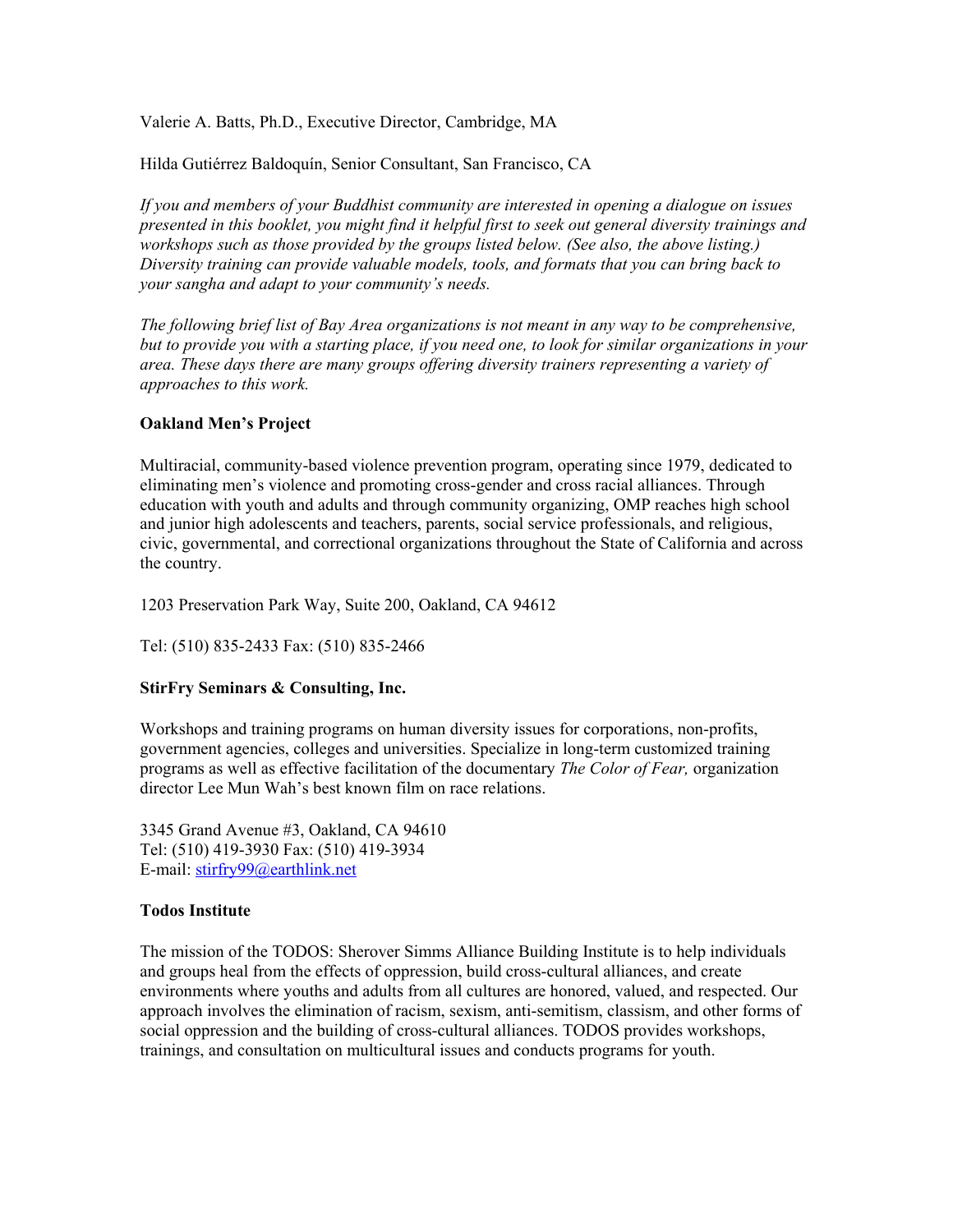Valerie A. Batts, Ph.D., Executive Director, Cambridge, MA

Hilda Gutiérrez Baldoquín, Senior Consultant, San Francisco, CA

*If you and members of your Buddhist community are interested in opening a dialogue on issues presented in this booklet, you might find it helpful first to seek out general diversity trainings and workshops such as those provided by the groups listed below. (See also, the above listing.) Diversity training can provide valuable models, tools, and formats that you can bring back to your sangha and adapt to your community's needs.* 

*The following brief list of Bay Area organizations is not meant in any way to be comprehensive, but to provide you with a starting place, if you need one, to look for similar organizations in your area. These days there are many groups offering diversity trainers representing a variety of approaches to this work.* 

### **Oakland Men's Project**

Multiracial, community-based violence prevention program, operating since 1979, dedicated to eliminating men's violence and promoting cross-gender and cross racial alliances. Through education with youth and adults and through community organizing, OMP reaches high school and junior high adolescents and teachers, parents, social service professionals, and religious, civic, governmental, and correctional organizations throughout the State of California and across the country.

1203 Preservation Park Way, Suite 200, Oakland, CA 94612

Tel: (510) 835-2433 Fax: (510) 835-2466

#### **StirFry Seminars & Consulting, Inc.**

Workshops and training programs on human diversity issues for corporations, non-profits, government agencies, colleges and universities. Specialize in long-term customized training programs as well as effective facilitation of the documentary *The Color of Fear,* organization director Lee Mun Wah's best known film on race relations.

3345 Grand Avenue #3, Oakland, CA 94610 Tel: (510) 419-3930 Fax: (510) 419-3934 E-mail: stirfry99@earthlink.net

#### **Todos Institute**

The mission of the TODOS: Sherover Simms Alliance Building Institute is to help individuals and groups heal from the effects of oppression, build cross-cultural alliances, and create environments where youths and adults from all cultures are honored, valued, and respected. Our approach involves the elimination of racism, sexism, anti-semitism, classism, and other forms of social oppression and the building of cross-cultural alliances. TODOS provides workshops, trainings, and consultation on multicultural issues and conducts programs for youth.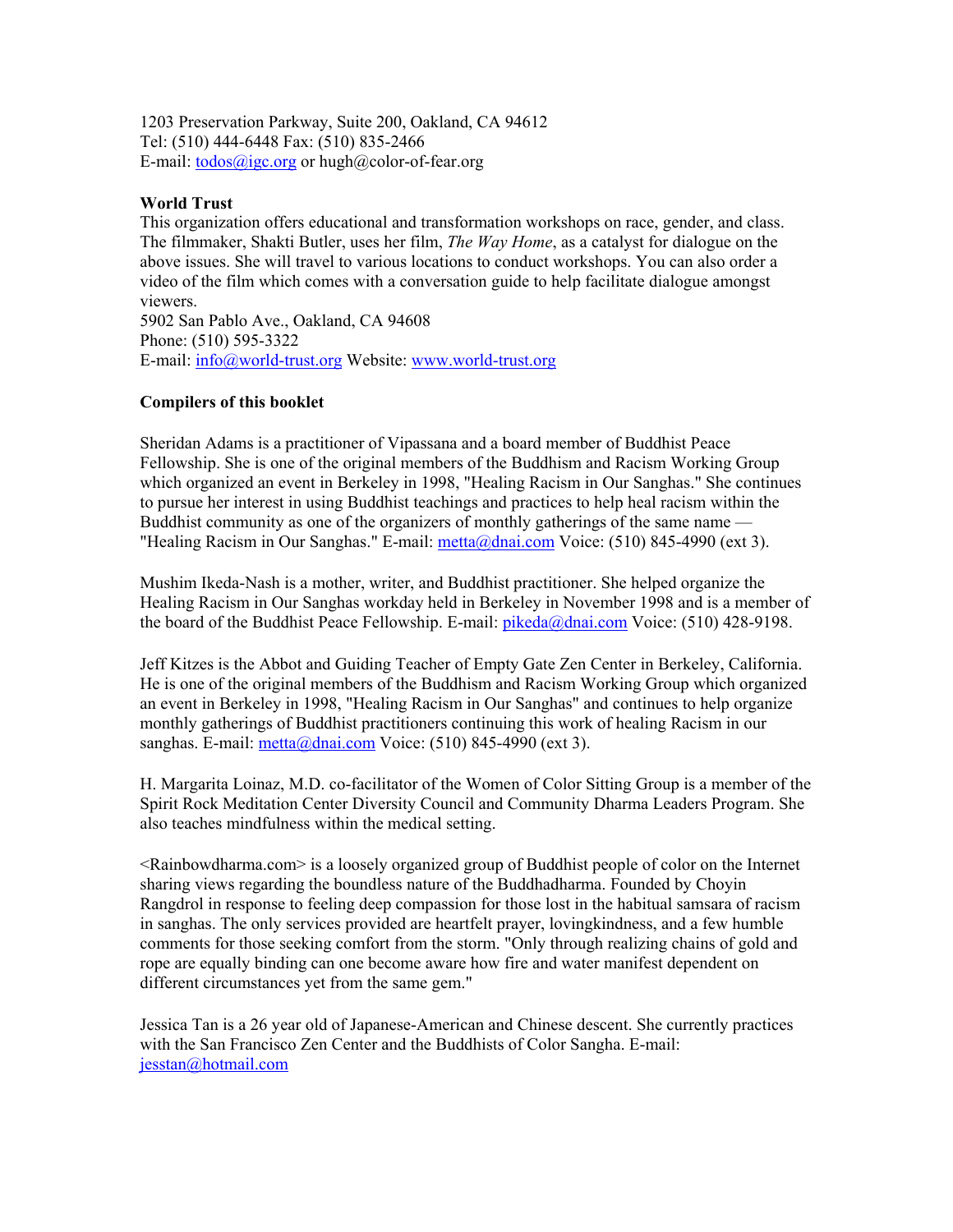1203 Preservation Parkway, Suite 200, Oakland, CA 94612 Tel: (510) 444-6448 Fax: (510) 835-2466 E-mail:  $\text{today}(\widehat{a})$  igc.org or hugh $(\widehat{a})$  color-of-fear.org

## **World Trust**

This organization offers educational and transformation workshops on race, gender, and class. The filmmaker, Shakti Butler, uses her film, *The Way Home*, as a catalyst for dialogue on the above issues. She will travel to various locations to conduct workshops. You can also order a video of the film which comes with a conversation guide to help facilitate dialogue amongst viewers. 5902 San Pablo Ave., Oakland, CA 94608

Phone: (510) 595-3322 E-mail: info@world-trust.org Website: www.world-trust.org

### **Compilers of this booklet**

Sheridan Adams is a practitioner of Vipassana and a board member of Buddhist Peace Fellowship. She is one of the original members of the Buddhism and Racism Working Group which organized an event in Berkeley in 1998, "Healing Racism in Our Sanghas." She continues to pursue her interest in using Buddhist teachings and practices to help heal racism within the Buddhist community as one of the organizers of monthly gatherings of the same name – "Healing Racism in Our Sanghas." E-mail: metta@dnai.com Voice: (510) 845-4990 (ext 3).

Mushim Ikeda-Nash is a mother, writer, and Buddhist practitioner. She helped organize the Healing Racism in Our Sanghas workday held in Berkeley in November 1998 and is a member of the board of the Buddhist Peace Fellowship. E-mail:  $pikeda@dnai.com$  Voice: (510) 428-9198.

Jeff Kitzes is the Abbot and Guiding Teacher of Empty Gate Zen Center in Berkeley, California. He is one of the original members of the Buddhism and Racism Working Group which organized an event in Berkeley in 1998, "Healing Racism in Our Sanghas" and continues to help organize monthly gatherings of Buddhist practitioners continuing this work of healing Racism in our sanghas. E-mail:  $metta@data.com$  Voice: (510) 845-4990 (ext 3).

H. Margarita Loinaz, M.D. co-facilitator of the Women of Color Sitting Group is a member of the Spirit Rock Meditation Center Diversity Council and Community Dharma Leaders Program. She also teaches mindfulness within the medical setting.

<Rainbowdharma.com> is a loosely organized group of Buddhist people of color on the Internet sharing views regarding the boundless nature of the Buddhadharma. Founded by Choyin Rangdrol in response to feeling deep compassion for those lost in the habitual samsara of racism in sanghas. The only services provided are heartfelt prayer, lovingkindness, and a few humble comments for those seeking comfort from the storm. "Only through realizing chains of gold and rope are equally binding can one become aware how fire and water manifest dependent on different circumstances yet from the same gem."

Jessica Tan is a 26 year old of Japanese-American and Chinese descent. She currently practices with the San Francisco Zen Center and the Buddhists of Color Sangha. E-mail: jesstan@hotmail.com